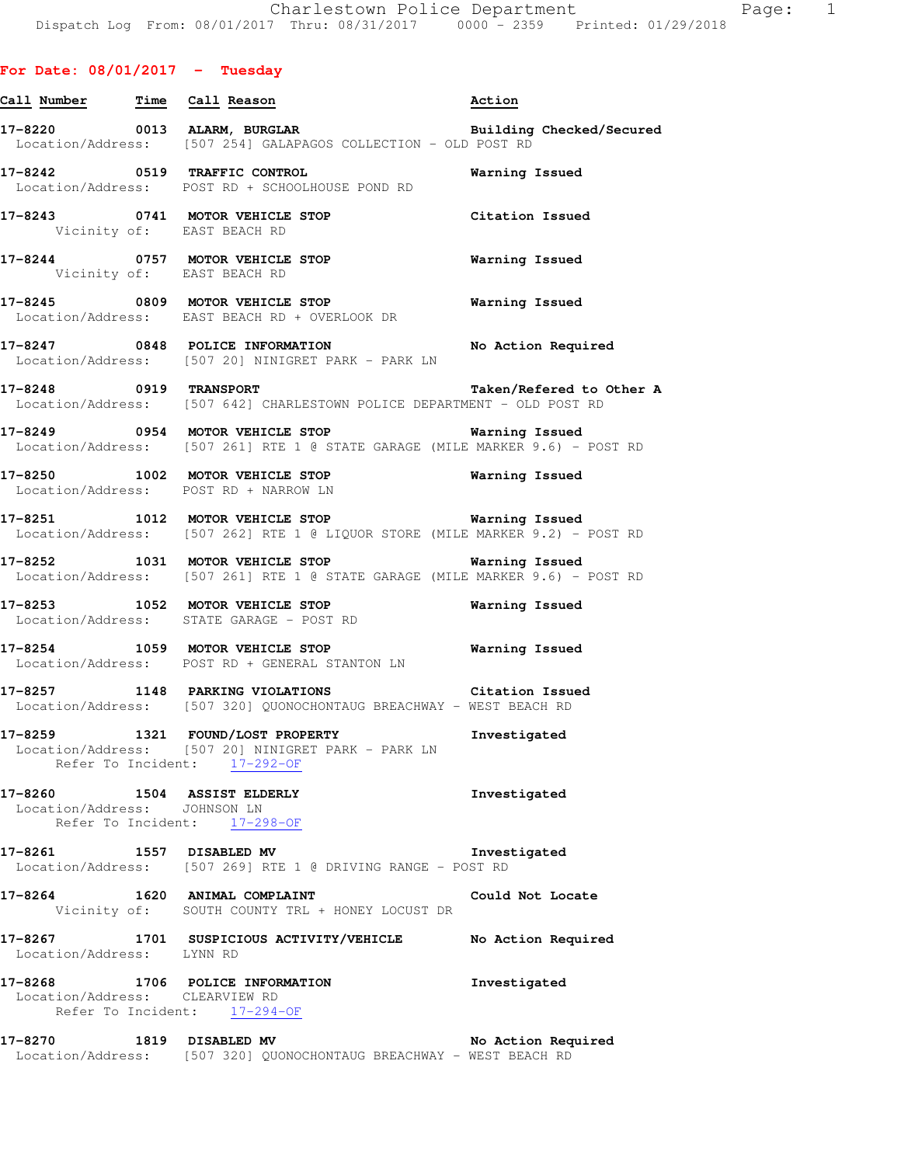| Call Number Time Call Reason   |                                                                                                                                       | Action                   |
|--------------------------------|---------------------------------------------------------------------------------------------------------------------------------------|--------------------------|
|                                | 17-8220 0013 ALARM, BURGLAR BURGLAR Building Checked/Secured<br>Location/Address: [507 254] GALAPAGOS COLLECTION - OLD POST RD        |                          |
|                                | 17-8242 0519 TRAFFIC CONTROL CONTROL Warning Issued<br>Location/Address: POST RD + SCHOOLHOUSE POND RD                                |                          |
|                                | 17-8243 0741 MOTOR VEHICLE STOP Citation Issued<br>Vicinity of: EAST BEACH RD                                                         |                          |
|                                | 17-8244 0757 MOTOR VEHICLE STOP <b>WATER</b> Warning Issued<br>Vicinity of: EAST BEACH RD                                             |                          |
|                                | Location/Address: EAST BEACH RD + OVERLOOK DR                                                                                         |                          |
|                                | 17-8247 0848 POLICE INFORMATION No Action Required<br>Location/Address: [507 20] NINIGRET PARK - PARK LN                              |                          |
| 17-8248 0919 TRANSPORT         | Location/Address: [507 642] CHARLESTOWN POLICE DEPARTMENT - OLD POST RD                                                               | Taken/Refered to Other A |
|                                | 17-8249 0954 MOTOR VEHICLE STOP Warning Issued<br>Location/Address: [507 261] RTE 1 @ STATE GARAGE (MILE MARKER 9.6) - POST RD        |                          |
|                                | 17-8250 1002 MOTOR VEHICLE STOP Warning Issued<br>Location/Address: POST RD + NARROW LN<br>Location/Address: POST RD + NARROW LN      |                          |
|                                | 17-8251 1012 MOTOR VEHICLE STOP Warning Issued<br>Location/Address: [507 262] RTE 1 @ LIQUOR STORE (MILE MARKER 9.2) - POST RD        |                          |
|                                | 17-8252 1031 MOTOR VEHICLE STOP <b>Warning Issued</b><br>Location/Address: [507 261] RTE 1 @ STATE GARAGE (MILE MARKER 9.6) - POST RD |                          |
|                                | 17-8253 1052 MOTOR VEHICLE STOP 6 Warning Issued<br>Location/Address: STATE GARAGE - POST RD                                          |                          |
|                                | Location/Address: POST RD + GENERAL STANTON LN                                                                                        |                          |
|                                | 17-8257 1148 PARKING VIOLATIONS Citation Issued<br>Location/Address: [507 320] QUONOCHONTAUG BREACHWAY - WEST BEACH RD                |                          |
|                                | 17-8259 1321 FOUND/LOST PROPERTY<br>Location/Address: [507 20] NINIGRET PARK - PARK LN<br>Refer To Incident: 17-292-OF                | Investigated             |
| Location/Address: JOHNSON LN   | 17-8260 1504 ASSIST ELDERLY<br>Refer To Incident: 17-298-OF                                                                           | Investigated             |
|                                | 17-8261 1557 DISABLED MV<br>Location/Address: [507 269] RTE 1 @ DRIVING RANGE - POST RD                                               | Investigated             |
|                                | 17-8264 1620 ANIMAL COMPLAINT<br>Vicinity of: SOUTH COUNTY TRL + HONEY LOCUST DR                                                      | Could Not Locate         |
| Location/Address: LYNN RD      | 17-8267 1701 SUSPICIOUS ACTIVITY/VEHICLE No Action Required                                                                           |                          |
| Location/Address: CLEARVIEW RD | 17-8268 1706 POLICE INFORMATION<br>Refer To Incident: 17-294-OF                                                                       | Investigated             |
|                                | 17-8270 1819 DISABLED MV No Action Req<br>Location/Address: [507 320] QUONOCHONTAUG BREACHWAY - WEST BEACH RD                         | No Action Required       |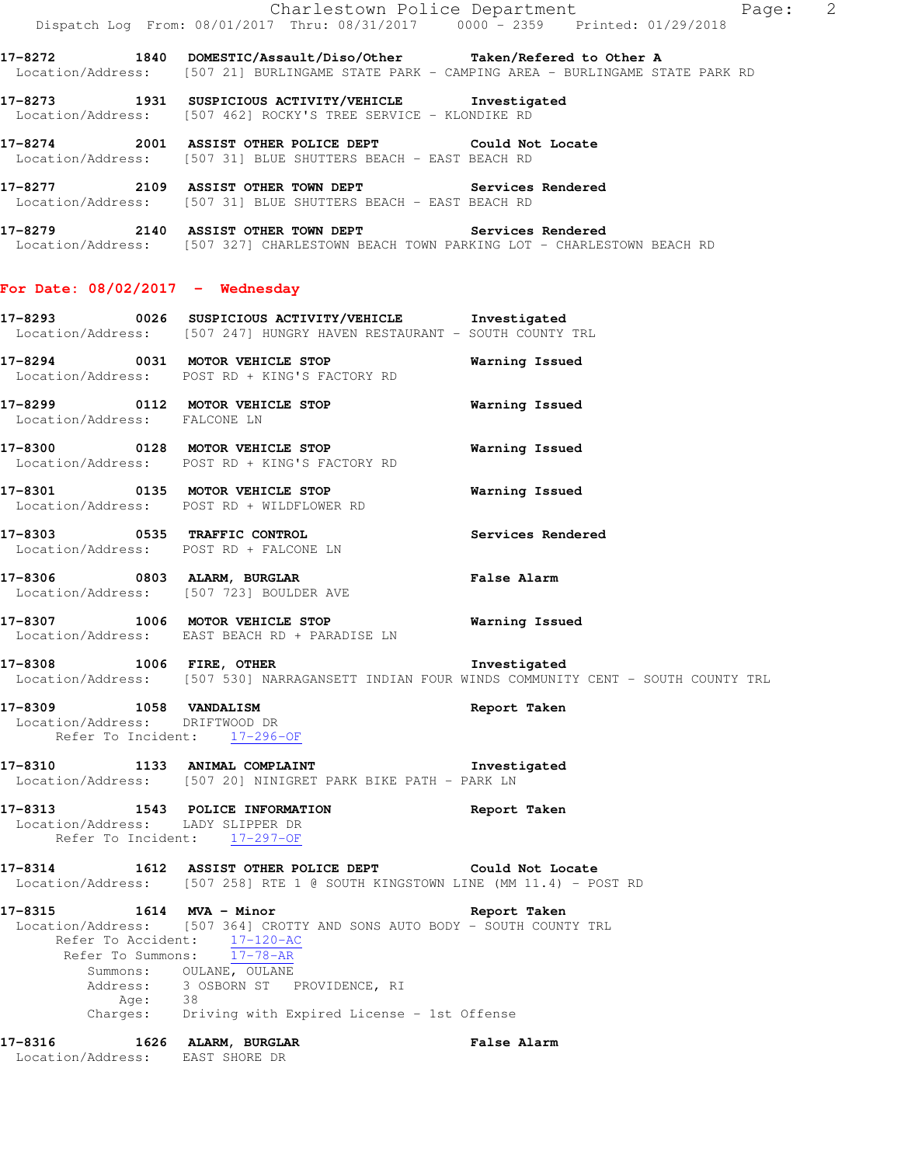|                                                          |         | Dispatch Log From: 08/01/2017 Thru: 08/31/2017 0000 <sup>-</sup> 2359 Printed: 01/29/2018                                                                                                                | Charlestown Police Department<br>Page: 2                                                     |
|----------------------------------------------------------|---------|----------------------------------------------------------------------------------------------------------------------------------------------------------------------------------------------------------|----------------------------------------------------------------------------------------------|
|                                                          |         | 17-8272 1840 DOMESTIC/Assault/Diso/Other Taken/Refered to Other A                                                                                                                                        | Location/Address: [507 21] BURLINGAME STATE PARK - CAMPING AREA - BURLINGAME STATE PARK RD   |
|                                                          |         | 17-8273 1931 SUSPICIOUS ACTIVITY/VEHICLE Investigated<br>Location/Address: [507 462] ROCKY'S TREE SERVICE - KLONDIKE RD                                                                                  |                                                                                              |
|                                                          |         | 17-8274 2001 ASSIST OTHER POLICE DEPT Could Not Locate<br>Location/Address: [507 31] BLUE SHUTTERS BEACH - EAST BEACH RD                                                                                 |                                                                                              |
|                                                          |         | 17-8277 2109 ASSIST OTHER TOWN DEPT Services Rendered<br>Location/Address: [507 31] BLUE SHUTTERS BEACH - EAST BEACH RD                                                                                  |                                                                                              |
|                                                          |         | 17-8279 2140 ASSIST OTHER TOWN DEPT Services Rendered<br>Location/Address: [507 327] CHARLESTOWN BEACH TOWN PARKING LOT - CHARLESTOWN BEACH RD                                                           |                                                                                              |
| For Date: $08/02/2017 -$ Wednesday                       |         |                                                                                                                                                                                                          |                                                                                              |
|                                                          |         | 17-8293 0026 SUSPICIOUS ACTIVITY/VEHICLE Investigated<br>Location/Address: [507 247] HUNGRY HAVEN RESTAURANT - SOUTH COUNTY TRL                                                                          |                                                                                              |
|                                                          |         | 17-8294 0031 MOTOR VEHICLE STOP<br>Location/Address: POST RD + KING'S FACTORY RD                                                                                                                         | Warning Issued                                                                               |
| Location/Address: FALCONE LN                             |         | 17-8299 0112 MOTOR VEHICLE STOP                                                                                                                                                                          | Warning Issued                                                                               |
|                                                          |         | $17-8300$ 0128 MOTOR VEHICLE STOP<br>Location/Address: POST RD + KING'S FACTORY RD                                                                                                                       | Warning Issued                                                                               |
|                                                          |         | 17-8301 0135 MOTOR VEHICLE STOP<br>Location/Address: POST RD + WILDFLOWER RD                                                                                                                             | Warning Issued                                                                               |
|                                                          |         | 17-8303 0535 TRAFFIC CONTROL<br>Location/Address: POST RD + FALCONE LN                                                                                                                                   | Services Rendered                                                                            |
|                                                          |         | 17-8306 0803 ALARM, BURGLAR<br>Location/Address: [507 723] BOULDER AVE                                                                                                                                   | <b>False Alarm</b>                                                                           |
|                                                          |         | 17-8307 1006 MOTOR VEHICLE STOP<br>Location/Address: EAST BEACH RD + PARADISE LN                                                                                                                         | Warning Issued                                                                               |
| 17-8308 1006 FIRE, OTHER                                 |         | Investigated                                                                                                                                                                                             | Location/Address: [507 530] NARRAGANSETT INDIAN FOUR WINDS COMMUNITY CENT - SOUTH COUNTY TRL |
| 17-8309 1058 VANDALISM<br>Location/Address: DRIFTWOOD DR |         | Refer To Incident: 17-296-OF                                                                                                                                                                             | Report Taken                                                                                 |
|                                                          |         | 17-8310 1133 ANIMAL COMPLAINT<br>Location/Address: [507 20] NINIGRET PARK BIKE PATH - PARK LN                                                                                                            | Investigated                                                                                 |
| Location/Address: LADY SLIPPER DR                        |         | 17-8313 1543 POLICE INFORMATION<br>Refer To Incident: 17-297-OF                                                                                                                                          | Report Taken                                                                                 |
|                                                          |         | 17-8314 1612 ASSIST OTHER POLICE DEPT Could Not Locate<br>Location/Address: [507 258] RTE 1 @ SOUTH KINGSTOWN LINE (MM 11.4) - POST RD                                                                   |                                                                                              |
| 17-8315 1614 MVA - Minor                                 |         | Location/Address: [507 364] CROTTY AND SONS AUTO BODY - SOUTH COUNTY TRL<br>Refer To Accident: 17-120-AC<br>Refer To Summons: 17-78-AR<br>Summons: OULANE, OULANE<br>Address: 3 OSBORN ST PROVIDENCE, RI | Report Taken                                                                                 |
|                                                          | Age: 38 | Charges: Driving with Expired License - 1st Offense                                                                                                                                                      |                                                                                              |
| 17-8316<br>Location/Address: EAST SHORE DR               |         | 1626 ALARM, BURGLAR                                                                                                                                                                                      | <b>False Alarm</b>                                                                           |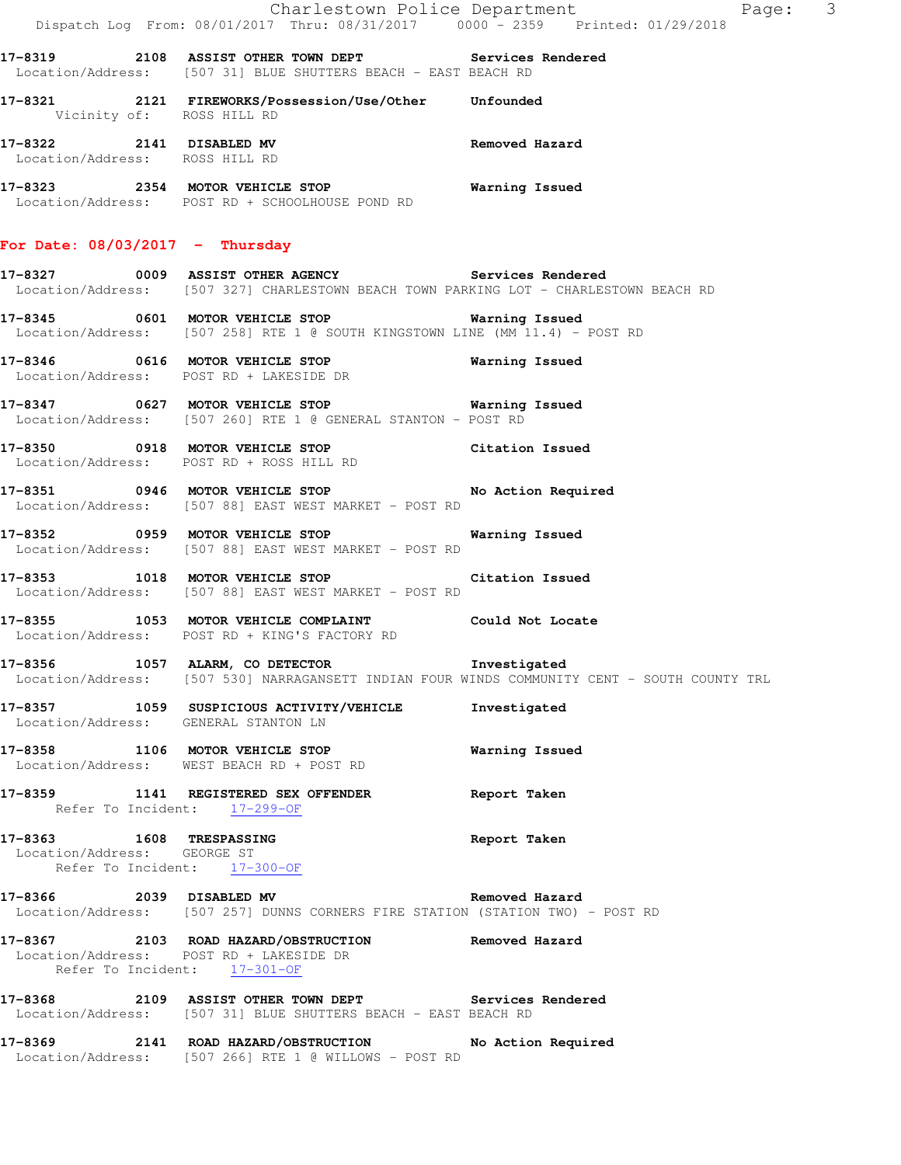|                                                                                         | Charlestown Police Department<br>Dispatch Log From: 08/01/2017 Thru: 08/31/2017 0000 - 2359 Printed: 01/29/2018                                         | Page: 3                                                                                      |
|-----------------------------------------------------------------------------------------|---------------------------------------------------------------------------------------------------------------------------------------------------------|----------------------------------------------------------------------------------------------|
|                                                                                         | 17-8319 2108 ASSIST OTHER TOWN DEPT Services Rendered<br>Location/Address: [507 31] BLUE SHUTTERS BEACH - EAST BEACH RD                                 |                                                                                              |
| Vicinity of: ROSS HILL RD                                                               | 17-8321  2121 FIREWORKS/Possession/Use/Other Unfounded                                                                                                  |                                                                                              |
| Location/Address: ROSS HILL RD                                                          | 17-8322 2141 DISABLED MV                                                                                                                                | Removed Hazard                                                                               |
|                                                                                         | 17-8323 2354 MOTOR VEHICLE STOP <b>Exam and SEAL STOP</b> Warning Issued<br>Location/Address: POST RD + SCHOOLHOUSE POND RD                             |                                                                                              |
| For Date: $08/03/2017$ - Thursday                                                       |                                                                                                                                                         |                                                                                              |
|                                                                                         | 17-8327 6009 ASSIST OTHER AGENCY Services Rendered<br>Location/Address: [507 327] CHARLESTOWN BEACH TOWN PARKING LOT - CHARLESTOWN BEACH RD             |                                                                                              |
|                                                                                         | Location/Address: [507 258] RTE 1 @ SOUTH KINGSTOWN LINE (MM 11.4) - POST RD                                                                            |                                                                                              |
|                                                                                         | Location/Address: POST RD + LAKESIDE DR                                                                                                                 |                                                                                              |
|                                                                                         | Location/Address: [507 260] RTE 1 @ GENERAL STANTON - POST RD                                                                                           |                                                                                              |
|                                                                                         | 17-8350 0918 MOTOR VEHICLE STOP Citation Issued<br>Location/Address: POST RD + ROSS HILL RD                                                             |                                                                                              |
|                                                                                         | 17-8351 0946 MOTOR VEHICLE STOP No Action Required<br>Location/Address: [507 88] EAST WEST MARKET - POST RD                                             |                                                                                              |
|                                                                                         | 17-8352 0959 MOTOR VEHICLE STOP<br>Location/Address: [507 88] EAST WEST MARKET - POST RD                                                                | Warning Issued                                                                               |
|                                                                                         | 17-8353 1018 MOTOR VEHICLE STOP 17-8353<br>Location/Address: [507 88] EAST WEST MARKET - POST RD                                                        |                                                                                              |
|                                                                                         | 17-8355 1053 MOTOR VEHICLE COMPLAINT Could Not Locate<br>Location/Address: POST RD + KING'S FACTORY RD                                                  |                                                                                              |
|                                                                                         | 17-8356 1057 ALARM, CO DETECTOR 1nvestigated                                                                                                            | Location/Address: [507 530] NARRAGANSETT INDIAN FOUR WINDS COMMUNITY CENT - SOUTH COUNTY TRL |
| Location/Address: GENERAL STANTON LN                                                    | 17-8357 1059 SUSPICIOUS ACTIVITY/VEHICLE                                                                                                                | Investigated                                                                                 |
|                                                                                         | 17-8358 1106 MOTOR VEHICLE STOP<br>Location/Address: WEST BEACH RD + POST RD                                                                            | Warning Issued                                                                               |
| Refer To Incident: 17-299-OF                                                            | 17-8359 1141 REGISTERED SEX OFFENDER                                                                                                                    | Report Taken                                                                                 |
| 17-8363 1608 TRESPASSING<br>Location/Address: GEORGE ST<br>Refer To Incident: 17-300-OF |                                                                                                                                                         | Report Taken                                                                                 |
|                                                                                         | 17-8366 2039 DISABLED MV <b>Exam Provident Section</b> Removed Hazard<br>Location/Address: [507 257] DUNNS CORNERS FIRE STATION (STATION TWO) - POST RD |                                                                                              |
| Location/Address: POST RD + LAKESIDE DR<br>Refer To Incident: 17-301-OF                 | 17-8367 2103 ROAD HAZARD/OBSTRUCTION Removed Hazard                                                                                                     |                                                                                              |
|                                                                                         | 17-8368 2109 ASSIST OTHER TOWN DEPT Services Rendered<br>Location/Address: [507 31] BLUE SHUTTERS BEACH - EAST BEACH RD                                 |                                                                                              |
|                                                                                         | 17-8369 2141 ROAD HAZARD/OBSTRUCTION No Action Required<br>Location/Address: [507 266] RTE 1 @ WILLOWS - POST RD                                        |                                                                                              |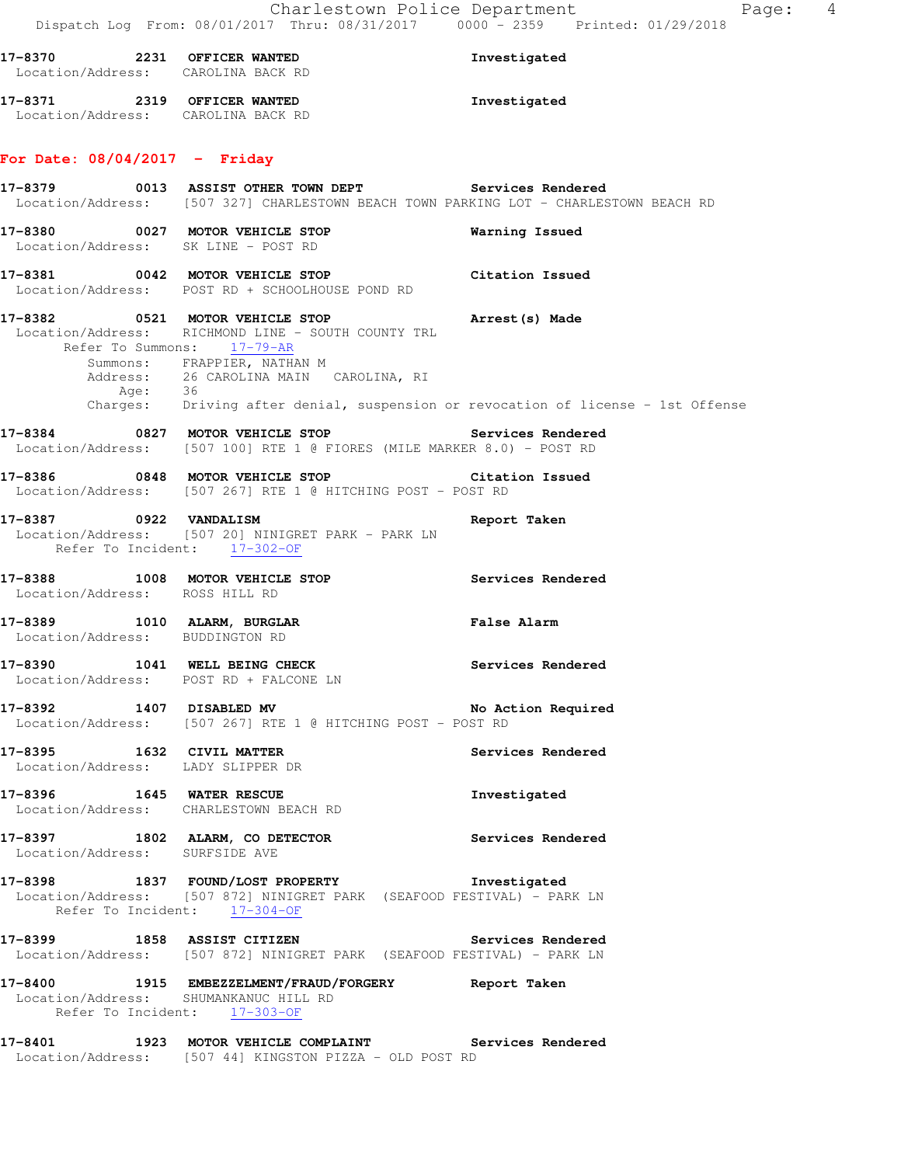| 17-8370<br>Location/Address: | 2231 | OFFICER WANTED<br>CAROLINA BACK RD | Investigated |  |
|------------------------------|------|------------------------------------|--------------|--|
| 17-8371                      | 2319 | OFFICER WANTED                     | Investigated |  |
| Location/Address:            |      | CAROLINA BACK RD                   |              |  |

## **For Date: 08/04/2017 - Friday**

**17-8379 0013 ASSIST OTHER TOWN DEPT Services Rendered**  Location/Address: [507 327] CHARLESTOWN BEACH TOWN PARKING LOT - CHARLESTOWN BEACH RD **17-8380 0027 MOTOR VEHICLE STOP Warning Issued**  Location/Address: SK LINE - POST RD **17-8381 0042 MOTOR VEHICLE STOP Citation Issued**  Location/Address: POST RD + SCHOOLHOUSE POND RD **17-8382 0521 MOTOR VEHICLE STOP Arrest(s) Made**  Location/Address: RICHMOND LINE - SOUTH COUNTY TRL Refer To Summons: 17-79-AR Summons: FRAPPIER, NATHAN M Address: 26 CAROLINA MAIN CAROLINA, RI Age: 36 Charges: Driving after denial, suspension or revocation of license - 1st Offense **17-8384 0827 MOTOR VEHICLE STOP Services Rendered**  Location/Address: [507 100] RTE 1 @ FIORES (MILE MARKER 8.0) - POST RD **17-8386 0848 MOTOR VEHICLE STOP Citation Issued**  Location/Address: [507 267] RTE 1 @ HITCHING POST - POST RD **17-8387 0922 VANDALISM Report Taken**  Location/Address: [507 20] NINIGRET PARK - PARK LN Refer To Incident: 17-302-OF **17-8388 1008 MOTOR VEHICLE STOP Services Rendered**  Location/Address: ROSS HILL RD **17-8389 1010 ALARM, BURGLAR False Alarm**  Location/Address: BUDDINGTON RD **17-8390 1041 WELL BEING CHECK Services Rendered**  Location/Address: POST RD + FALCONE LN **17-8392 1407 DISABLED MV No Action Required**  Location/Address: [507 267] RTE 1 @ HITCHING POST - POST RD **17-8395 1632 CIVIL MATTER Services Rendered**  Location/Address: LADY SLIPPER DR **17-8396 1645 WATER RESCUE Investigated**  Location/Address: CHARLESTOWN BEACH RD **17-8397 1802 ALARM, CO DETECTOR Services Rendered**  Location/Address: SURFSIDE AVE **17-8398 1837 FOUND/LOST PROPERTY Investigated**  Location/Address: [507 872] NINIGRET PARK (SEAFOOD FESTIVAL) - PARK LN Refer To Incident: 17-304-OF **17-8399 1858 ASSIST CITIZEN Services Rendered**  Location/Address: [507 872] NINIGRET PARK (SEAFOOD FESTIVAL) - PARK LN **17-8400 1915 EMBEZZELMENT/FRAUD/FORGERY Report Taken**  Location/Address: SHUMANKANUC HILL RD Refer To Incident: 17-303-OF **17-8401 1923 MOTOR VEHICLE COMPLAINT Services Rendered**  Location/Address: [507 44] KINGSTON PIZZA - OLD POST RD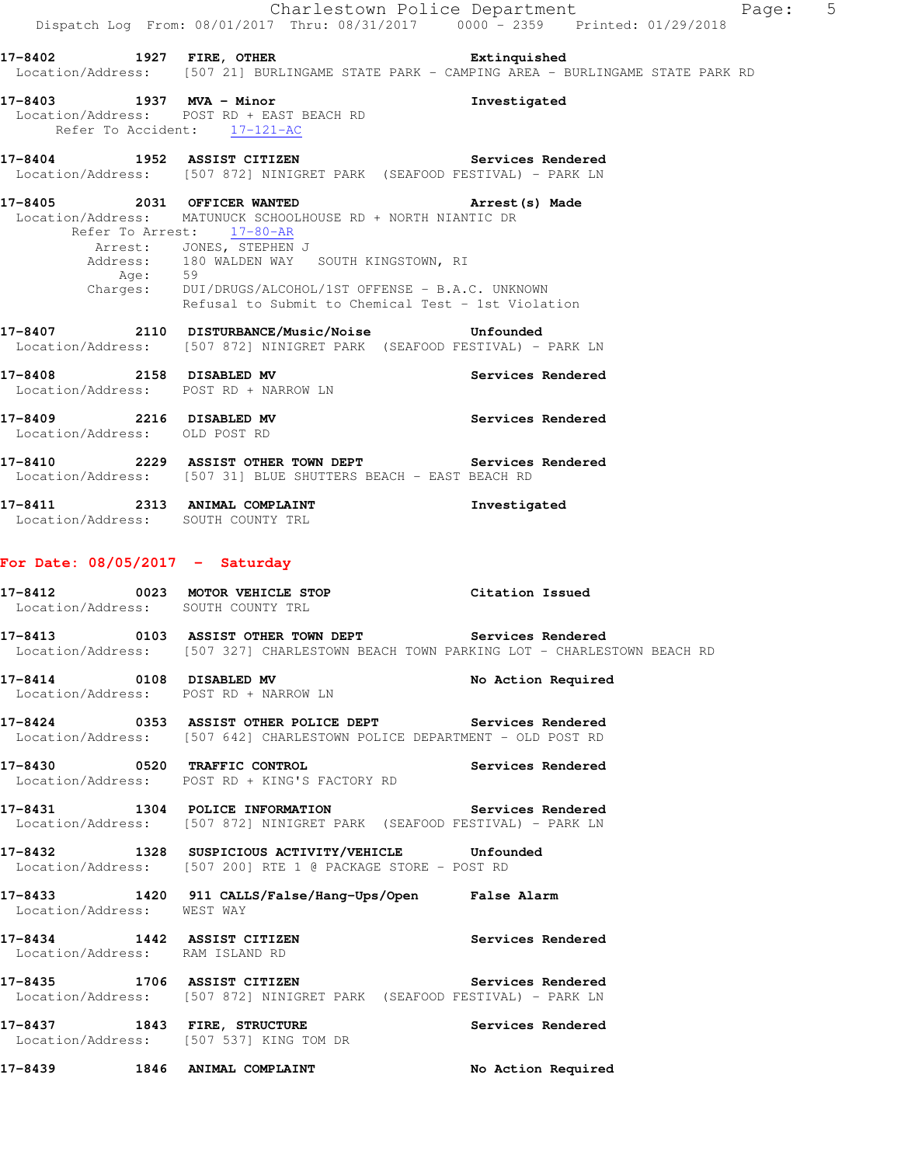|                                                           |                                                                                                                                                                                                                                                                           | Charlestown Police Department<br>Page: 5<br>Dispatch Log From: 08/01/2017 Thru: 08/31/2017 0000 <sup>-</sup> 2359 Printed: 01/29/2018          |  |
|-----------------------------------------------------------|---------------------------------------------------------------------------------------------------------------------------------------------------------------------------------------------------------------------------------------------------------------------------|------------------------------------------------------------------------------------------------------------------------------------------------|--|
|                                                           |                                                                                                                                                                                                                                                                           | 17-8402 1927 FIRE, OTHER 2001 Extinquished<br>Location/Address: [507 21] BURLINGAME STATE PARK - CAMPING AREA - BURLINGAME STATE PARK RD       |  |
|                                                           | 17-8403 1937 MVA - Minor<br>Location/Address: POST RD + EAST BEACH RD<br>Refer To Accident: 17-121-AC                                                                                                                                                                     | Investigated                                                                                                                                   |  |
|                                                           | 17-8404 1952 ASSIST CITIZEN                                                                                                                                                                                                                                               | Services Rendered<br>Location/Address: [507 872] NINIGRET PARK (SEAFOOD FESTIVAL) - PARK LN                                                    |  |
|                                                           | 17-8405 2031 OFFICER WANTED<br>Location/Address: MATUNUCK SCHOOLHOUSE RD + NORTH NIANTIC DR<br>Refer To Arrest: 17-80-AR<br>Arrest: JONES, STEPHEN J<br>Address: 180 WALDEN WAY SOUTH KINGSTOWN, RI<br>Age: 59<br>Charges: DUI/DRUGS/ALCOHOL/1ST OFFENSE - B.A.C. UNKNOWN | Arrest(s) Made<br>Refusal to Submit to Chemical Test - 1st Violation                                                                           |  |
|                                                           | 17-8407 2110 DISTURBANCE/Music/Noise Unfounded                                                                                                                                                                                                                            | Location/Address: [507 872] NINIGRET PARK (SEAFOOD FESTIVAL) - PARK LN                                                                         |  |
|                                                           | 17-8408 2158 DISABLED MV<br>Location/Address: POST RD + NARROW LN                                                                                                                                                                                                         | Services Rendered                                                                                                                              |  |
| 17-8409 2216 DISABLED MV<br>Location/Address: OLD POST RD |                                                                                                                                                                                                                                                                           | <b>Services Rendered</b>                                                                                                                       |  |
|                                                           | Location/Address: [507 31] BLUE SHUTTERS BEACH - EAST BEACH RD                                                                                                                                                                                                            | 17-8410 2229 ASSIST OTHER TOWN DEPT Services Rendered                                                                                          |  |
|                                                           | 17-8411 2313 ANIMAL COMPLAINT<br>Location/Address: SOUTH COUNTY TRL                                                                                                                                                                                                       | Investigated                                                                                                                                   |  |
|                                                           | For Date: $08/05/2017$ - Saturday                                                                                                                                                                                                                                         |                                                                                                                                                |  |
| 17-8412                                                   | 0023 MOTOR VEHICLE STOP<br>Location/Address: SOUTH COUNTY TRL                                                                                                                                                                                                             | Citation Issued                                                                                                                                |  |
|                                                           |                                                                                                                                                                                                                                                                           | 17-8413 6103 ASSIST OTHER TOWN DEPT Services Rendered<br>Location/Address: [507 327] CHARLESTOWN BEACH TOWN PARKING LOT - CHARLESTOWN BEACH RD |  |
|                                                           | 17-8414 0108 DISABLED MV<br>Location/Address: POST RD + NARROW LN                                                                                                                                                                                                         | No Action Required                                                                                                                             |  |
|                                                           |                                                                                                                                                                                                                                                                           | 17-8424 0353 ASSIST OTHER POLICE DEPT Services Rendered<br>Location/Address: [507 642] CHARLESTOWN POLICE DEPARTMENT - OLD POST RD             |  |
|                                                           | 17-8430 0520 TRAFFIC CONTROL<br>Location/Address: POST RD + KING'S FACTORY RD                                                                                                                                                                                             | <b>Services Rendered</b>                                                                                                                       |  |
|                                                           |                                                                                                                                                                                                                                                                           | 17-8431 1304 POLICE INFORMATION 5ervices Rendered<br>Location/Address: [507 872] NINIGRET PARK (SEAFOOD FESTIVAL) - PARK LN                    |  |
|                                                           | 17-8432 1328 SUSPICIOUS ACTIVITY/VEHICLE Unfounded<br>Location/Address: [507 200] RTE 1 @ PACKAGE STORE - POST RD                                                                                                                                                         |                                                                                                                                                |  |
| Location/Address: WEST WAY                                |                                                                                                                                                                                                                                                                           | 17-8433 1420 911 CALLS/False/Hang-Ups/Open False Alarm                                                                                         |  |
|                                                           | 17-8434 1442 ASSIST CITIZEN<br>Location/Address: RAM ISLAND RD                                                                                                                                                                                                            | Services Rendered                                                                                                                              |  |
|                                                           | 17-8435 1706 ASSIST CITIZEN                                                                                                                                                                                                                                               | Services Rendered<br>Location/Address: [507 872] NINIGRET PARK (SEAFOOD FESTIVAL) - PARK LN                                                    |  |
|                                                           | 17-8437 1843 FIRE, STRUCTURE<br>Location/Address: [507 537] KING TOM DR                                                                                                                                                                                                   | Services Rendered                                                                                                                              |  |
| 17-8439                                                   | 1846 ANIMAL COMPLAINT                                                                                                                                                                                                                                                     | No Action Required                                                                                                                             |  |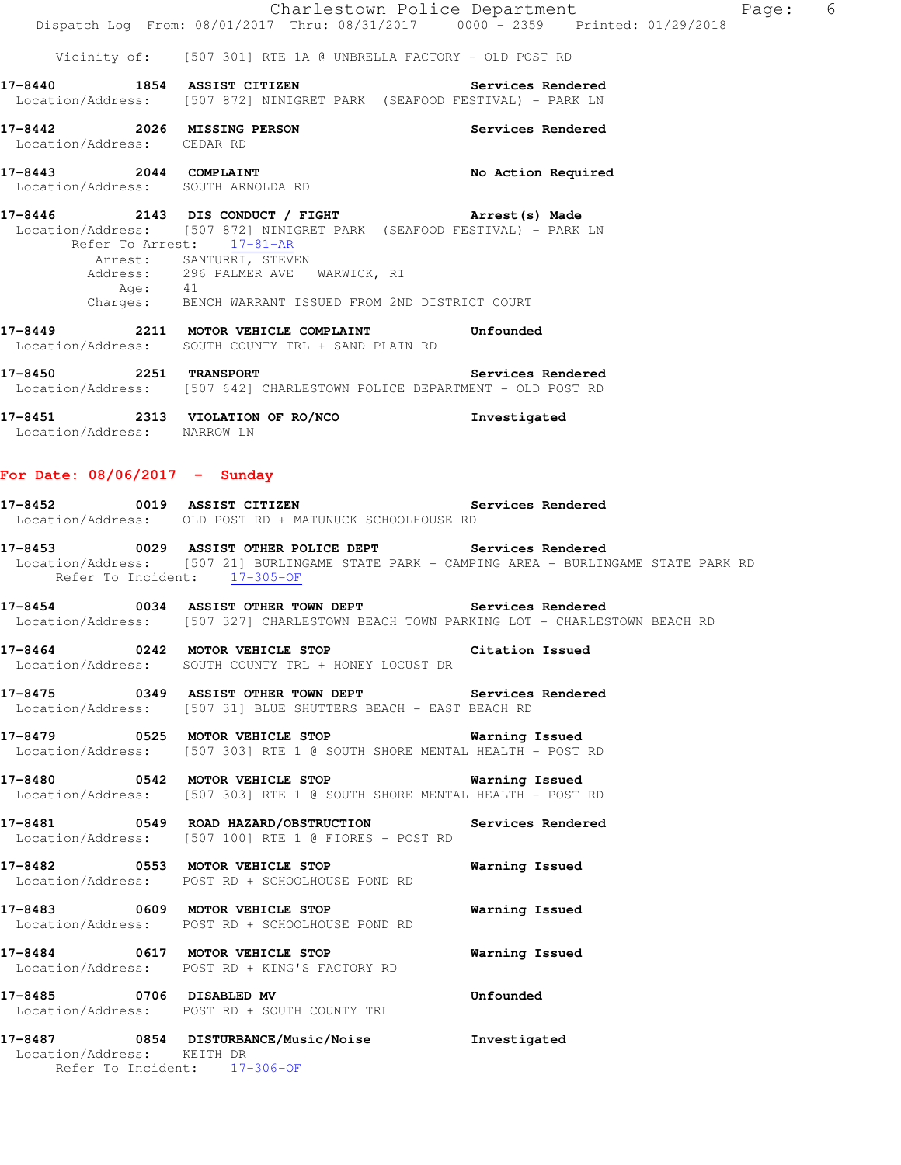Vicinity of: [507 301] RTE 1A @ UNBRELLA FACTORY - OLD POST RD

- **17-8440 1854 ASSIST CITIZEN Services Rendered**  Location/Address: [507 872] NINIGRET PARK (SEAFOOD FESTIVAL) - PARK LN
- **17-8442 2026 MISSING PERSON Services Rendered**  Location/Address: CEDAR RD
- 17-8443 2044 COMPLAINT **No Action Required** Location/Address: SOUTH ARNOLDA RD
- **17-8446 2143 DIS CONDUCT / FIGHT Arrest(s) Made**  Location/Address: [507 872] NINIGRET PARK (SEAFOOD FESTIVAL) - PARK LN Refer To Arrest: 17-81-AR Arrest: SANTURRI, STEVEN Address: 296 PALMER AVE WARWICK, RI Age: 41 Charges: BENCH WARRANT ISSUED FROM 2ND DISTRICT COURT
- **17-8449 2211 MOTOR VEHICLE COMPLAINT Unfounded**  Location/Address: SOUTH COUNTY TRL + SAND PLAIN RD
- **17-8450 2251 TRANSPORT Services Rendered**  Location/Address: [507 642] CHARLESTOWN POLICE DEPARTMENT - OLD POST RD
- **17-8451 2313 VIOLATION OF RO/NCO Investigated**  Location/Address: NARROW LN

## **For Date: 08/06/2017 - Sunday**

- **17-8452 0019 ASSIST CITIZEN Services Rendered**  Location/Address: OLD POST RD + MATUNUCK SCHOOLHOUSE RD
- **17-8453 0029 ASSIST OTHER POLICE DEPT Services Rendered**  Location/Address: [507 21] BURLINGAME STATE PARK - CAMPING AREA - BURLINGAME STATE PARK RD Refer To Incident: 17-305-OF
- **17-8454 0034 ASSIST OTHER TOWN DEPT Services Rendered**  Location/Address: [507 327] CHARLESTOWN BEACH TOWN PARKING LOT - CHARLESTOWN BEACH RD
- **17-8464 0242 MOTOR VEHICLE STOP Citation Issued**  Location/Address: SOUTH COUNTY TRL + HONEY LOCUST DR
- **17-8475 0349 ASSIST OTHER TOWN DEPT Services Rendered**  Location/Address: [507 31] BLUE SHUTTERS BEACH - EAST BEACH RD
- **17-8479 0525 MOTOR VEHICLE STOP Warning Issued**  Location/Address: [507 303] RTE 1 @ SOUTH SHORE MENTAL HEALTH - POST RD
- **17-8480 0542 MOTOR VEHICLE STOP Warning Issued**  Location/Address: [507 303] RTE 1 @ SOUTH SHORE MENTAL HEALTH - POST RD
- **17-8481 0549 ROAD HAZARD/OBSTRUCTION Services Rendered**  Location/Address: [507 100] RTE 1 @ FIORES - POST RD
- **17-8482 0553 MOTOR VEHICLE STOP Warning Issued**  Location/Address: POST RD + SCHOOLHOUSE POND RD
- **17-8483 0609 MOTOR VEHICLE STOP Warning Issued**  Location/Address: POST RD + SCHOOLHOUSE POND RD
- **17-8484 0617 MOTOR VEHICLE STOP Warning Issued**  Location/Address: POST RD + KING'S FACTORY RD
- **17-8485 0706 DISABLED MV Unfounded**  Location/Address: POST RD + SOUTH COUNTY TRL
- **17-8487 0854 DISTURBANCE/Music/Noise Investigated**  Location/Address: KEITH DR Refer To Incident: 17-306-OF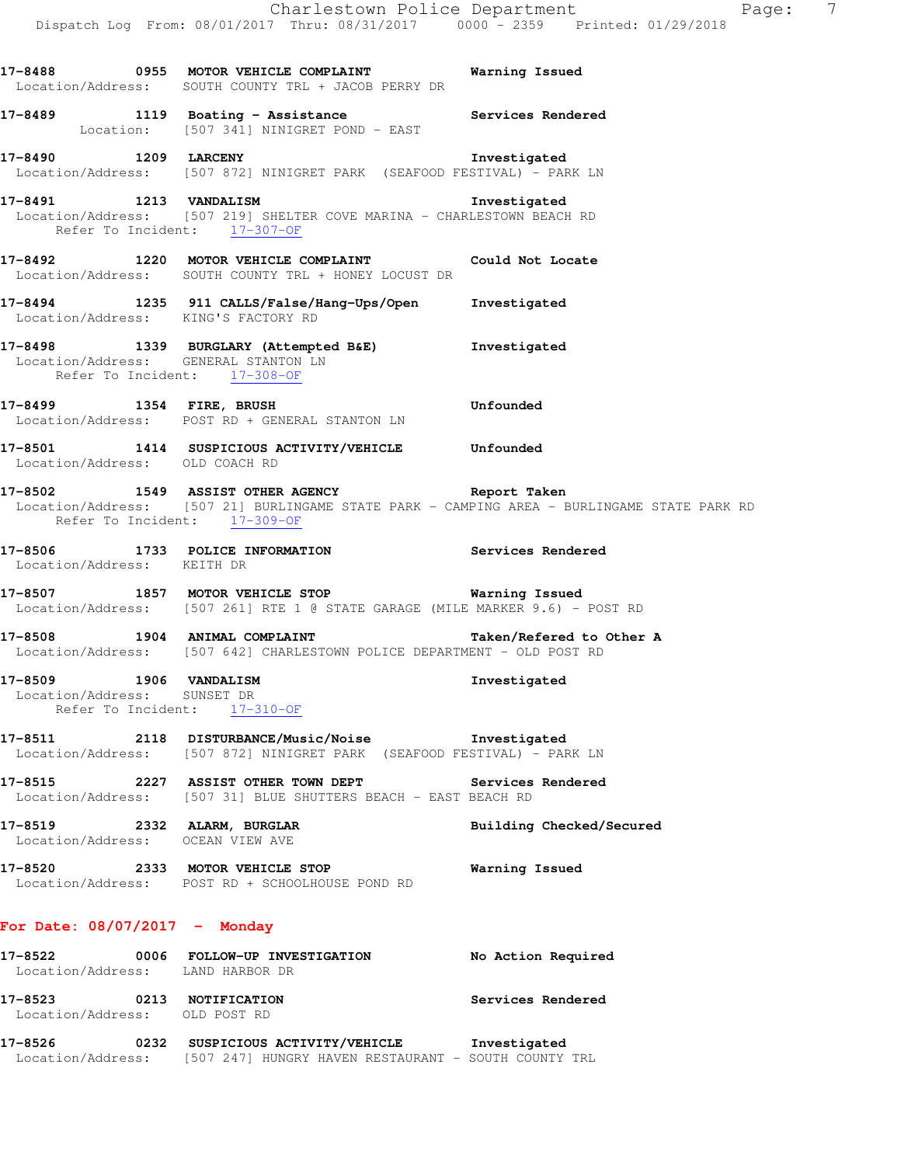**17-8488 0955 MOTOR VEHICLE COMPLAINT Warning Issued**  Location/Address: SOUTH COUNTY TRL + JACOB PERRY DR **17-8489 1119 Boating - Assistance Services Rendered**  Location: [507 341] NINIGRET POND - EAST **17-8490 1209 LARCENY Investigated**  Location/Address: [507 872] NINIGRET PARK (SEAFOOD FESTIVAL) - PARK LN **17-8491 1213 VANDALISM Investigated**  Location/Address: [507 219] SHELTER COVE MARINA - CHARLESTOWN BEACH RD Refer To Incident: 17-307-OF **17-8492 1220 MOTOR VEHICLE COMPLAINT Could Not Locate**  Location/Address: SOUTH COUNTY TRL + HONEY LOCUST DR **17-8494 1235 911 CALLS/False/Hang-Ups/Open Investigated**  Location/Address: KING'S FACTORY RD **17-8498 1339 BURGLARY (Attempted B&E) Investigated**  Location/Address: GENERAL STANTON LN Refer To Incident: 17-308-OF **17-8499 1354 FIRE, BRUSH Unfounded**  Location/Address: POST RD + GENERAL STANTON LN **17-8501 1414 SUSPICIOUS ACTIVITY/VEHICLE Unfounded**  Location/Address: OLD COACH RD **17-8502 1549 ASSIST OTHER AGENCY Report Taken**  Location/Address: [507 21] BURLINGAME STATE PARK - CAMPING AREA - BURLINGAME STATE PARK RD Refer To Incident: 17-309-OF **17-8506 1733 POLICE INFORMATION Services Rendered**  Location/Address: KEITH DR **17-8507 1857 MOTOR VEHICLE STOP Warning Issued**  Location/Address: [507 261] RTE 1 @ STATE GARAGE (MILE MARKER 9.6) - POST RD 17-8508 1904 ANIMAL COMPLAINT **17-8508** Taken/Refered to Other A Location/Address: [507 642] CHARLESTOWN POLICE DEPARTMENT - OLD POST RD **17-8509 1906 VANDALISM Investigated**  Location/Address: SUNSET DR Refer To Incident: 17-310-OF

**17-8511 2118 DISTURBANCE/Music/Noise Investigated**  Location/Address: [507 872] NINIGRET PARK (SEAFOOD FESTIVAL) - PARK LN

**17-8515 2227 ASSIST OTHER TOWN DEPT Services Rendered**  Location/Address: [507 31] BLUE SHUTTERS BEACH - EAST BEACH RD

**17-8519 2332 ALARM, BURGLAR Building Checked/Secured**  Location/Address: OCEAN VIEW AVE

**17-8520 2333 MOTOR VEHICLE STOP Warning Issued**  Location/Address: POST RD + SCHOOLHOUSE POND RD

## **For Date: 08/07/2017 - Monday**

| 17–8522                                  |      | 0006 FOLLOW-UP INVESTIGATION<br>Location/Address: LAND HARBOR DR | No Action Required |
|------------------------------------------|------|------------------------------------------------------------------|--------------------|
| 17–8523<br>Location/Address: OLD POST RD | 0213 | NOTIFICATION                                                     | Services Rendered  |

**17-8526 0232 SUSPICIOUS ACTIVITY/VEHICLE Investigated**  Location/Address: [507 247] HUNGRY HAVEN RESTAURANT - SOUTH COUNTY TRL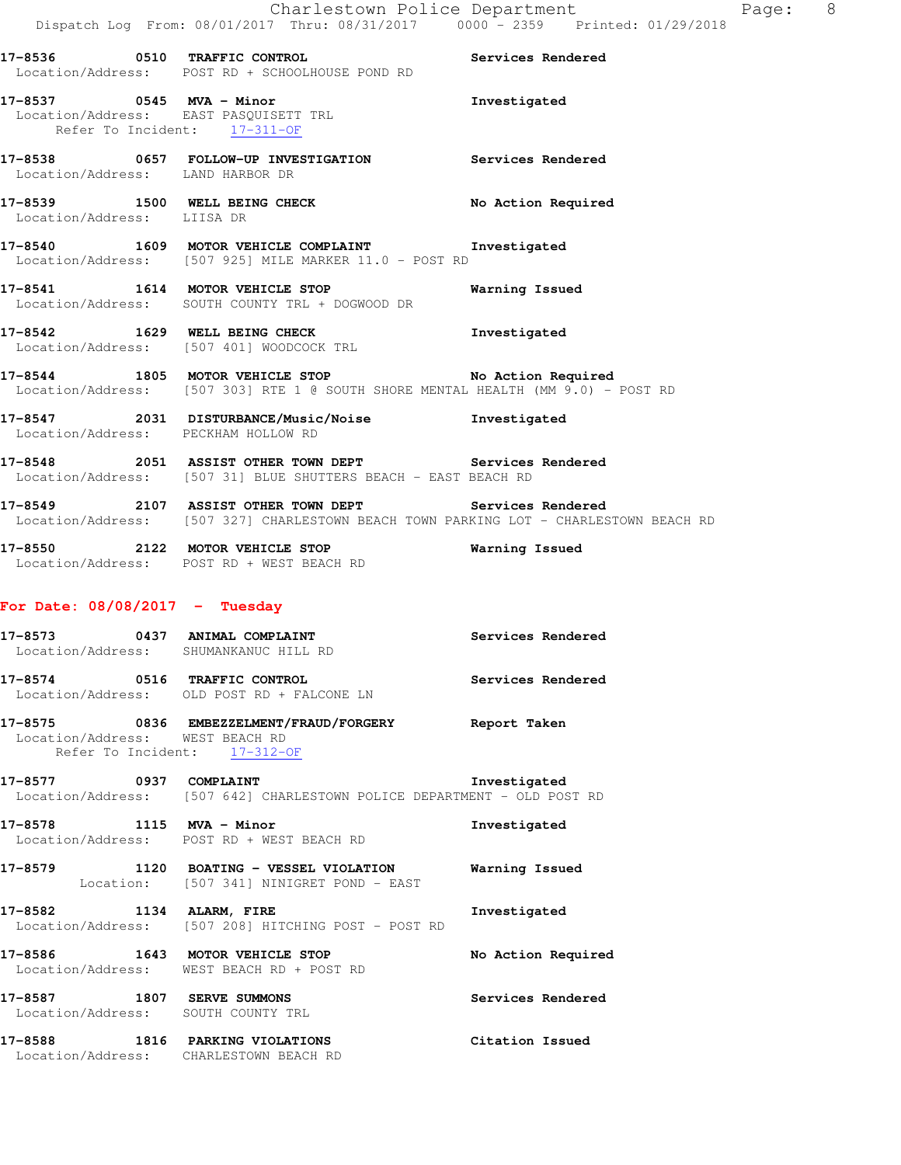**17-8536 0510 TRAFFIC CONTROL Services Rendered**  Location/Address: POST RD + SCHOOLHOUSE POND RD

**17-8537 0545 MVA - Minor Investigated**  Location/Address: EAST PASQUISETT TRL Refer To Incident: 17-311-OF

**17-8538 0657 FOLLOW-UP INVESTIGATION Services Rendered**  Location/Address: LAND HARBOR DR

17-8539 1500 WELL BEING CHECK No Action Required Location/Address: LIISA DR

**17-8540 1609 MOTOR VEHICLE COMPLAINT Investigated**  Location/Address: [507 925] MILE MARKER 11.0 - POST RD

**17-8541 1614 MOTOR VEHICLE STOP Warning Issued**  Location/Address: SOUTH COUNTY TRL + DOGWOOD DR

**17-8542 1629 WELL BEING CHECK Investigated**  Location/Address: [507 401] WOODCOCK TRL

**17-8544 1805 MOTOR VEHICLE STOP No Action Required**  Location/Address: [507 303] RTE 1 @ SOUTH SHORE MENTAL HEALTH (MM 9.0) - POST RD

**17-8547 2031 DISTURBANCE/Music/Noise Investigated**  Location/Address: PECKHAM HOLLOW RD

**17-8548 2051 ASSIST OTHER TOWN DEPT Services Rendered**  Location/Address: [507 31] BLUE SHUTTERS BEACH - EAST BEACH RD

**17-8549 2107 ASSIST OTHER TOWN DEPT Services Rendered**  Location/Address: [507 327] CHARLESTOWN BEACH TOWN PARKING LOT - CHARLESTOWN BEACH RD

**17-8550 2122 MOTOR VEHICLE STOP Warning Issued**  Location/Address: POST RD + WEST BEACH RD

## **For Date: 08/08/2017 - Tuesday**

**17-8573 0437 ANIMAL COMPLAINT Services Rendered**  Location/Address: SHUMANKANUC HILL RD **17-8574 0516 TRAFFIC CONTROL Services Rendered**  Location/Address: OLD POST RD + FALCONE LN

**17-8575 0836 EMBEZZELMENT/FRAUD/FORGERY Report Taken**  Location/Address: WEST BEACH RD Refer To Incident: 17-312-OF

**17-8577 0937 COMPLAINT Investigated**  Location/Address: [507 642] CHARLESTOWN POLICE DEPARTMENT - OLD POST RD

**17-8578 1115 MVA - Minor Investigated**  Location/Address: POST RD + WEST BEACH RD

**17-8579 1120 BOATING - VESSEL VIOLATION Warning Issued**  Location: [507 341] NINIGRET POND - EAST

**17-8582 1134 ALARM, FIRE Investigated**  Location/Address: [507 208] HITCHING POST - POST RD

**17-8586 1643 MOTOR VEHICLE STOP No Action Required**  Location/Address: WEST BEACH RD + POST RD

**17-8587 1807 SERVE SUMMONS Services Rendered**  Location/Address: SOUTH COUNTY TRL

**17-8588 1816 PARKING VIOLATIONS Citation Issued**  Location/Address: CHARLESTOWN BEACH RD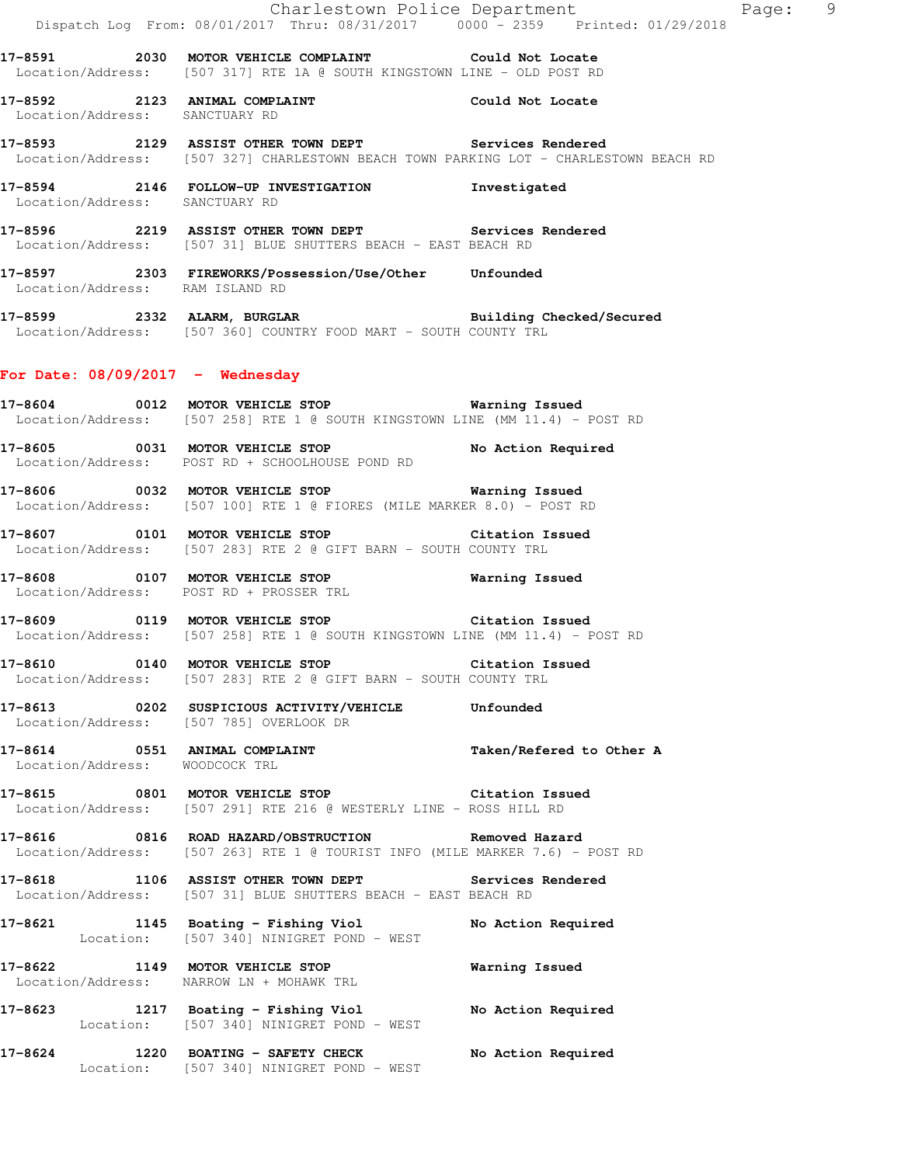|                                    | Dispatch Log From: 08/01/2017 Thru: 08/31/2017 0000 - 2359 Printed: 01/29/2018                                                                 | Charlestown Police Department<br>Page: 9 |  |
|------------------------------------|------------------------------------------------------------------------------------------------------------------------------------------------|------------------------------------------|--|
|                                    | 17-8591 2030 MOTOR VEHICLE COMPLAINT Could Not Locate<br>Location/Address: [507 317] RTE 1A @ SOUTH KINGSTOWN LINE - OLD POST RD               |                                          |  |
| Location/Address: SANCTUARY RD     | 17-8592 2123 ANIMAL COMPLAINT COULOUR Could Not Locate                                                                                         |                                          |  |
|                                    | 17-8593 2129 ASSIST OTHER TOWN DEPT Services Rendered<br>Location/Address: [507 327] CHARLESTOWN BEACH TOWN PARKING LOT - CHARLESTOWN BEACH RD |                                          |  |
| Location/Address: SANCTUARY RD     | 17-8594 2146 FOLLOW-UP INVESTIGATION Investigated                                                                                              |                                          |  |
|                                    | 17-8596 2219 ASSIST OTHER TOWN DEPT Services Rendered Location/Address: [507 31] BLUE SHUTTERS BEACH - EAST BEACH RD                           |                                          |  |
| Location/Address: RAM ISLAND RD    | 17-8597 2303 FIREWORKS/Possession/Use/Other Unfounded                                                                                          |                                          |  |
|                                    | 17-8599 2332 ALARM, BURGLAR BURGER Building Checked/Secured<br>Location/Address: [507 360] COUNTRY FOOD MART - SOUTH COUNTY TRL                |                                          |  |
| For Date: $08/09/2017 -$ Wednesday |                                                                                                                                                |                                          |  |
|                                    | 17-8604 0012 MOTOR VEHICLE STOP 60 Warning Issued<br>Location/Address: [507 258] RTE 1 @ SOUTH KINGSTOWN LINE (MM 11.4) - POST RD              |                                          |  |
|                                    | 17-8605 0031 MOTOR VEHICLE STOP No Action Required<br>Location/Address: POST RD + SCHOOLHOUSE POND RD                                          |                                          |  |
|                                    | 17-8606 0032 MOTOR VEHICLE STOP 6 Warning Issued<br>Location/Address: [507 100] RTE 1 @ FIORES (MILE MARKER 8.0) - POST RD                     |                                          |  |
|                                    | 17-8607 0101 MOTOR VEHICLE STOP Citation Issued<br>Location/Address: [507 283] RTE 2 @ GIFT BARN - SOUTH COUNTY TRL                            |                                          |  |
|                                    | 17-8608 0107 MOTOR VEHICLE STOP<br>Location/Address: POST RD + PROSSER TRL                                                                     | <b>Warning Issued</b>                    |  |
|                                    | 17-8609 0119 MOTOR VEHICLE STOP Citation Issued<br>Location/Address: [507 258] RTE 1 @ SOUTH KINGSTOWN LINE (MM 11.4) - POST RD                |                                          |  |
| 17-8610                            | 0140 MOTOR VEHICLE STOP THE Citation Issued<br>Location/Address: [507 283] RTE 2 @ GIFT BARN - SOUTH COUNTY TRL                                |                                          |  |
|                                    | 17-8613 0202 SUSPICIOUS ACTIVITY/VEHICLE Unfounded<br>Location/Address: [507 785] OVERLOOK DR                                                  |                                          |  |
| Location/Address: WOODCOCK TRL     | 17-8614 0551 ANIMAL COMPLAINT                                                                                                                  | Taken/Refered to Other A                 |  |
|                                    | 17-8615 0801 MOTOR VEHICLE STOP Citation Issued<br>Location/Address: [507 291] RTE 216 @ WESTERLY LINE - ROSS HILL RD                          |                                          |  |
|                                    | 17-8616 0816 ROAD HAZARD/OBSTRUCTION Removed Hazard<br>Location/Address: [507 263] RTE 1 @ TOURIST INFO (MILE MARKER 7.6) - POST RD            |                                          |  |
|                                    | 17-8618 1106 ASSIST OTHER TOWN DEPT Services Rendered<br>Location/Address: [507 31] BLUE SHUTTERS BEACH - EAST BEACH RD                        |                                          |  |
|                                    | 17-8621 1145 Boating - Fishing Viol<br>Location: [507 340] NINIGRET POND - WEST                                                                | No Action Required                       |  |
|                                    | 17-8622 1149 MOTOR VEHICLE STOP<br>Location/Address: NARROW LN + MOHAWK TRL                                                                    | Warning Issued                           |  |
|                                    | 17-8623 1217 Boating - Fishing Viol<br>Location: [507 340] NINIGRET POND - WEST                                                                | No Action Required                       |  |
|                                    | 17-8624 1220 BOATING - SAFETY CHECK<br>Location: [507 340] NINIGRET POND - WEST                                                                | No Action Required                       |  |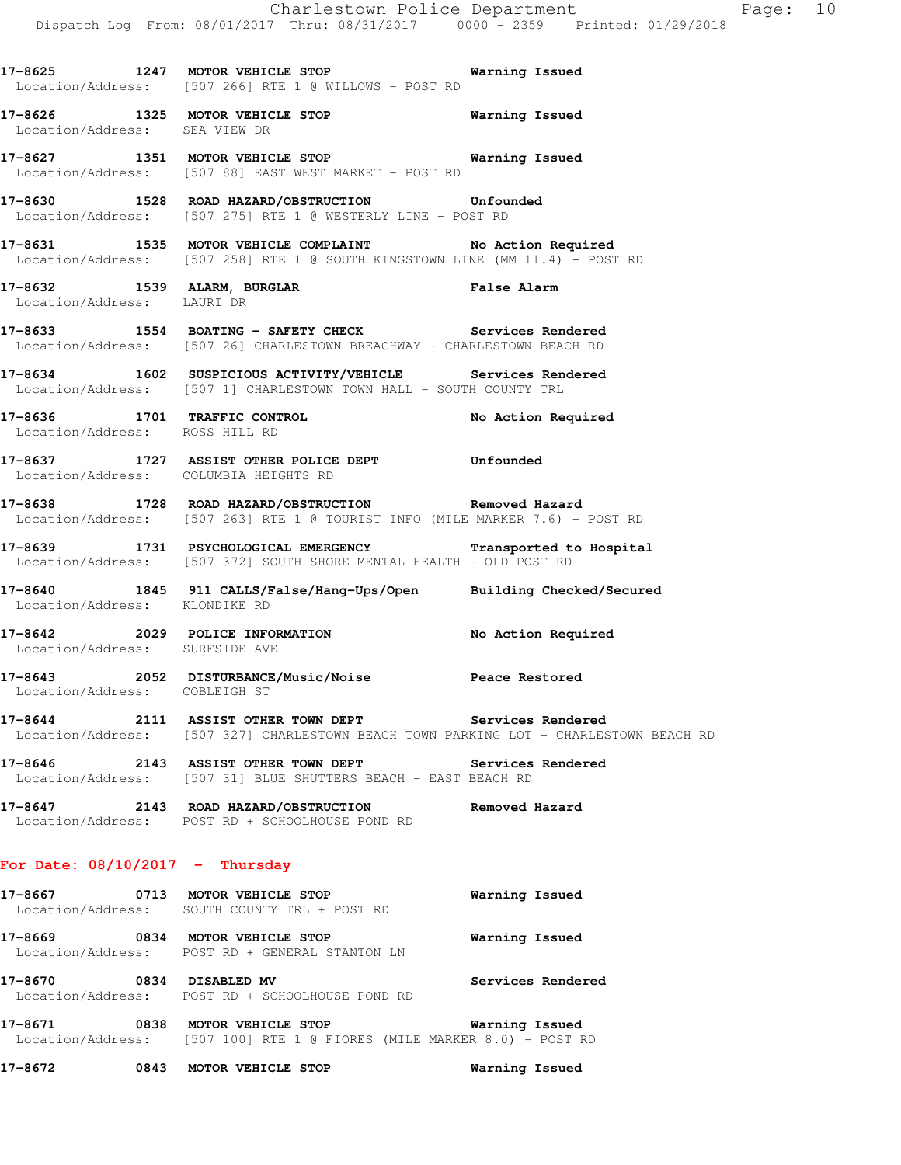**17-8625 1247 MOTOR VEHICLE STOP Warning Issued**  Location/Address: [507 266] RTE 1 @ WILLOWS - POST RD

- **17-8626 1325 MOTOR VEHICLE STOP Warning Issued**  Location/Address: SEA VIEW DR
- **17-8627 1351 MOTOR VEHICLE STOP Warning Issued**  Location/Address: [507 88] EAST WEST MARKET - POST RD
- **17-8630 1528 ROAD HAZARD/OBSTRUCTION Unfounded**  Location/Address: [507 275] RTE 1 @ WESTERLY LINE - POST RD
- **17-8631 1535 MOTOR VEHICLE COMPLAINT No Action Required**  Location/Address: [507 258] RTE 1 @ SOUTH KINGSTOWN LINE (MM 11.4) - POST RD
- **17-8632 1539 ALARM, BURGLAR False Alarm**  Location/Address: LAURI DR
- **17-8633 1554 BOATING SAFETY CHECK Services Rendered**  Location/Address: [507 26] CHARLESTOWN BREACHWAY - CHARLESTOWN BEACH RD
- **17-8634 1602 SUSPICIOUS ACTIVITY/VEHICLE Services Rendered**  Location/Address: [507 1] CHARLESTOWN TOWN HALL - SOUTH COUNTY TRL
- **17-8636 1701 TRAFFIC CONTROL No Action Required**  Location/Address: ROSS HILL RD
- **17-8637 1727 ASSIST OTHER POLICE DEPT Unfounded**  Location/Address: COLUMBIA HEIGHTS RD
- **17-8638 1728 ROAD HAZARD/OBSTRUCTION Removed Hazard**  Location/Address: [507 263] RTE 1 @ TOURIST INFO (MILE MARKER 7.6) - POST RD
- **17-8639 1731 PSYCHOLOGICAL EMERGENCY Transported to Hospital**  Location/Address: [507 372] SOUTH SHORE MENTAL HEALTH - OLD POST RD
- **17-8640 1845 911 CALLS/False/Hang-Ups/Open Building Checked/Secured**  Location/Address: KLONDIKE RD
- **17-8642 2029 POLICE INFORMATION No Action Required**  Location/Address: SURFSIDE AVE
- **17-8643 2052 DISTURBANCE/Music/Noise Peace Restored**  Location/Address: COBLEIGH ST
- **17-8644 2111 ASSIST OTHER TOWN DEPT Services Rendered**  Location/Address: [507 327] CHARLESTOWN BEACH TOWN PARKING LOT - CHARLESTOWN BEACH RD
- **17-8646 2143 ASSIST OTHER TOWN DEPT Services Rendered**  Location/Address: [507 31] BLUE SHUTTERS BEACH - EAST BEACH RD
- **17-8647 2143 ROAD HAZARD/OBSTRUCTION Removed Hazard**  Location/Address: POST RD + SCHOOLHOUSE POND RD

## **For Date: 08/10/2017 - Thursday**

- **17-8667 0713 MOTOR VEHICLE STOP Warning Issued**  Location/Address: SOUTH COUNTY TRL + POST RD **17-8669 0834 MOTOR VEHICLE STOP Warning Issued**  Location/Address: POST RD + GENERAL STANTON LN
- **17-8670 0834 DISABLED MV Services Rendered**  Location/Address: POST RD + SCHOOLHOUSE POND RD
- **17-8671 0838 MOTOR VEHICLE STOP Warning Issued**  Location/Address: [507 100] RTE 1 @ FIORES (MILE MARKER 8.0) - POST RD
- **17-8672 0843 MOTOR VEHICLE STOP Warning Issued**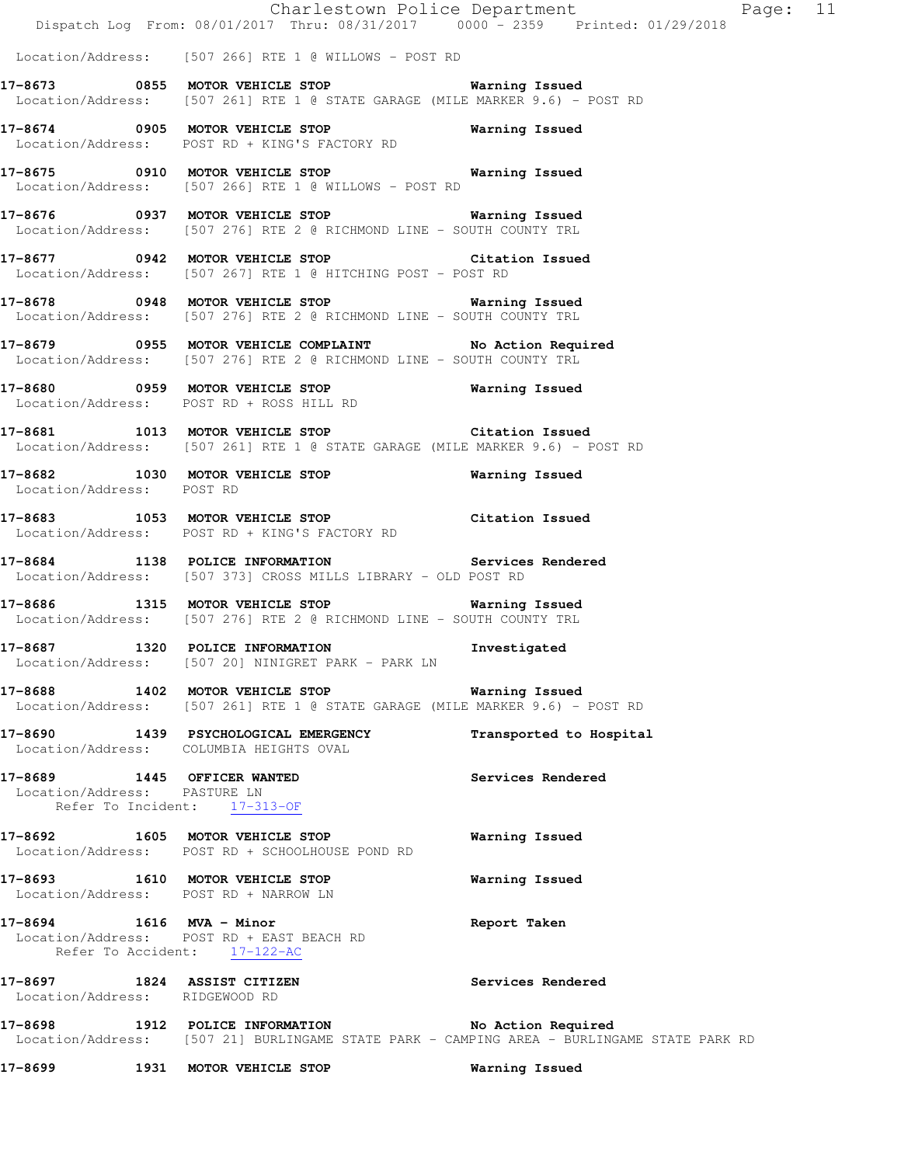Charlestown Police Department Fage: 11 Dispatch Log From: 08/01/2017 Thru: 08/31/2017 0000 - 2359 Printed: 01/29/2018 Location/Address: [507 266] RTE 1 @ WILLOWS - POST RD **17-8673 0855 MOTOR VEHICLE STOP Warning Issued**  Location/Address: [507 261] RTE 1 @ STATE GARAGE (MILE MARKER 9.6) - POST RD **17-8674 0905 MOTOR VEHICLE STOP Warning Issued**  Location/Address: POST RD + KING'S FACTORY RD **17-8675 0910 MOTOR VEHICLE STOP Warning Issued**  Location/Address: [507 266] RTE 1 @ WILLOWS - POST RD **17-8676 0937 MOTOR VEHICLE STOP Warning Issued**  Location/Address: [507 276] RTE 2 @ RICHMOND LINE - SOUTH COUNTY TRL **17-8677 0942 MOTOR VEHICLE STOP Citation Issued**  Location/Address: [507 267] RTE 1 @ HITCHING POST - POST RD **17-8678 0948 MOTOR VEHICLE STOP Warning Issued**  Location/Address: [507 276] RTE 2 @ RICHMOND LINE - SOUTH COUNTY TRL **17-8679 0955 MOTOR VEHICLE COMPLAINT No Action Required**  Location/Address: [507 276] RTE 2 @ RICHMOND LINE - SOUTH COUNTY TRL **17-8680 0959 MOTOR VEHICLE STOP Warning Issued**  Location/Address: POST RD + ROSS HILL RD **17-8681 1013 MOTOR VEHICLE STOP Citation Issued**  Location/Address: [507 261] RTE 1 @ STATE GARAGE (MILE MARKER 9.6) - POST RD **17-8682 1030 MOTOR VEHICLE STOP Warning Issued**  Location/Address: POST RD **17-8683 1053 MOTOR VEHICLE STOP Citation Issued**  Location/Address: POST RD + KING'S FACTORY RD **17-8684 1138 POLICE INFORMATION Services Rendered**  Location/Address: [507 373] CROSS MILLS LIBRARY - OLD POST RD **17-8686 1315 MOTOR VEHICLE STOP Warning Issued**  Location/Address: [507 276] RTE 2 @ RICHMOND LINE - SOUTH COUNTY TRL **17-8687 1320 POLICE INFORMATION Investigated**  Location/Address: [507 20] NINIGRET PARK - PARK LN **17-8688 1402 MOTOR VEHICLE STOP Warning Issued**  Location/Address: [507 261] RTE 1 @ STATE GARAGE (MILE MARKER 9.6) - POST RD **17-8690 1439 PSYCHOLOGICAL EMERGENCY Transported to Hospital**  Location/Address: COLUMBIA HEIGHTS OVAL **17-8689 1445 OFFICER WANTED Services Rendered**  Location/Address: PASTURE LN Refer To Incident: 17-313-OF **17-8692 1605 MOTOR VEHICLE STOP Warning Issued**  Location/Address: POST RD + SCHOOLHOUSE POND RD

**17-8693 1610 MOTOR VEHICLE STOP Warning Issued**  Location/Address: POST RD + NARROW LN

**17-8694 1616 MVA - Minor Report Taken**  Location/Address: POST RD + EAST BEACH RD Refer To Accident: 17-122-AC

**17-8697 1824 ASSIST CITIZEN Services Rendered**  Location/Address: RIDGEWOOD RD

**17-8698 1912 POLICE INFORMATION No Action Required**  Location/Address: [507 21] BURLINGAME STATE PARK - CAMPING AREA - BURLINGAME STATE PARK RD

**17-8699 1931 MOTOR VEHICLE STOP Warning Issued**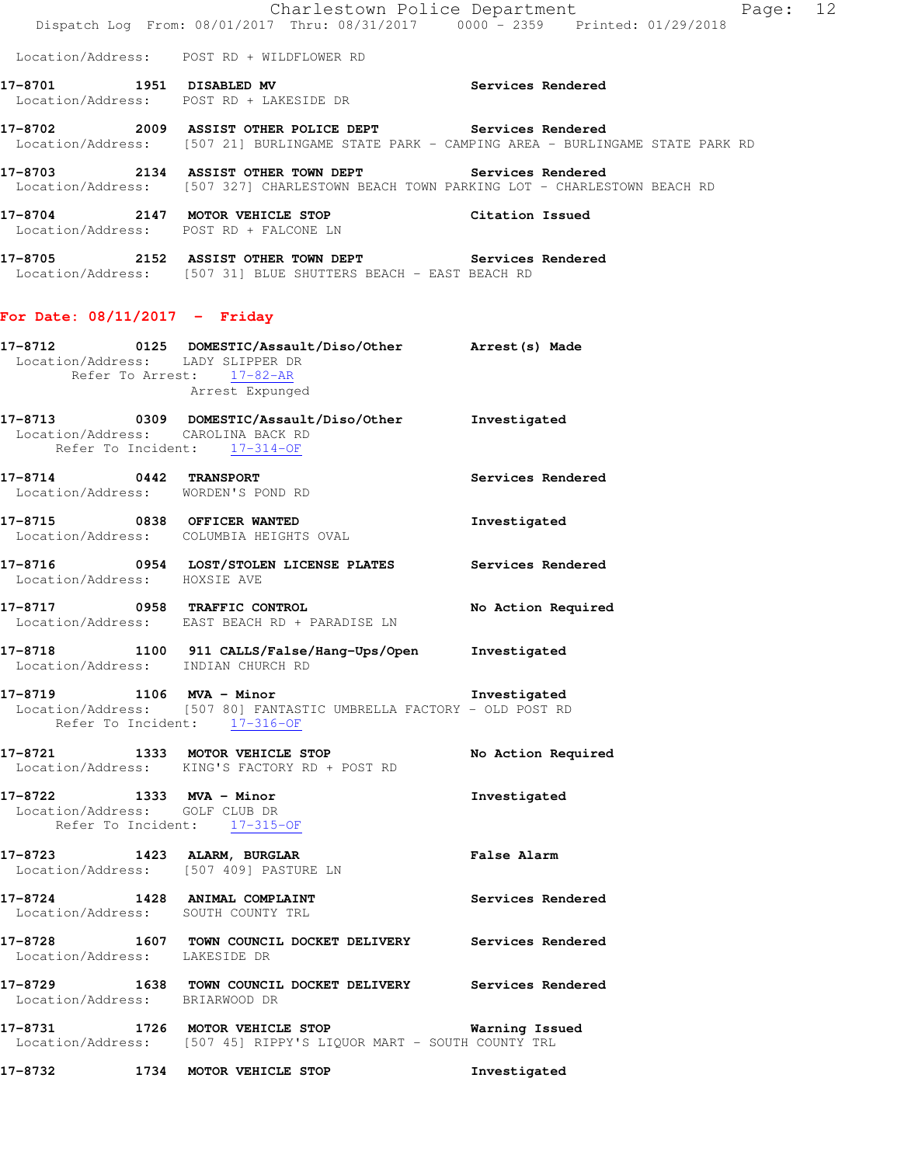**17-8705 2152 ASSIST OTHER TOWN DEPT Services Rendered**  Location/Address: [507 31] BLUE SHUTTERS BEACH - EAST BEACH RD

## **For Date: 08/11/2017 - Friday**

| Location/Address: LADY SLIPPER DR                          | 17-8712 0125 DOMESTIC/Assault/Diso/Other Arrest(s) Made<br>Refer To Arrest: 17-82-AR<br>Arrest Expunged                                 |                    |
|------------------------------------------------------------|-----------------------------------------------------------------------------------------------------------------------------------------|--------------------|
|                                                            | 17-8713 0309 DOMESTIC/Assault/Diso/Other Investigated<br>Location/Address: CAROLINA BACK RD<br>Refer To Incident: 17-314-OF             |                    |
|                                                            | 17-8714 0442 TRANSPORT<br>Location/Address: WORDEN'S POND RD                                                                            | Services Rendered  |
|                                                            | 17-8715 0838 OFFICER WANTED<br>Location/Address: COLUMBIA HEIGHTS OVAL                                                                  | Investigated       |
| Location/Address: HOXSIE AVE                               | 17-8716 0954 LOST/STOLEN LICENSE PLATES Services Rendered                                                                               |                    |
|                                                            | 17-8717 0958 TRAFFIC CONTROL<br>Location/Address: EAST BEACH RD + PARADISE LN                                                           | No Action Required |
|                                                            | 17-8718 1100 911 CALLS/False/Hang-Ups/Open Investigated<br>Location/Address: INDIAN CHURCH RD                                           |                    |
|                                                            | 17-8719 1106 MVA - Minor 17-8719<br>Location/Address: [507 80] FANTASTIC UMBRELLA FACTORY - OLD POST RD<br>Refer To Incident: 17-316-OF |                    |
|                                                            | 17-8721 1333 MOTOR VEHICLE STOP No Action Required<br>Location/Address: KING'S FACTORY RD + POST RD                                     |                    |
| 17-8722 1333 MVA - Minor<br>Location/Address: GOLF CLUB DR | Refer To Incident: 17-315-OF                                                                                                            | Investigated       |
| 17-8723 1423 ALARM, BURGLAR                                | Location/Address: [507 409] PASTURE LN                                                                                                  | <b>False Alarm</b> |
|                                                            | 17-8724 1428 ANIMAL COMPLAINT<br>Location/Address: SOUTH COUNTY TRL                                                                     | Services Rendered  |
|                                                            | 17-8728 1607 TOWN COUNCIL DOCKET DELIVERY Services Rendered<br>Location/Address: LAKESIDE DR                                            |                    |
| Location/Address: BRIARWOOD DR                             | 17-8729 1638 TOWN COUNCIL DOCKET DELIVERY Services Rendered                                                                             |                    |
|                                                            | 17-8731 1726 MOTOR VEHICLE STOP<br>Location/Address: [507 45] RIPPY'S LIQUOR MART - SOUTH COUNTY TRL                                    | Warning Issued     |

**17-8732 1734 MOTOR VEHICLE STOP Investigated**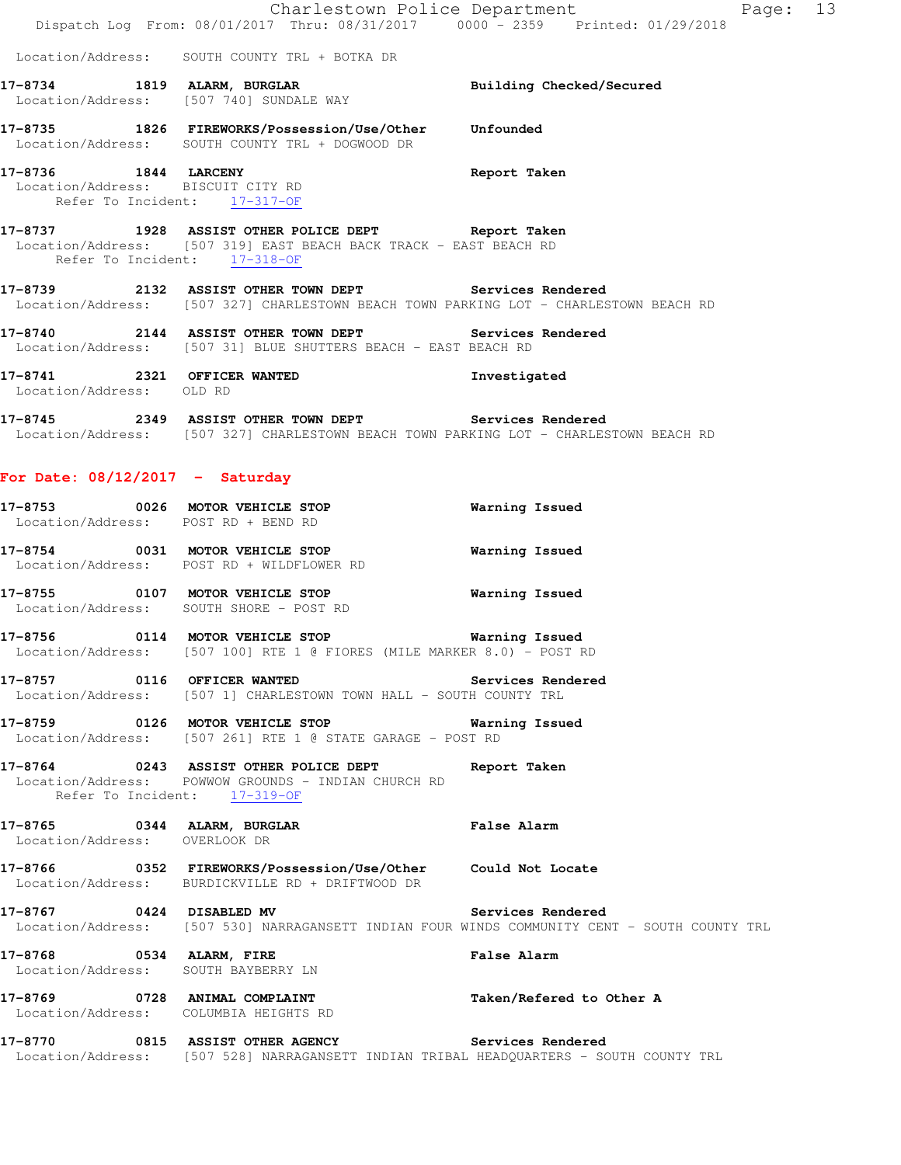|                                                         | Dispatch Log From: 08/01/2017 Thru: 08/31/2017 0000 - 2359 Printed: 01/29/2018                                                                 | Charlestown Police Department<br>Page: 13                                                                         |
|---------------------------------------------------------|------------------------------------------------------------------------------------------------------------------------------------------------|-------------------------------------------------------------------------------------------------------------------|
|                                                         | Location/Address: SOUTH COUNTY TRL + BOTKA DR                                                                                                  |                                                                                                                   |
|                                                         | 17-8734 1819 ALARM, BURGLAR<br>Location/Address: [507 740] SUNDALE WAY                                                                         | Building Checked/Secured                                                                                          |
|                                                         | 17-8735 1826 FIREWORKS/Possession/Use/Other Unfounded<br>Location/Address: SOUTH COUNTY TRL + DOGWOOD DR                                       |                                                                                                                   |
| Refer To Incident: 17-317-OF                            | 17-8736 1844 LARCENY<br>Location/Address: BISCUIT CITY RD                                                                                      | Report Taken                                                                                                      |
| Refer To Incident: 17-318-OF                            | 17-8737 1928 ASSIST OTHER POLICE DEPT Report Taken<br>Location/Address: [507 319] EAST BEACH BACK TRACK - EAST BEACH RD                        |                                                                                                                   |
|                                                         | 17-8739 2132 ASSIST OTHER TOWN DEPT Services Rendered<br>Location/Address: [507 327] CHARLESTOWN BEACH TOWN PARKING LOT - CHARLESTOWN BEACH RD |                                                                                                                   |
|                                                         | 17-8740 2144 ASSIST OTHER TOWN DEPT Services Rendered<br>Location/Address: [507 31] BLUE SHUTTERS BEACH - EAST BEACH RD                        |                                                                                                                   |
| 17-8741 2321 OFFICER WANTED<br>Location/Address: OLD RD |                                                                                                                                                | Investigated                                                                                                      |
|                                                         | 17-8745 2349 ASSIST OTHER TOWN DEPT Services Rendered<br>Location/Address: [507 327] CHARLESTOWN BEACH TOWN PARKING LOT - CHARLESTOWN BEACH RD |                                                                                                                   |
| For Date: $08/12/2017 -$ Saturday                       |                                                                                                                                                |                                                                                                                   |
| Location/Address: POST RD + BEND RD                     | 17-8753 0026 MOTOR VEHICLE STOP                                                                                                                | <b>Warning Issued</b>                                                                                             |
|                                                         | 17-8754 0031 MOTOR VEHICLE STOP<br>Location/Address: POST RD + WILDFLOWER RD                                                                   | <b>Warning Issued</b>                                                                                             |
|                                                         | 17-8755 0107 MOTOR VEHICLE STOP 6 Warning Issued<br>Location/Address: SOUTH SHORE - POST RD                                                    |                                                                                                                   |
|                                                         | 17-8756 0114 MOTOR VEHICLE STOP 6 Warning Issued<br>Location/Address: [507 100] RTE 1 @ FIORES (MILE MARKER 8.0) - POST RD                     |                                                                                                                   |
|                                                         | 17-8757 0116 OFFICER WANTED Services Rendered<br>Location/Address: [507 1] CHARLESTOWN TOWN HALL - SOUTH COUNTY TRL                            |                                                                                                                   |
|                                                         | 17-8759 0126 MOTOR VEHICLE STOP 6 Warning Issued<br>Location/Address: [507 261] RTE 1 @ STATE GARAGE - POST RD                                 |                                                                                                                   |
| Refer To Incident: 17-319-OF                            | 17-8764 0243 ASSIST OTHER POLICE DEPT Report Taken<br>Location/Address: POWWOW GROUNDS - INDIAN CHURCH RD                                      |                                                                                                                   |
| Location/Address: OVERLOOK DR                           | 17-8765 0344 ALARM, BURGLAR                                                                                                                    | <b>False Alarm</b>                                                                                                |
|                                                         | 17-8766  0352 FIREWORKS/Possession/Use/Other  Could Not Locate<br>Location/Address: BURDICKVILLE RD + DRIFTWOOD DR                             |                                                                                                                   |
| 17-8767 0424 DISABLED MV                                |                                                                                                                                                | Services Rendered<br>Location/Address: [507 530] NARRAGANSETT INDIAN FOUR WINDS COMMUNITY CENT - SOUTH COUNTY TRL |
| 17-8768 0534 ALARM, FIRE                                | Location/Address: SOUTH BAYBERRY LN                                                                                                            | False Alarm                                                                                                       |
| Location/Address: COLUMBIA HEIGHTS RD                   | 17-8769 0728 ANIMAL COMPLAINT                                                                                                                  | Taken/Refered to Other A                                                                                          |
|                                                         | 17-8770 0815 ASSIST OTHER AGENCY Services Rendered<br>Location/Address: [507 528] NARRAGANSETT INDIAN TRIBAL HEADQUARTERS - SOUTH COUNTY TRL   |                                                                                                                   |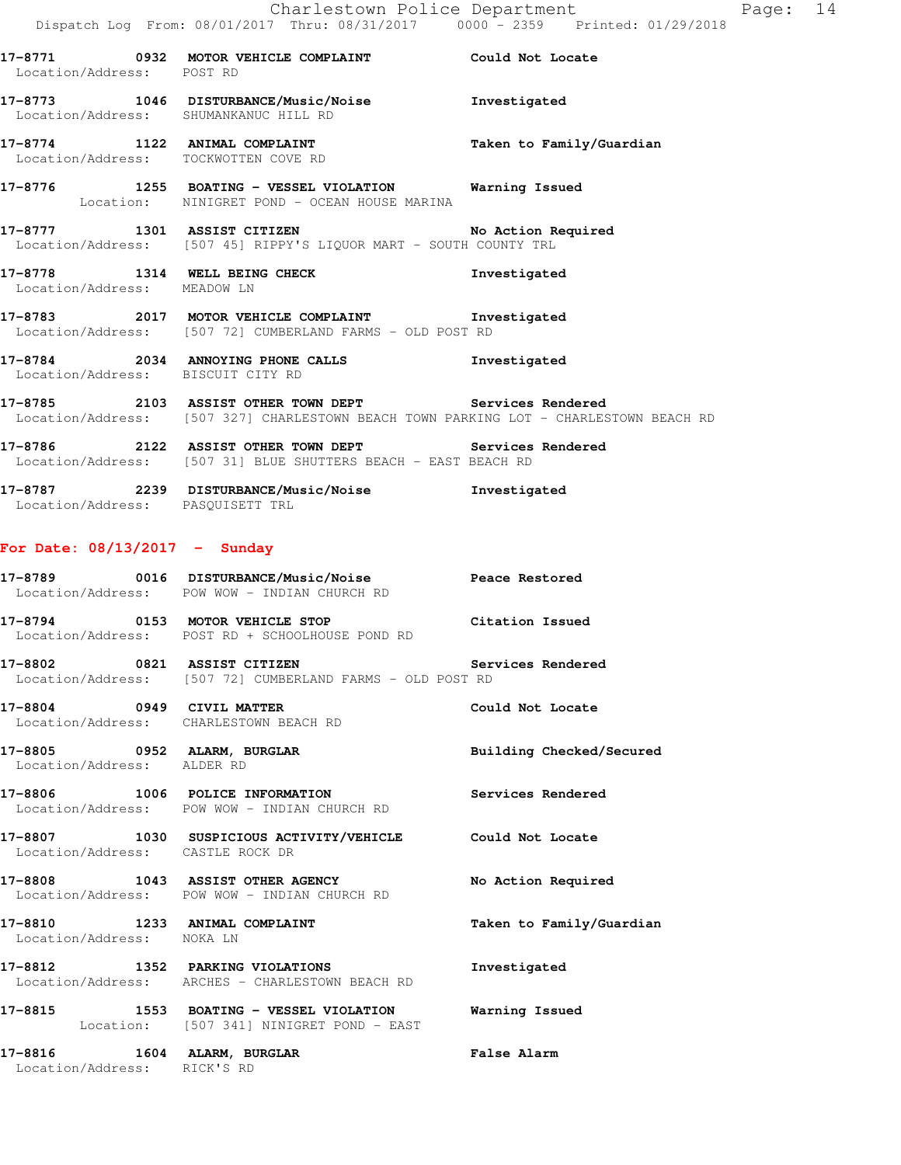| Location/Address: POST RD   | 17-8771 0932 MOTOR VEHICLE COMPLAINT Could Not Locate                                                                                          |                          |
|-----------------------------|------------------------------------------------------------------------------------------------------------------------------------------------|--------------------------|
|                             | 17-8773 1046 DISTURBANCE/Music/Noise<br>Location/Address: SHUMANKANUC HILL RD                                                                  | Investigated             |
|                             | 17-8774 1122 ANIMAL COMPLAINT<br>Location/Address: TOCKWOTTEN COVE RD                                                                          | Taken to Family/Guardian |
|                             | 17-8776 1255 BOATING - VESSEL VIOLATION Warning Issued<br>Location: NINIGRET POND - OCEAN HOUSE MARINA                                         |                          |
|                             | 17-8777 1301 ASSIST CITIZEN No Action Required<br>Location/Address: [507 45] RIPPY'S LIQUOR MART - SOUTH COUNTY TRL                            |                          |
| Location/Address: MEADOW LN | 17-8778 1314 WELL BEING CHECK                                                                                                                  | Investigated             |
|                             | 17-8783 2017 MOTOR VEHICLE COMPLAINT Threstigated<br>Location/Address: [507 72] CUMBERLAND FARMS - OLD POST RD                                 |                          |
|                             | 17-8784 2034 ANNOYING PHONE CALLS<br>Location/Address: BISCUIT CITY RD                                                                         | Investigated             |
|                             | 17-8785 2103 ASSIST OTHER TOWN DEPT Services Rendered<br>Location/Address: [507 327] CHARLESTOWN BEACH TOWN PARKING LOT - CHARLESTOWN BEACH RD |                          |
| $  -$                       |                                                                                                                                                |                          |

**17-8786 2122 ASSIST OTHER TOWN DEPT Services Rendered**  Location/Address: [507 31] BLUE SHUTTERS BEACH - EAST BEACH RD

**17-8787 2239 DISTURBANCE/Music/Noise Investigated**  Location/Address: PASQUISETT TRL

## **For Date: 08/13/2017 - Sunday**

|                                                            | Location/Address: POW WOW - INDIAN CHURCH RD                                                                       |                          |
|------------------------------------------------------------|--------------------------------------------------------------------------------------------------------------------|--------------------------|
|                                                            | 17-8794 0153 MOTOR VEHICLE STOP<br>Location/Address: POST RD + SCHOOLHOUSE POND RD                                 | Citation Issued          |
|                                                            | 17-8802 6821 ASSIST CITIZEN 17-8802 Services Rendered<br>Location/Address: [507 72] CUMBERLAND FARMS - OLD POST RD |                          |
|                                                            | 17-8804 0949 CIVIL MATTER<br>Location/Address: CHARLESTOWN BEACH RD                                                | Could Not Locate         |
| Location/Address: ALDER RD                                 | 17-8805 0952 ALARM, BURGLAR                                                                                        | Building Checked/Secured |
|                                                            | 17-8806 1006 POLICE INFORMATION Services Rendered<br>Location/Address: POW WOW - INDIAN CHURCH RD                  |                          |
| Location/Address: CASTLE ROCK DR                           | 17-8807 1030 SUSPICIOUS ACTIVITY/VEHICLE Could Not Locate                                                          |                          |
|                                                            | 17-8808 1043 ASSIST OTHER AGENCY<br>Location/Address: POW WOW - INDIAN CHURCH RD                                   | No Action Required       |
| Location/Address: NOKA LN                                  | 17-8810 1233 ANIMAL COMPLAINT                                                                                      | Taken to Family/Guardian |
|                                                            | 17-8812 1352 PARKING VIOLATIONS<br>Location/Address: ARCHES - CHARLESTOWN BEACH RD                                 | Investigated             |
|                                                            | Location: [507 341] NINIGRET POND - EAST                                                                           |                          |
| 17-8816 1604 ALARM, BURGLAR<br>Location/Address: RICK'S RD |                                                                                                                    | False Alarm              |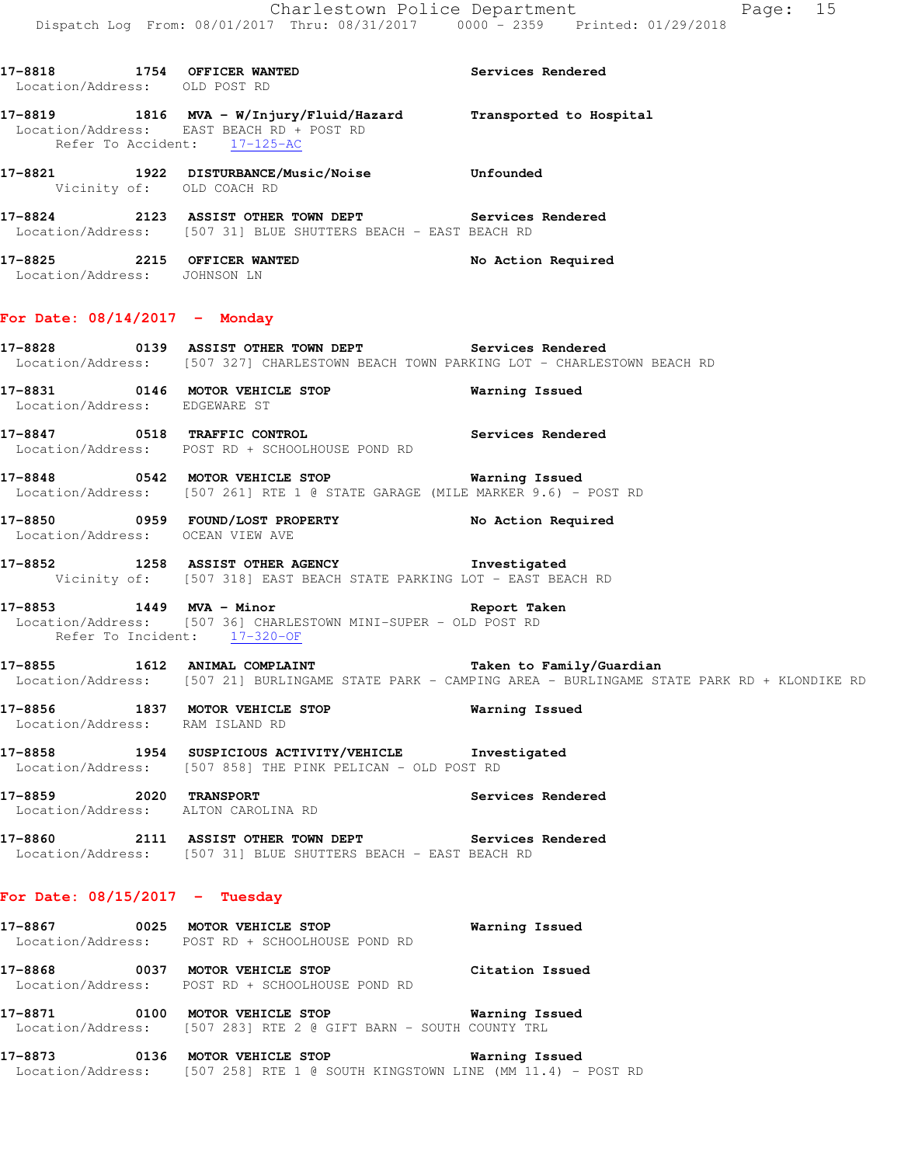| Location/Address: OLD POST RD              | 17-8818 1754 OFFICER WANTED Services Rendered                                                                                                     |                                                                                                          |
|--------------------------------------------|---------------------------------------------------------------------------------------------------------------------------------------------------|----------------------------------------------------------------------------------------------------------|
|                                            | 17-8819 1816 MVA - W/Injury/Fluid/Hazard Transported to Hospital<br>Location/Address: EAST BEACH RD + POST RD<br>Refer To Accident: 17-125-AC     |                                                                                                          |
| Vicinity of: OLD COACH RD                  | 17-8821 1922 DISTURBANCE/Music/Noise Unfounded                                                                                                    |                                                                                                          |
|                                            | 17-8824 2123 ASSIST OTHER TOWN DEPT Services Rendered<br>Location/Address: [507 31] BLUE SHUTTERS BEACH - EAST BEACH RD                           |                                                                                                          |
| Location/Address: JOHNSON LN               | 17-8825 2215 OFFICER WANTED                                                                                                                       | No Action Required                                                                                       |
| For Date: $08/14/2017$ - Monday            |                                                                                                                                                   |                                                                                                          |
|                                            | 17-8828 		 0139 ASSIST OTHER TOWN DEPT Services Rendered<br>Location/Address: [507 327] CHARLESTOWN BEACH TOWN PARKING LOT - CHARLESTOWN BEACH RD |                                                                                                          |
| Location/Address: EDGEWARE ST              | 17-8831 0146 MOTOR VEHICLE STOP 6 Warning Issued                                                                                                  |                                                                                                          |
|                                            | 17-8847 0518 TRAFFIC CONTROL <b>17-8847</b> Services Rendered<br>Location/Address: POST RD + SCHOOLHOUSE POND RD                                  |                                                                                                          |
|                                            | Location/Address: [507 261] RTE 1 @ STATE GARAGE (MILE MARKER 9.6) - POST RD                                                                      |                                                                                                          |
| Location/Address: OCEAN VIEW AVE           | 17-8850 0959 FOUND/LOST PROPERTY No Action Required                                                                                               |                                                                                                          |
|                                            | 17-8852 1258 ASSIST OTHER AGENCY <b>The Contact Contract CONTA</b><br>Vicinity of: [507 318] EAST BEACH STATE PARKING LOT - EAST BEACH RD         |                                                                                                          |
|                                            | 17-8853 1449 MVA - Minor and Seport Taken<br>Location/Address: [507 36] CHARLESTOWN MINI-SUPER - OLD POST RD<br>Refer To Incident: 17-320-OF      |                                                                                                          |
|                                            | 17-8855 1612 ANIMAL COMPLAINT Taken to Family/Guardian                                                                                            | Location/Address: [507 21] BURLINGAME STATE PARK - CAMPING AREA - BURLINGAME STATE PARK RD + KLONDIKE RD |
| 17-8856<br>Location/Address: RAM ISLAND RD | 1837 MOTOR VEHICLE STOP                                                                                                                           | Warning Issued                                                                                           |
|                                            | 17-8858 1954 SUSPICIOUS ACTIVITY/VEHICLE Truestigated<br>Location/Address: [507 858] THE PINK PELICAN - OLD POST RD                               |                                                                                                          |
| <b>17-8859 2020 TRANSPORT</b>              | Location/Address: ALTON CAROLINA RD                                                                                                               | Services Rendered                                                                                        |

**17-8860 2111 ASSIST OTHER TOWN DEPT Services Rendered**  Location/Address: [507 31] BLUE SHUTTERS BEACH - EAST BEACH RD

## **For Date: 08/15/2017 - Tuesday**

- **17-8867 0025 MOTOR VEHICLE STOP Warning Issued**  Location/Address: POST RD + SCHOOLHOUSE POND RD **17-8868 0037 MOTOR VEHICLE STOP Citation Issued**  Location/Address: POST RD + SCHOOLHOUSE POND RD **17-8871 0100 MOTOR VEHICLE STOP Warning Issued**  Location/Address: [507 283] RTE 2 @ GIFT BARN - SOUTH COUNTY TRL
- **17-8873 0136 MOTOR VEHICLE STOP Warning Issued**  Location/Address: [507 258] RTE 1 @ SOUTH KINGSTOWN LINE (MM 11.4) - POST RD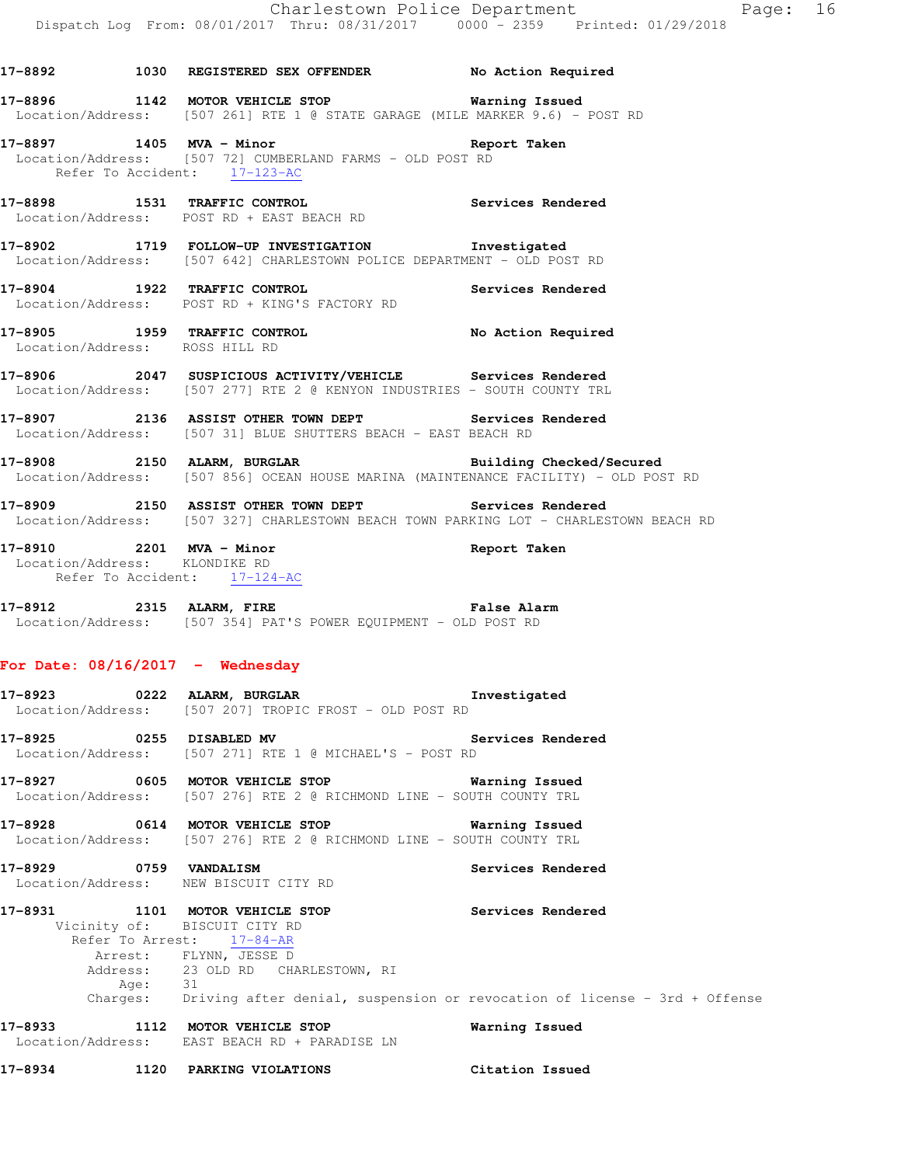| 17-8892                       | 1030 | REGISTERED SEX OFFENDER                                                                            | No Action Required |
|-------------------------------|------|----------------------------------------------------------------------------------------------------|--------------------|
| 17-8896                       | 1142 | MOTOR VEHICLE STOP<br>Location/Address: [507 261] RTE 1 @ STATE GARAGE (MILE MARKER 9.6) - POST RD | Warning Issued     |
| 17-8897<br>Refer To Accident: |      | 1405 MVA - Minor<br>Location/Address: [507 72] CUMBERLAND FARMS - OLD POST RD<br>$17 - 123 - AC$   | Report Taken       |
| 17-8898                       | 1531 | TRAFFIC CONTROL<br>Location/Address: POST RD + EAST BEACH RD                                       | Services Rendered  |
| 17-8902                       | 1719 | FOLLOW-UP INVESTIGATION                                                                            | Investigated       |

Location/Address: [507 642] CHARLESTOWN POLICE DEPARTMENT - OLD POST RD

**17-8904 1922 TRAFFIC CONTROL Services Rendered**  Location/Address: POST RD + KING'S FACTORY RD

**17-8905 1959 TRAFFIC CONTROL No Action Required** 

- Location/Address: ROSS HILL RD **17-8906 2047 SUSPICIOUS ACTIVITY/VEHICLE Services Rendered** 
	- Location/Address: [507 277] RTE 2 @ KENYON INDUSTRIES SOUTH COUNTY TRL
	- **17-8907 2136 ASSIST OTHER TOWN DEPT Services Rendered**  Location/Address: [507 31] BLUE SHUTTERS BEACH - EAST BEACH RD
	- **17-8908 2150 ALARM, BURGLAR Building Checked/Secured**  Location/Address: [507 856] OCEAN HOUSE MARINA (MAINTENANCE FACILITY) - OLD POST RD
	- **17-8909 2150 ASSIST OTHER TOWN DEPT Services Rendered**  Location/Address: [507 327] CHARLESTOWN BEACH TOWN PARKING LOT - CHARLESTOWN BEACH RD
	- **17-8910 2201 MVA Minor Report Taken**  Location/Address: KLONDIKE RD Refer To Accident: 17-124-AC
	- **17-8912 2315 ALARM, FIRE False Alarm**  Location/Address: [507 354] PAT'S POWER EQUIPMENT - OLD POST RD

## **For Date: 08/16/2017 - Wednesday**

- **17-8923 0222 ALARM, BURGLAR Investigated**  Location/Address: [507 207] TROPIC FROST - OLD POST RD
- **17-8925 0255 DISABLED MV Services Rendered**  Location/Address: [507 271] RTE 1 @ MICHAEL'S - POST RD
- **17-8927 0605 MOTOR VEHICLE STOP Warning Issued**  Location/Address: [507 276] RTE 2 @ RICHMOND LINE - SOUTH COUNTY TRL
- **17-8928 0614 MOTOR VEHICLE STOP Warning Issued**  Location/Address: [507 276] RTE 2 @ RICHMOND LINE - SOUTH COUNTY TRL
- **17-8929 0759 VANDALISM Services Rendered**  Location/Address: NEW BISCUIT CITY RD
- **17-8931 1101 MOTOR VEHICLE STOP Services Rendered**  Vicinity of: BISCUIT CITY RD Refer To Arrest:  $17-84-AR$ Arrest: FLYNN, JESSE D 23 OLD RD CHARLESTOWN, RI<br>31 Address:<br>Age: Charges: Driving after denial, suspension or revocation of license - 3rd + Offense
- **17-8933 1112 MOTOR VEHICLE STOP Warning Issued**  Location/Address: EAST BEACH RD + PARADISE LN
- **17-8934 1120 PARKING VIOLATIONS Citation Issued**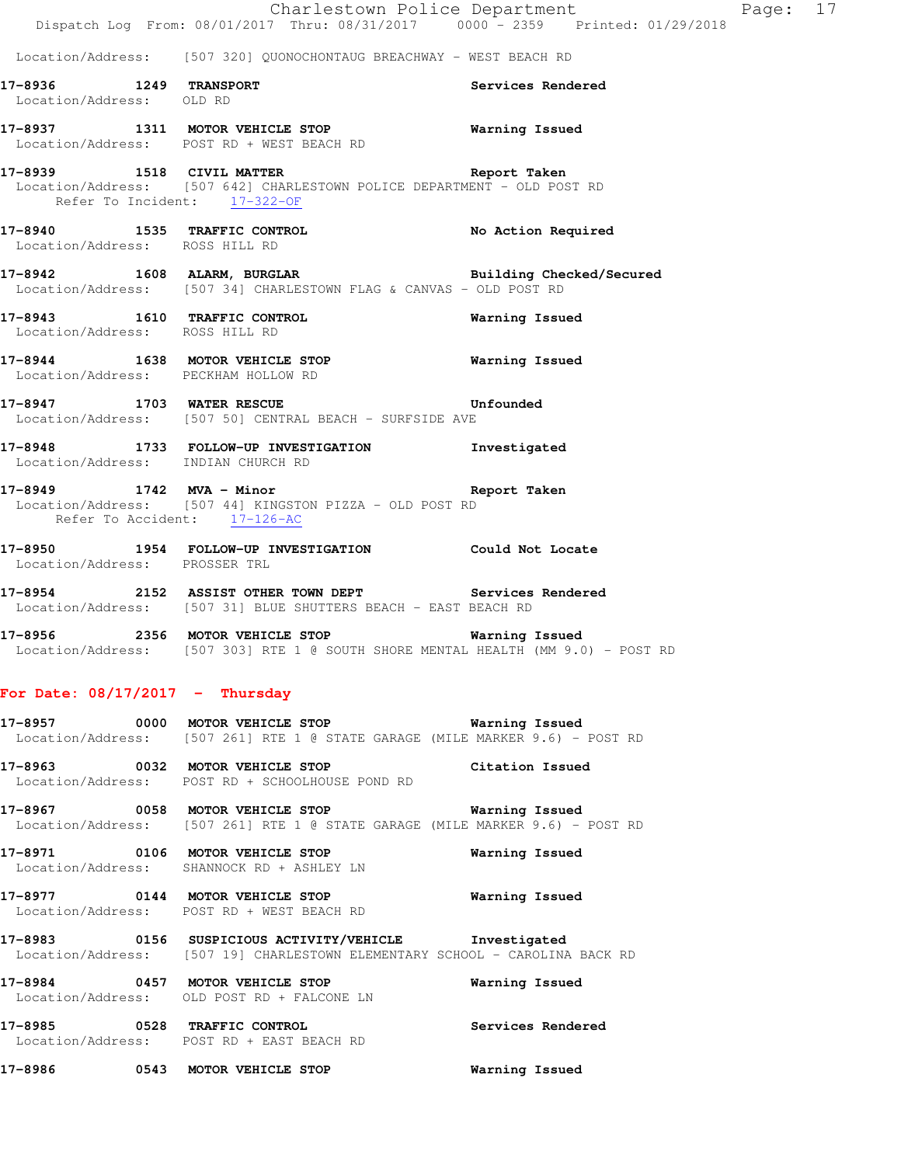|                                   | Dispatch Log From: 08/01/2017 Thru: 08/31/2017 0000 - 2359 Printed: 01/29/2018                                                       | Charlestown Police Department<br>Page: 17 |  |
|-----------------------------------|--------------------------------------------------------------------------------------------------------------------------------------|-------------------------------------------|--|
|                                   | Location/Address: [507 320] QUONOCHONTAUG BREACHWAY - WEST BEACH RD                                                                  |                                           |  |
| Location/Address: OLD RD          | 17-8936 1249 TRANSPORT                                                                                                               | Services Rendered                         |  |
|                                   | 17-8937 1311 MOTOR VEHICLE STOP 6 Warning Issued<br>Location/Address: POST RD + WEST BEACH RD                                        |                                           |  |
| Refer To Incident: 17-322-OF      | 17-8939 1518 CIVIL MATTER Report Taken<br>Location/Address: [507 642] CHARLESTOWN POLICE DEPARTMENT - OLD POST RD                    |                                           |  |
| Location/Address: ROSS HILL RD    | 17-8940 1535 TRAFFIC CONTROL No Action Required                                                                                      |                                           |  |
|                                   | 17-8942 1608 ALARM, BURGLAR 2008 Building Checked/Secured<br>Location/Address: [507 34] CHARLESTOWN FLAG & CANVAS - OLD POST RD      |                                           |  |
| Location/Address: ROSS HILL RD    | 17-8943 1610 TRAFFIC CONTROL                                                                                                         | Warning Issued                            |  |
|                                   | 17-8944 1638 MOTOR VEHICLE STOP 6 Warning Issued<br>Location/Address: PECKHAM HOLLOW RD                                              |                                           |  |
|                                   | 17-8947 1703 WATER RESCUE 17-8947<br>Location/Address: [507 50] CENTRAL BEACH - SURFSIDE AVE                                         |                                           |  |
|                                   | 17-8948 1733 FOLLOW-UP INVESTIGATION 1nvestigated<br>Location/Address: INDIAN CHURCH RD                                              |                                           |  |
| Refer To Accident: 17-126-AC      | 17-8949 1742 MVA - Minor Nine Report Taken<br>Location/Address: [507 44] KINGSTON PIZZA - OLD POST RD                                |                                           |  |
| Location/Address: PROSSER TRL     | 17-8950 1954 FOLLOW-UP INVESTIGATION Could Not Locate                                                                                |                                           |  |
|                                   | 17-8954 2152 ASSIST OTHER TOWN DEPT Services Rendered<br>Location/Address: [507 31] BLUE SHUTTERS BEACH - EAST BEACH RD              |                                           |  |
|                                   | 17-8956 2356 MOTOR VEHICLE STOP 6 Warning Issued<br>Location/Address: [507 303] RTE 1 @ SOUTH SHORE MENTAL HEALTH (MM 9.0) - POST RD |                                           |  |
| For Date: $08/17/2017$ - Thursday |                                                                                                                                      |                                           |  |
|                                   | 17-8957 0000 MOTOR VEHICLE STOP 6000 Warning Issued<br>Location/Address: [507 261] RTE 1 @ STATE GARAGE (MILE MARKER 9.6) - POST RD  |                                           |  |
|                                   | 17-8963 0032 MOTOR VEHICLE STOP<br>Location/Address: POST RD + SCHOOLHOUSE POND RD                                                   | Citation Issued                           |  |
|                                   | 17-8967 0058 MOTOR VEHICLE STOP 6 Warning Issued<br>Location/Address: [507 261] RTE 1 @ STATE GARAGE (MILE MARKER 9.6) - POST RD     |                                           |  |
|                                   | 17-8971 0106 MOTOR VEHICLE STOP<br>Location/Address: SHANNOCK RD + ASHLEY LN                                                         | Warning Issued                            |  |
|                                   | 17-8977 0144 MOTOR VEHICLE STOP<br>Location/Address: POST RD + WEST BEACH RD                                                         | <b>Warning Issued</b>                     |  |

**17-8983 0156 SUSPICIOUS ACTIVITY/VEHICLE Investigated**  Location/Address: [507 19] CHARLESTOWN ELEMENTARY SCHOOL - CAROLINA BACK RD

**17-8984 0457 MOTOR VEHICLE STOP Warning Issued**  Location/Address: OLD POST RD + FALCONE LN

**17-8985 0528 TRAFFIC CONTROL Services Rendered**  Location/Address: POST RD + EAST BEACH RD

**17-8986 0543 MOTOR VEHICLE STOP Warning Issued**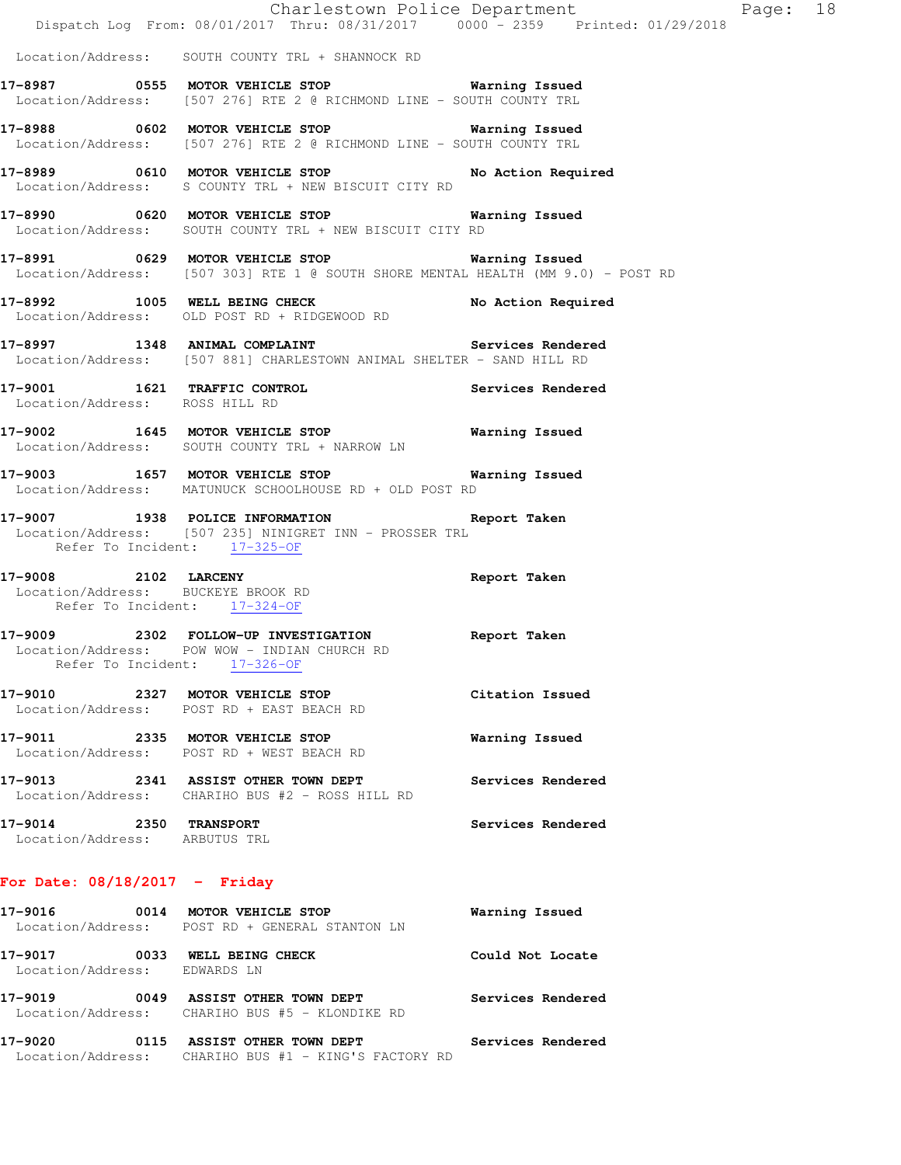|                                | 17-9014 2350 TRANSPORT                                                                                                                    | Services Rendered                          |  |
|--------------------------------|-------------------------------------------------------------------------------------------------------------------------------------------|--------------------------------------------|--|
|                                | 17-9013 2341 ASSIST OTHER TOWN DEPT<br>Location/Address: CHARIHO BUS #2 - ROSS HILL RD                                                    | Services Rendered                          |  |
|                                | 17-9011 2335 MOTOR VEHICLE STOP<br>Location/Address: POST RD + WEST BEACH RD                                                              | Warning Issued                             |  |
|                                | 17-9010 2327 MOTOR VEHICLE STOP<br>Location/Address: POST RD + EAST BEACH RD                                                              | Citation Issued                            |  |
|                                | 17-9009 2302 FOLLOW-UP INVESTIGATION Report Taken<br>Location/Address: POW WOW - INDIAN CHURCH RD<br>Refer To Incident: 17-326-OF         |                                            |  |
|                                | 17-9008 2102 LARCENY 2008 Report Taken<br>Location/Address: BUCKEYE BROOK RD<br>Refer To Incident: 17-324-OF                              |                                            |  |
|                                | 17-9007 1938 POLICE INFORMATION Report Taken<br>Location/Address: [507 235] NINIGRET INN - PROSSER TRL<br>Refer To Incident: 17-325-OF    |                                            |  |
|                                | 17-9003 1657 MOTOR VEHICLE STOP 6 Warning Issued<br>Location/Address: MATUNUCK SCHOOLHOUSE RD + OLD POST RD                               |                                            |  |
|                                | 17-9002 1645 MOTOR VEHICLE STOP<br>Location/Address: SOUTH COUNTY TRL + NARROW LN                                                         | <b>Warning Issued</b>                      |  |
| Location/Address: ROSS HILL RD | 17-9001 1621 TRAFFIC CONTROL Services Rendered                                                                                            |                                            |  |
|                                | 17-8997 1348 ANIMAL COMPLAINT Services Rendered<br>Location/Address: [507 881] CHARLESTOWN ANIMAL SHELTER - SAND HILL RD                  |                                            |  |
|                                | 17-8992 1005 WELL BEING CHECK No Action Required<br>Location/Address: OLD POST RD + RIDGEWOOD RD                                          |                                            |  |
|                                | 17-8991 0629 MOTOR VEHICLE STOP <b>Warning Issued</b><br>Location/Address: [507 303] RTE 1 @ SOUTH SHORE MENTAL HEALTH (MM 9.0) - POST RD |                                            |  |
|                                | 17-8990 0620 MOTOR VEHICLE STOP 60 Warning Issued<br>Location/Address: SOUTH COUNTY TRL + NEW BISCUIT CITY RD                             |                                            |  |
|                                | 17-8989 0610 MOTOR VEHICLE STOP No Action Required<br>Location/Address: S COUNTY TRL + NEW BISCUIT CITY RD                                |                                            |  |
|                                | 17-8988 0602 MOTOR VEHICLE STOP 6 Warning Issued<br>Location/Address: [507 276] RTE 2 @ RICHMOND LINE - SOUTH COUNTY TRL                  |                                            |  |
|                                | 17-8987 0555 MOTOR VEHICLE STOP 6 Warning Issued<br>Location/Address: [507 276] RTE 2 @ RICHMOND LINE - SOUTH COUNTY TRL                  |                                            |  |
|                                | Location/Address: SOUTH COUNTY TRL + SHANNOCK RD                                                                                          |                                            |  |
|                                | Dispatch Log From: 08/01/2017 Thru: 08/31/2017 0000 - 2359 Printed: 01/29/2018                                                            | Charlestown Police Department The Page: 18 |  |

# **17-9016 0014 MOTOR VEHICLE STOP Warning Issued**  Location/Address: POST RD + GENERAL STANTON LN 17-9017 **0033** WELL BEING CHECK **COULD ROULD NOT LOCATE**  Location/Address: EDWARDS LN **17-9019 0049 ASSIST OTHER TOWN DEPT Services Rendered**  Location/Address: CHARIHO BUS #5 - KLONDIKE RD **17-9020 0115 ASSIST OTHER TOWN DEPT Services Rendered**  Location/Address: CHARIHO BUS #1 - KING'S FACTORY RD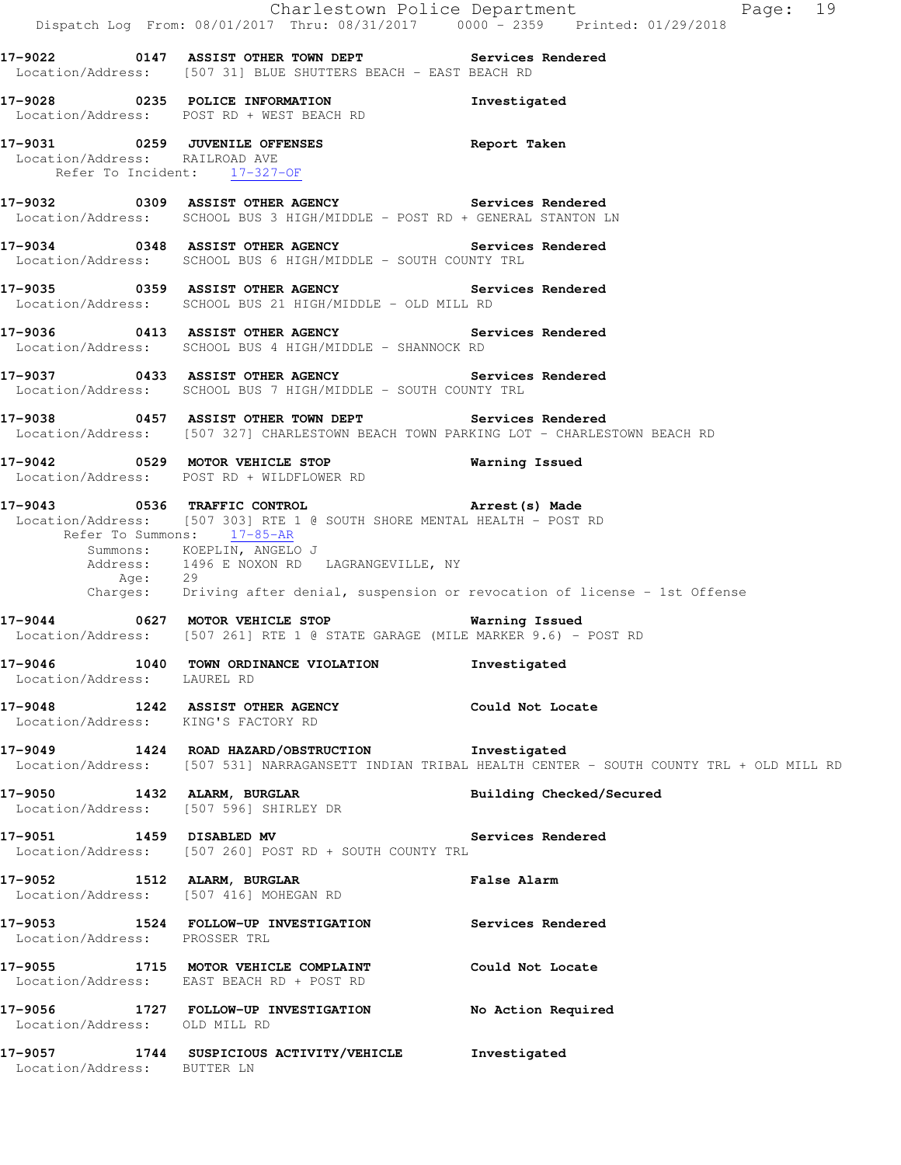|                                                                | Dispatch Log From: 08/01/2017 Thru: 08/31/2017   0000 - 2359   Printed: 01/29/2018                                                                                                                                                                                                                                                       | Charlestown Police Department<br>Page: 19                                                             |
|----------------------------------------------------------------|------------------------------------------------------------------------------------------------------------------------------------------------------------------------------------------------------------------------------------------------------------------------------------------------------------------------------------------|-------------------------------------------------------------------------------------------------------|
|                                                                | 17-9022 0147 ASSIST OTHER TOWN DEPT Services Rendered<br>Location/Address: [507 31] BLUE SHUTTERS BEACH - EAST BEACH RD                                                                                                                                                                                                                  |                                                                                                       |
|                                                                | 17-9028 0235 POLICE INFORMATION<br>Location/Address: POST RD + WEST BEACH RD                                                                                                                                                                                                                                                             | Investigated                                                                                          |
| Location/Address: RAILROAD AVE<br>Refer To Incident: 17-327-OF | 17-9031 0259 JUVENILE OFFENSES Neport Taken                                                                                                                                                                                                                                                                                              |                                                                                                       |
|                                                                | 17-9032 0309 ASSIST OTHER AGENCY Services Rendered<br>Location/Address: SCHOOL BUS 3 HIGH/MIDDLE - POST RD + GENERAL STANTON LN                                                                                                                                                                                                          |                                                                                                       |
|                                                                | 17-9034 0348 ASSIST OTHER AGENCY Services Rendered Location/Address: SCHOOL BUS 6 HIGH/MIDDLE - SOUTH COUNTY TRL                                                                                                                                                                                                                         |                                                                                                       |
|                                                                | 17-9035 0359 ASSIST OTHER AGENCY Services Rendered<br>Location/Address: SCHOOL BUS 21 HIGH/MIDDLE - OLD MILL RD                                                                                                                                                                                                                          |                                                                                                       |
|                                                                | 17-9036 0413 ASSIST OTHER AGENCY Services Rendered<br>Location/Address: SCHOOL BUS 4 HIGH/MIDDLE - SHANNOCK RD                                                                                                                                                                                                                           |                                                                                                       |
|                                                                | 17-9037 0433 ASSIST OTHER AGENCY Services Rendered<br>Location/Address: SCHOOL BUS 7 HIGH/MIDDLE - SOUTH COUNTY TRL                                                                                                                                                                                                                      |                                                                                                       |
|                                                                | 17-9038 0457 ASSIST OTHER TOWN DEPT Services Rendered<br>Location/Address: [507 327] CHARLESTOWN BEACH TOWN PARKING LOT - CHARLESTOWN BEACH RD                                                                                                                                                                                           |                                                                                                       |
|                                                                | 17-9042 0529 MOTOR VEHICLE STOP <b>Warning Issued</b><br>Location/Address: POST RD + WILDFLOWER RD                                                                                                                                                                                                                                       |                                                                                                       |
|                                                                | 17-9043 0536 TRAFFIC CONTROL 17-9043 Arrest (s) Made<br>Location/Address: [507 303] RTE 1 @ SOUTH SHORE MENTAL HEALTH - POST RD<br>Refer To Summons: 17-85-AR<br>Summons: KOEPLIN, ANGELO J<br>Address: 1496 E NOXON RD LAGRANGEVILLE, NY<br>Age: 29<br>Charges: Driving after denial, suspension or revocation of license - 1st Offense |                                                                                                       |
|                                                                | 17-9044 0627 MOTOR VEHICLE STOP Warning Issued<br>Location/Address: [507 261] RTE 1 @ STATE GARAGE (MILE MARKER 9.6) - POST RD                                                                                                                                                                                                           |                                                                                                       |
| Location/Address: LAUREL RD                                    | 17-9046 1040 TOWN ORDINANCE VIOLATION                                                                                                                                                                                                                                                                                                    | Investigated                                                                                          |
| Location/Address: KING'S FACTORY RD                            | 17-9048 1242 ASSIST OTHER AGENCY Could Not Locate                                                                                                                                                                                                                                                                                        |                                                                                                       |
|                                                                | 17-9049 1424 ROAD HAZARD/OBSTRUCTION Investigated                                                                                                                                                                                                                                                                                        | Location/Address: [507 531] NARRAGANSETT INDIAN TRIBAL HEALTH CENTER - SOUTH COUNTY TRL + OLD MILL RD |
|                                                                | 17-9050 1432 ALARM, BURGLAR<br>Location/Address: [507 596] SHIRLEY DR                                                                                                                                                                                                                                                                    | Building Checked/Secured                                                                              |
|                                                                | 17-9051 1459 DISABLED MV Services Rendered<br>Location/Address: [507 260] POST RD + SOUTH COUNTY TRL                                                                                                                                                                                                                                     |                                                                                                       |
| 17-9052 1512 ALARM, BURGLAR                                    | Location/Address: [507 416] MOHEGAN RD                                                                                                                                                                                                                                                                                                   | False Alarm                                                                                           |
| Location/Address: PROSSER TRL                                  | 17-9053 1524 FOLLOW-UP INVESTIGATION Services Rendered                                                                                                                                                                                                                                                                                   |                                                                                                       |
|                                                                | 17-9055 1715 MOTOR VEHICLE COMPLAINT Could Not Locate<br>Location/Address: EAST BEACH RD + POST RD                                                                                                                                                                                                                                       |                                                                                                       |
| Location/Address: OLD MILL RD                                  | 17-9056 1727 FOLLOW-UP INVESTIGATION No Action Required                                                                                                                                                                                                                                                                                  |                                                                                                       |
| Location/Address: BUTTER LN                                    | 17-9057 1744 SUSPICIOUS ACTIVITY/VEHICLE                                                                                                                                                                                                                                                                                                 | Investigated                                                                                          |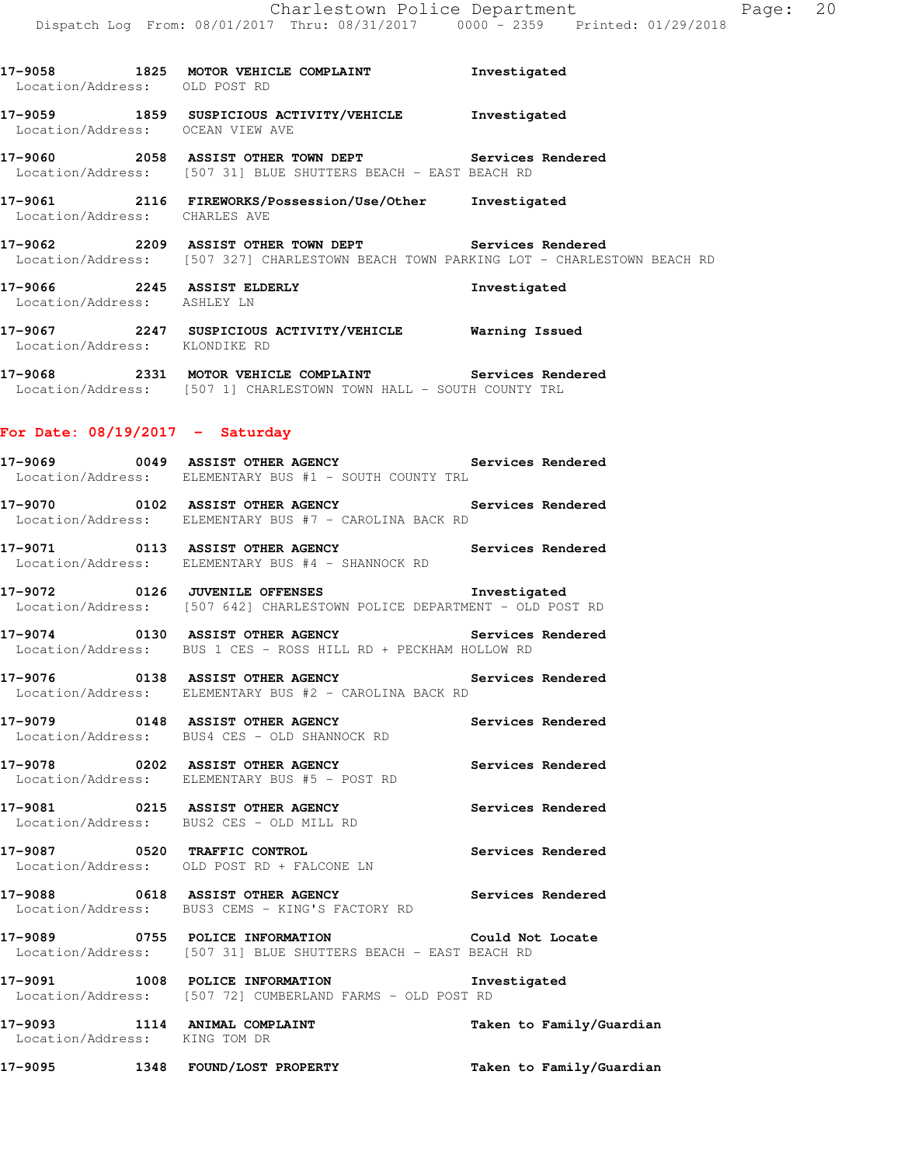**17-9058 1825 MOTOR VEHICLE COMPLAINT Investigated**  Location/Address: OLD POST RD **17-9059 1859 SUSPICIOUS ACTIVITY/VEHICLE Investigated**  Location/Address: OCEAN VIEW AVE **17-9060 2058 ASSIST OTHER TOWN DEPT Services Rendered**  Location/Address: [507 31] BLUE SHUTTERS BEACH - EAST BEACH RD **17-9061 2116 FIREWORKS/Possession/Use/Other Investigated**  Location/Address: **17-9062 2209 ASSIST OTHER TOWN DEPT Services Rendered**  Location/Address: [507 327] CHARLESTOWN BEACH TOWN PARKING LOT - CHARLESTOWN BEACH RD **17-9066 2245 ASSIST ELDERLY Investigated**  Location/Address: ASHLEY LN **17-9067 2247 SUSPICIOUS ACTIVITY/VEHICLE Warning Issued**  Location/Address: KLONDIKE RD **17-9068 2331 MOTOR VEHICLE COMPLAINT Services Rendered**  Location/Address: [507 1] CHARLESTOWN TOWN HALL - SOUTH COUNTY TRL **For Date: 08/19/2017 - Saturday 17-9069 0049 ASSIST OTHER AGENCY Services Rendered**  Location/Address: ELEMENTARY BUS #1 - SOUTH COUNTY TRL **17-9070 0102 ASSIST OTHER AGENCY Services Rendered**  Location/Address: ELEMENTARY BUS #7 - CAROLINA BACK RD

**17-9071 0113 ASSIST OTHER AGENCY Services Rendered**  Location/Address: ELEMENTARY BUS #4 - SHANNOCK RD

**17-9072 0126 JUVENILE OFFENSES Investigated**  Location/Address: [507 642] CHARLESTOWN POLICE DEPARTMENT - OLD POST RD

**17-9074 0130 ASSIST OTHER AGENCY Services Rendered**  Location/Address: BUS 1 CES - ROSS HILL RD + PECKHAM HOLLOW RD

**17-9076 0138 ASSIST OTHER AGENCY Services Rendered**  Location/Address: ELEMENTARY BUS #2 - CAROLINA BACK RD

**17-9079 0148 ASSIST OTHER AGENCY Services Rendered**  Location/Address: BUS4 CES - OLD SHANNOCK RD

**17-9078 0202 ASSIST OTHER AGENCY Services Rendered**  Location/Address: ELEMENTARY BUS #5 - POST RD

**17-9081 0215 ASSIST OTHER AGENCY Services Rendered**  Location/Address: BUS2 CES - OLD MILL RD

**17-9087 0520 TRAFFIC CONTROL Services Rendered**  Location/Address: OLD POST RD + FALCONE LN

**17-9088 0618 ASSIST OTHER AGENCY Services Rendered**  Location/Address: BUS3 CEMS - KING'S FACTORY RD

**17-9089 0755 POLICE INFORMATION Could Not Locate**  Location/Address: [507 31] BLUE SHUTTERS BEACH - EAST BEACH RD

**17-9091 1008 POLICE INFORMATION Investigated**  Location/Address: [507 72] CUMBERLAND FARMS - OLD POST RD

**17-9093 1114 ANIMAL COMPLAINT Taken to Family/Guardian**  Location/Address: KING TOM DR

**17-9095 1348 FOUND/LOST PROPERTY Taken to Family/Guardian**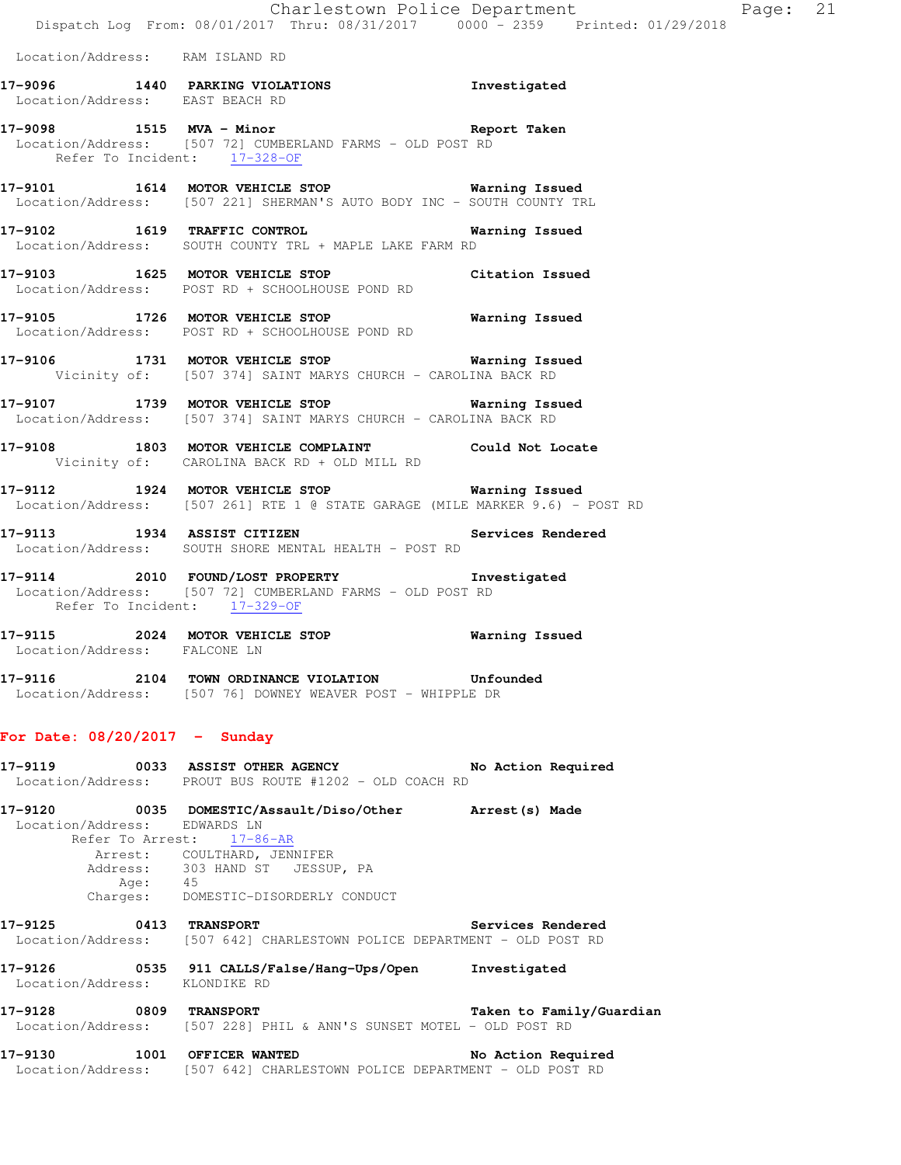Location/Address: RAM ISLAND RD

| 17-9096           | 1440 PARKING VIOLATIONS | Investigated |
|-------------------|-------------------------|--------------|
| Location/Address: | EAST BEACH RD           |              |
|                   |                         |              |

- **17-9098 1515 MVA Minor Report Taken**  Location/Address: [507 72] CUMBERLAND FARMS - OLD POST RD Refer To Incident: 17-328-OF
- **17-9101 1614 MOTOR VEHICLE STOP Warning Issued**  Location/Address: [507 221] SHERMAN'S AUTO BODY INC - SOUTH COUNTY TRL
- **17-9102 1619 TRAFFIC CONTROL Warning Issued**  Location/Address: SOUTH COUNTY TRL + MAPLE LAKE FARM RD
- **17-9103 1625 MOTOR VEHICLE STOP Citation Issued**  Location/Address: POST RD + SCHOOLHOUSE POND RD
- **17-9105 1726 MOTOR VEHICLE STOP Warning Issued**  Location/Address: POST RD + SCHOOLHOUSE POND RD
- **17-9106 1731 MOTOR VEHICLE STOP Warning Issued**  Vicinity of: [507 374] SAINT MARYS CHURCH - CAROLINA BACK RD
- **17-9107 1739 MOTOR VEHICLE STOP Warning Issued**  Location/Address: [507 374] SAINT MARYS CHURCH - CAROLINA BACK RD
- **17-9108 1803 MOTOR VEHICLE COMPLAINT Could Not Locate**  Vicinity of: CAROLINA BACK RD + OLD MILL RD
- **17-9112 1924 MOTOR VEHICLE STOP Warning Issued**  Location/Address: [507 261] RTE 1 @ STATE GARAGE (MILE MARKER 9.6) - POST RD
- **17-9113 1934 ASSIST CITIZEN Services Rendered**  Location/Address: SOUTH SHORE MENTAL HEALTH - POST RD
- **17-9114 2010 FOUND/LOST PROPERTY Investigated**  Location/Address: [507 72] CUMBERLAND FARMS - OLD POST RD Refer To Incident: 17-329-OF
- **17-9115 2024 MOTOR VEHICLE STOP Warning Issued**  Location/Address: FALCONE LN
- **17-9116 2104 TOWN ORDINANCE VIOLATION Unfounded**  Location/Address: [507 76] DOWNEY WEAVER POST - WHIPPLE DR

## **For Date: 08/20/2017 - Sunday**

| 17-9119                                               | 0033 ASSIST OTHER AGENCY<br>Location/Address: PROUT BUS ROUTE #1202 - OLD COACH RD                     | No Action Required       |
|-------------------------------------------------------|--------------------------------------------------------------------------------------------------------|--------------------------|
| 17-9120<br>Location/Address: EDWARDS LN<br>45<br>Age: | Refer To Arrest: 17-86-AR<br>Arrest: COULTHARD, JENNIFER<br>Address: 303 HAND ST JESSUP, PA            |                          |
| Charges:<br><b>17-9125 0413 TRANSPORT</b>             | DOMESTIC-DISORDERLY CONDUCT<br>Location/Address: [507 642] CHARLESTOWN POLICE DEPARTMENT - OLD POST RD | Services Rendered        |
| 17-9126<br>Location/Address:                          | 0535 911 CALLS/False/Hang-Ups/Open<br>KLONDIKE RD                                                      | Investigated             |
| <b>17-9128 0809 TRANSPORT</b>                         | Location/Address: [507 228] PHIL & ANN'S SUNSET MOTEL - OLD POST RD                                    | Taken to Family/Guardian |

**17-9130 1001 OFFICER WANTED No Action Required**  Location/Address: [507 642] CHARLESTOWN POLICE DEPARTMENT - OLD POST RD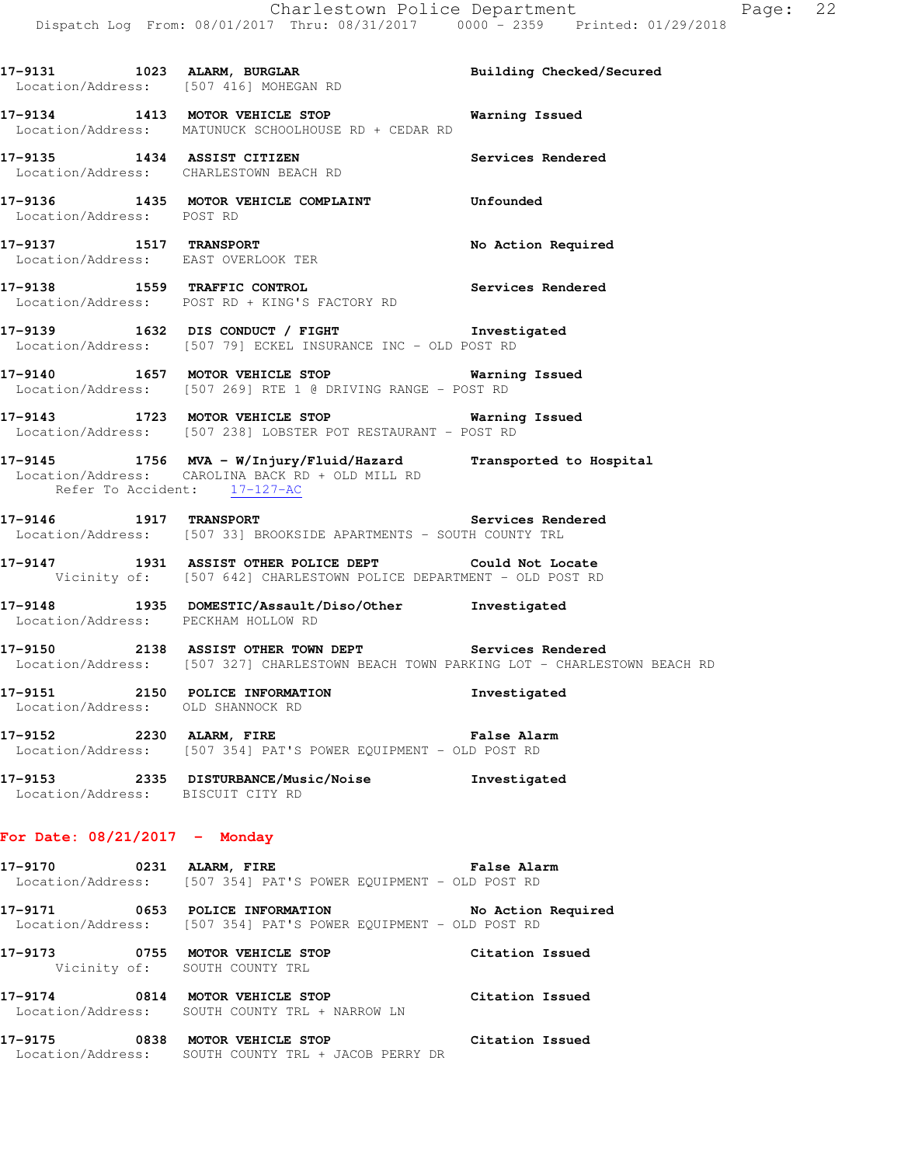17-9131 1023 ALARM, BURGLAR **Building Checked/Secured**  Location/Address: [507 416] MOHEGAN RD **17-9134 1413 MOTOR VEHICLE STOP Warning Issued**  Location/Address: MATUNUCK SCHOOLHOUSE RD + CEDAR RD **17-9135 1434 ASSIST CITIZEN Services Rendered**  Location/Address: CHARLESTOWN BEACH RD **17-9136 1435 MOTOR VEHICLE COMPLAINT Unfounded**  Location/Address: POST RD **17-9137 1517 TRANSPORT No Action Required**  Location/Address: EAST OVERLOOK TER **17-9138 1559 TRAFFIC CONTROL Services Rendered**  Location/Address: POST RD + KING'S FACTORY RD **17-9139 1632 DIS CONDUCT / FIGHT Investigated**  Location/Address: [507 79] ECKEL INSURANCE INC - OLD POST RD **17-9140 1657 MOTOR VEHICLE STOP Warning Issued**  Location/Address: [507 269] RTE 1 @ DRIVING RANGE - POST RD **17-9143 1723 MOTOR VEHICLE STOP Warning Issued**  Location/Address: [507 238] LOBSTER POT RESTAURANT - POST RD **17-9145 1756 MVA - W/Injury/Fluid/Hazard Transported to Hospital**  Location/Address: CAROLINA BACK RD + OLD MILL RD Refer To Accident: 17-127-AC **17-9146 1917 TRANSPORT Services Rendered**  Location/Address: [507 33] BROOKSIDE APARTMENTS - SOUTH COUNTY TRL **17-9147 1931 ASSIST OTHER POLICE DEPT Could Not Locate**  Vicinity of: [507 642] CHARLESTOWN POLICE DEPARTMENT - OLD POST RD **17-9148 1935 DOMESTIC/Assault/Diso/Other Investigated**  Location/Address: PECKHAM HOLLOW RD **17-9150 2138 ASSIST OTHER TOWN DEPT Services Rendered**  Location/Address: [507 327] CHARLESTOWN BEACH TOWN PARKING LOT - CHARLESTOWN BEACH RD **17-9151 2150 POLICE INFORMATION Investigated**  Location/Address: OLD SHANNOCK RD **17-9152 2230 ALARM, FIRE False Alarm**  Location/Address: [507 354] PAT'S POWER EQUIPMENT - OLD POST RD **17-9153 2335 DISTURBANCE/Music/Noise Investigated**  Location/Address: BISCUIT CITY RD **For Date: 08/21/2017 - Monday 17-9170 0231 ALARM, FIRE False Alarm**  Location/Address: [507 354] PAT'S POWER EQUIPMENT - OLD POST RD **17-9171 0653 POLICE INFORMATION No Action Required**  Location/Address: [507 354] PAT'S POWER EQUIPMENT - OLD POST RD **17-9173 0755 MOTOR VEHICLE STOP Citation Issued**  Vicinity of: SOUTH COUNTY TRL **17-9174 0814 MOTOR VEHICLE STOP Citation Issued**  Location/Address: SOUTH COUNTY TRL + NARROW LN

**17-9175 0838 MOTOR VEHICLE STOP Citation Issued**  Location/Address: SOUTH COUNTY TRL + JACOB PERRY DR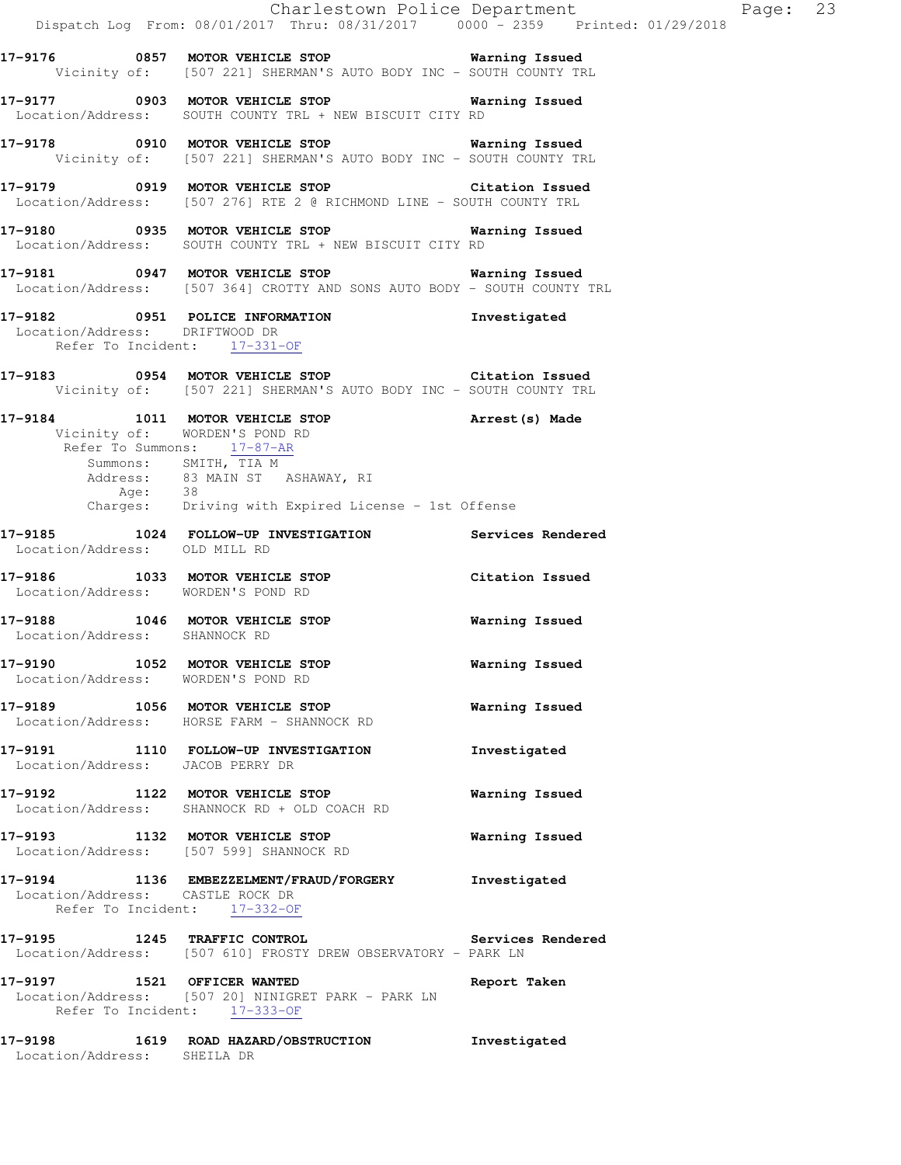|                                                                     | Charlestown Police Department<br>Dispatch Log From: 08/01/2017 Thru: 08/31/2017 0000 - 2359 Printed: 01/29/2018                                                                                                                                             |                |
|---------------------------------------------------------------------|-------------------------------------------------------------------------------------------------------------------------------------------------------------------------------------------------------------------------------------------------------------|----------------|
|                                                                     | 17-9176 0857 MOTOR VEHICLE STOP <b>WATER</b> Warning Issued<br>Vicinity of: [507 221] SHERMAN'S AUTO BODY INC - SOUTH COUNTY TRL                                                                                                                            |                |
|                                                                     | 17-9177 0903 MOTOR VEHICLE STOP <b>WATER WATER</b><br>Location/Address: SOUTH COUNTY TRL + NEW BISCUIT CITY RD                                                                                                                                              |                |
|                                                                     | 17-9178 0910 MOTOR VEHICLE STOP 6 Warning Issued<br>Vicinity of: [507 221] SHERMAN'S AUTO BODY INC - SOUTH COUNTY TRL                                                                                                                                       |                |
|                                                                     | 17-9179 0919 MOTOR VEHICLE STOP Citation Issued<br>Location/Address: [507 276] RTE 2 @ RICHMOND LINE - SOUTH COUNTY TRL                                                                                                                                     |                |
|                                                                     | 17-9180 		 0935 MOTOR VEHICLE STOP 		 Warning Issued<br>Location/Address: SOUTH COUNTY TRL + NEW BISCUIT CITY RD                                                                                                                                            |                |
|                                                                     | 17-9181 0947 MOTOR VEHICLE STOP 6 Warning Issued<br>Location/Address: [507 364] CROTTY AND SONS AUTO BODY - SOUTH COUNTY TRL                                                                                                                                |                |
| Location/Address: DRIFTWOOD DR                                      | 17-9182 0951 POLICE INFORMATION 1nvestigated<br>Refer To Incident: 17-331-OF                                                                                                                                                                                |                |
|                                                                     | 17-9183 0954 MOTOR VEHICLE STOP Citation Issued<br>Vicinity of: [507 221] SHERMAN'S AUTO BODY INC - SOUTH COUNTY TRL                                                                                                                                        |                |
| Refer To Summons: 17-87-AR                                          | 17-9184 1011 MOTOR VEHICLE STOP Arrest (s) Made<br>Vicinity of: WORDEN'S POND RD<br>$\frac{1}{2}$<br>Summons: $SMTH$ , $\frac{1000 \times 1211}{1000}$<br>Address: 83 MAIN ST ASHAWAY, RI<br>Age: 38<br>Charges: Driving with Expired License - 1st Offense |                |
|                                                                     | 17-9185 1024 FOLLOW-UP INVESTIGATION Services Rendered                                                                                                                                                                                                      |                |
| Location/Address: OLD MILL RD<br>Location/Address: WORDEN'S POND RD | 17-9186 1033 MOTOR VEHICLE STOP Citation Issued                                                                                                                                                                                                             |                |
| Location/Address: SHANNOCK RD                                       | 17-9188 1046 MOTOR VEHICLE STOP                                                                                                                                                                                                                             | Warning Issued |
| 17-9190<br>Location/Address: WORDEN'S POND RD                       | 1052 MOTOR VEHICLE STOP                                                                                                                                                                                                                                     | Warning Issued |
|                                                                     | 17-9189 1056 MOTOR VEHICLE STOP<br>Location/Address: HORSE FARM - SHANNOCK RD                                                                                                                                                                               | Warning Issued |
| Location/Address: JACOB PERRY DR                                    | 17-9191 1110 FOLLOW-UP INVESTIGATION                                                                                                                                                                                                                        | Investigated   |
|                                                                     | 17-9192 1122 MOTOR VEHICLE STOP<br>Location/Address: SHANNOCK RD + OLD COACH RD                                                                                                                                                                             | Warning Issued |
|                                                                     | 17-9193 1132 MOTOR VEHICLE STOP<br>Location/Address: [507 599] SHANNOCK RD                                                                                                                                                                                  | Warning Issued |
| Location/Address: CASTLE ROCK DR<br>Refer To Incident: 17-332-OF    | 17-9194 1136 EMBEZZELMENT/FRAUD/FORGERY                                                                                                                                                                                                                     | Investigated   |
|                                                                     | 17-9195 1245 TRAFFIC CONTROL Services Rendered<br>Location/Address: [507 610] FROSTY DREW OBSERVATORY - PARK LN                                                                                                                                             |                |
| Refer To Incident: 17-333-OF                                        | 17-9197 1521 OFFICER WANTED<br>Location/Address: [507 20] NINIGRET PARK - PARK LN                                                                                                                                                                           | Report Taken   |
| Location/Address: SHEILA DR                                         | 17-9198 1619 ROAD HAZARD/OBSTRUCTION                                                                                                                                                                                                                        | Investigated   |

Page: 23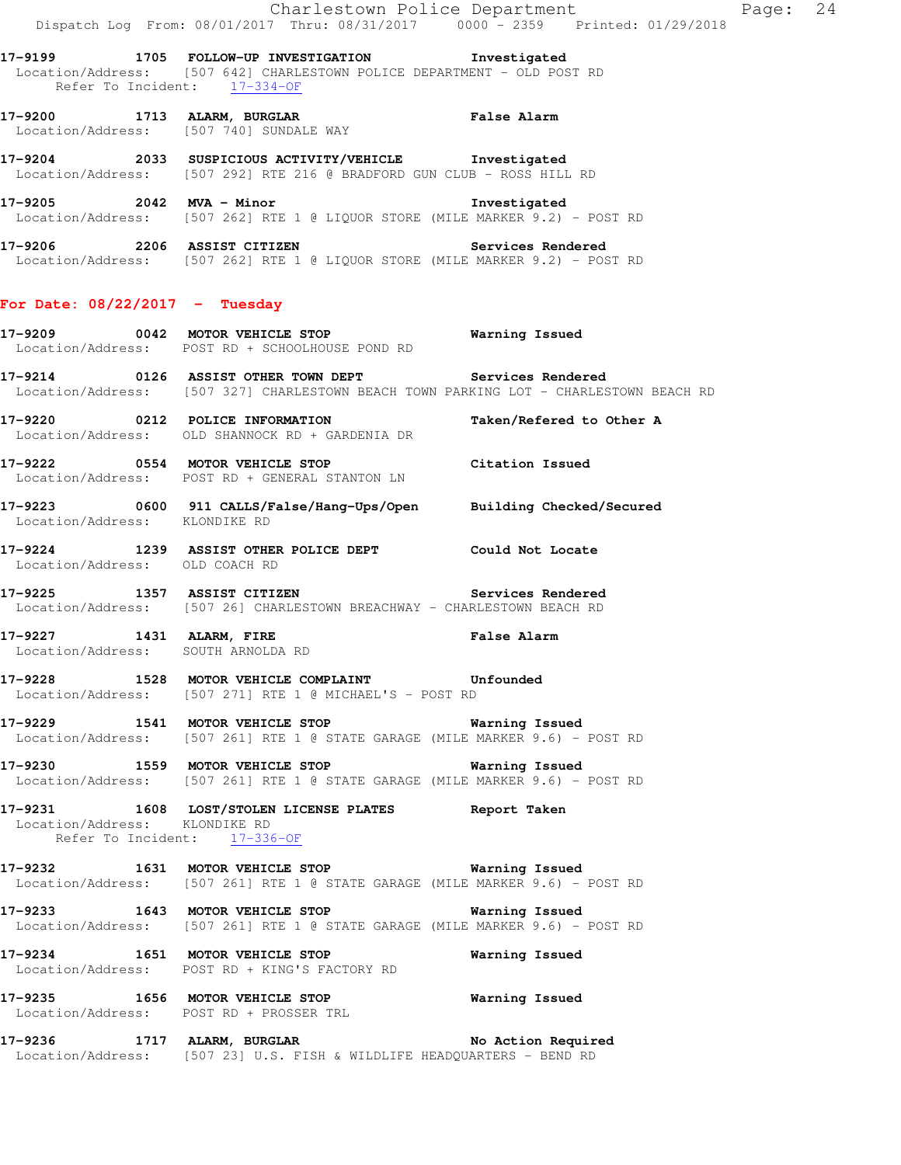**17-9199 1705 FOLLOW-UP INVESTIGATION Investigated**  Location/Address: [507 642] CHARLESTOWN POLICE DEPARTMENT - OLD POST RD Refer To Incident: 17-334-OF

**17-9200 1713 ALARM, BURGLAR False Alarm**  Location/Address: [507 740] SUNDALE WAY

**17-9204 2033 SUSPICIOUS ACTIVITY/VEHICLE Investigated**  Location/Address: [507 292] RTE 216 @ BRADFORD GUN CLUB - ROSS HILL RD

**17-9205 2042 MVA - Minor Investigated**  Location/Address: [507 262] RTE 1 @ LIQUOR STORE (MILE MARKER 9.2) - POST RD

**17-9206 2206 ASSIST CITIZEN Services Rendered**  Location/Address: [507 262] RTE 1 @ LIQUOR STORE (MILE MARKER 9.2) - POST RD

## **For Date: 08/22/2017 - Tuesday**

**17-9209 0042 MOTOR VEHICLE STOP Warning Issued**  Location/Address: POST RD + SCHOOLHOUSE POND RD

**17-9214 0126 ASSIST OTHER TOWN DEPT Services Rendered**  Location/Address: [507 327] CHARLESTOWN BEACH TOWN PARKING LOT - CHARLESTOWN BEACH RD

**17-9220 0212 POLICE INFORMATION Taken/Refered to Other A**  Location/Address: OLD SHANNOCK RD + GARDENIA DR

**17-9222 0554 MOTOR VEHICLE STOP Citation Issued**  Location/Address: POST RD + GENERAL STANTON LN

**17-9223 0600 911 CALLS/False/Hang-Ups/Open Building Checked/Secured**  Location/Address: KLONDIKE RD

**17-9224 1239 ASSIST OTHER POLICE DEPT Could Not Locate**  Location/Address: OLD COACH RD

**17-9225 1357 ASSIST CITIZEN Services Rendered**  Location/Address: [507 26] CHARLESTOWN BREACHWAY - CHARLESTOWN BEACH RD

**17-9227 1431 ALARM, FIRE False Alarm**  Location/Address: SOUTH ARNOLDA RD

**17-9228 1528 MOTOR VEHICLE COMPLAINT Unfounded**  Location/Address: [507 271] RTE 1 @ MICHAEL'S - POST RD

**17-9229 1541 MOTOR VEHICLE STOP Warning Issued**  Location/Address: [507 261] RTE 1 @ STATE GARAGE (MILE MARKER 9.6) - POST RD

**17-9230 1559 MOTOR VEHICLE STOP Warning Issued**  Location/Address: [507 261] RTE 1 @ STATE GARAGE (MILE MARKER 9.6) - POST RD

**17-9231 1608 LOST/STOLEN LICENSE PLATES Report Taken**  Location/Address: KLONDIKE RD Refer To Incident: 17-336-OF

**17-9232 1631 MOTOR VEHICLE STOP Warning Issued**  Location/Address: [507 261] RTE 1 @ STATE GARAGE (MILE MARKER 9.6) - POST RD

**17-9233 1643 MOTOR VEHICLE STOP Warning Issued**  Location/Address: [507 261] RTE 1 @ STATE GARAGE (MILE MARKER 9.6) - POST RD

**17-9234 1651 MOTOR VEHICLE STOP Warning Issued**  Location/Address: POST RD + KING'S FACTORY RD

**17-9235 1656 MOTOR VEHICLE STOP Warning Issued**  Location/Address: POST RD + PROSSER TRL

17-9236 1717 ALARM, BURGLAR **No Action Required** Location/Address: [507 23] U.S. FISH & WILDLIFE HEADQUARTERS - BEND RD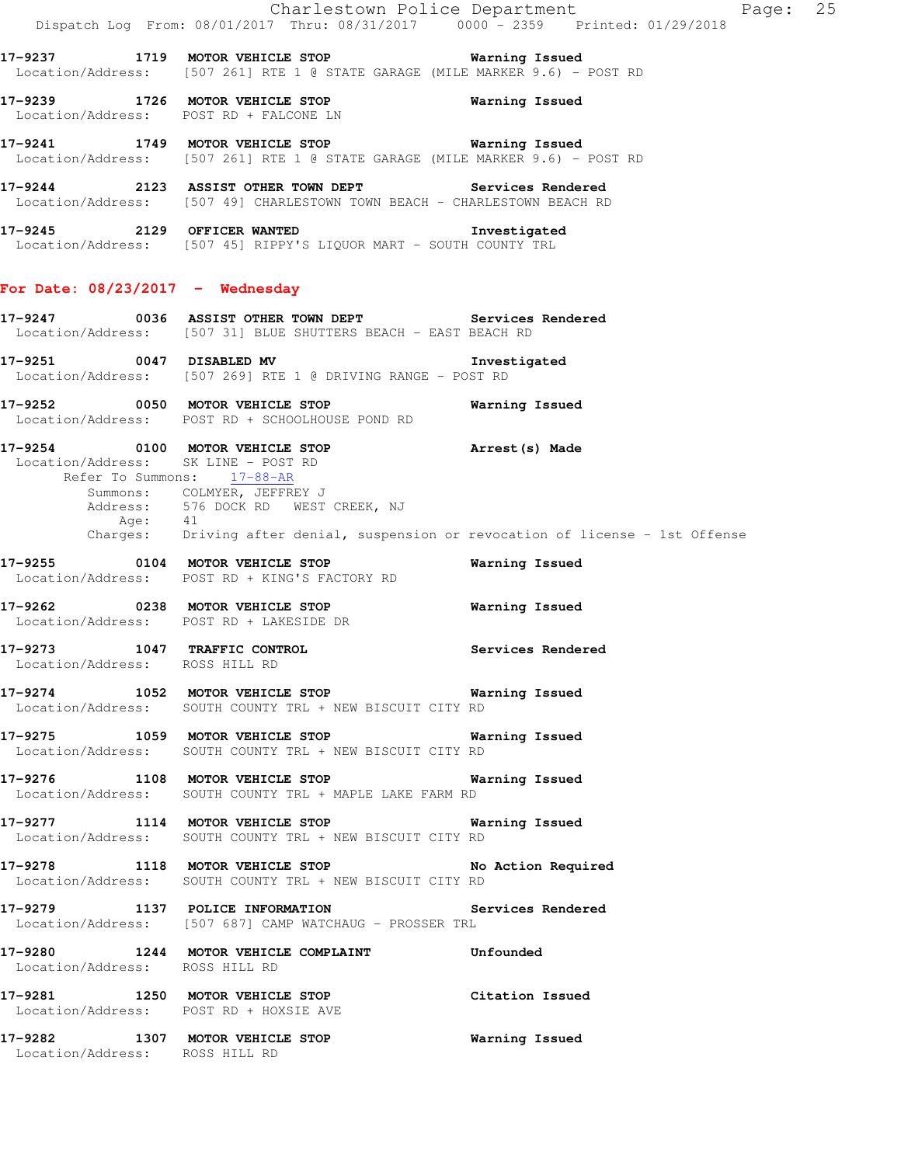|                                                                   | Dispatch Log From: 08/01/2017 Thru: 08/31/2017 0000 - 2359 Printed: 01/29/2018                                                    | Charlestown Police Department<br>Page: 25                                                   |
|-------------------------------------------------------------------|-----------------------------------------------------------------------------------------------------------------------------------|---------------------------------------------------------------------------------------------|
|                                                                   | 17-9237 1719 MOTOR VEHICLE STOP 6 Warning Issued<br>Location/Address: [507 261] RTE 1 @ STATE GARAGE (MILE MARKER 9.6) - POST RD  |                                                                                             |
|                                                                   | 17-9239 1726 MOTOR VEHICLE STOP<br>Location/Address: POST RD + FALCONE LN                                                         | Warning Issued                                                                              |
|                                                                   | 17-9241 1749 MOTOR VEHICLE STOP 6 Warning Issued<br>Location/Address: [507 261] RTE 1 @ STATE GARAGE (MILE MARKER 9.6) - POST RD  |                                                                                             |
|                                                                   | 17-9244 2123 ASSIST OTHER TOWN DEPT Services Rendered<br>Location/Address: [507 49] CHARLESTOWN TOWN BEACH - CHARLESTOWN BEACH RD |                                                                                             |
|                                                                   | 17-9245 2129 OFFICER WANTED 1nvestigated<br>Location/Address: [507 45] RIPPY'S LIQUOR MART - SOUTH COUNTY TRL                     |                                                                                             |
| For Date: $08/23/2017$ - Wednesday                                |                                                                                                                                   |                                                                                             |
|                                                                   | 17-9247 0036 ASSIST OTHER TOWN DEPT Services Rendered<br>Location/Address: [507 31] BLUE SHUTTERS BEACH - EAST BEACH RD           |                                                                                             |
|                                                                   | 17-9251 0047 DISABLED MV<br>Location/Address: [507 269] RTE 1 @ DRIVING RANGE - POST RD                                           | Investigated                                                                                |
|                                                                   | 17-9252 0050 MOTOR VEHICLE STOP<br>Location/Address: POST RD + SCHOOLHOUSE POND RD                                                | Warning Issued                                                                              |
| Location/Address: SK LINE - POST RD<br>Refer To Summons: 17-88-AR | 17-9254 0100 MOTOR VEHICLE STOP <b>Arrest</b> (s) Made<br>Summons: COLMYER, JEFFREY J<br>Address: 576 DOCK RD WEST CREEK, NJ      | Age: 41<br>Charges: Driving after denial, suspension or revocation of license – 1st Offense |
|                                                                   | 17-9255 0104 MOTOR VEHICLE STOP<br>Location/Address: POST RD + KING'S FACTORY RD                                                  | Warning Issued                                                                              |
|                                                                   | 17-9262 0238 MOTOR VEHICLE STOP<br>Location/Address: POST RD + LAKESIDE DR                                                        | <b>Warning Issued</b>                                                                       |
| 17-9273 1047 TRAFFIC CONTROL<br>Location/Address: ROSS HILL RD    |                                                                                                                                   | Services Rendered                                                                           |
|                                                                   | 17-9274 1052 MOTOR VEHICLE STOP 6 Warning Issued<br>Location/Address: SOUTH COUNTY TRL + NEW BISCUIT CITY RD                      |                                                                                             |
|                                                                   | 17-9275 1059 MOTOR VEHICLE STOP 6 Warning Issued<br>Location/Address: SOUTH COUNTY TRL + NEW BISCUIT CITY RD                      |                                                                                             |
|                                                                   | 17-9276 1108 MOTOR VEHICLE STOP 6 Warning Issued<br>Location/Address: SOUTH COUNTY TRL + MAPLE LAKE FARM RD                       |                                                                                             |
|                                                                   | 17-9277 1114 MOTOR VEHICLE STOP Warning Issued<br>Location/Address: SOUTH COUNTY TRL + NEW BISCUIT CITY RD                        |                                                                                             |
|                                                                   | 17-9278 1118 MOTOR VEHICLE STOP No Action Required<br>Location/Address: SOUTH COUNTY TRL + NEW BISCUIT CITY RD                    |                                                                                             |
|                                                                   | 17-9279 1137 POLICE INFORMATION Services Rendered<br>Location/Address: [507 687] CAMP WATCHAUG - PROSSER TRL                      |                                                                                             |
| Location/Address: ROSS HILL RD                                    | 17-9280 1244 MOTOR VEHICLE COMPLAINT Unfounded                                                                                    |                                                                                             |
|                                                                   | 17-9281 1250 MOTOR VEHICLE STOP Citation Issued<br>Location/Address: POST RD + HOXSIE AVE                                         |                                                                                             |
| Location/Address: ROSS HILL RD                                    | 17-9282 1307 MOTOR VEHICLE STOP 6 Warning Issued                                                                                  |                                                                                             |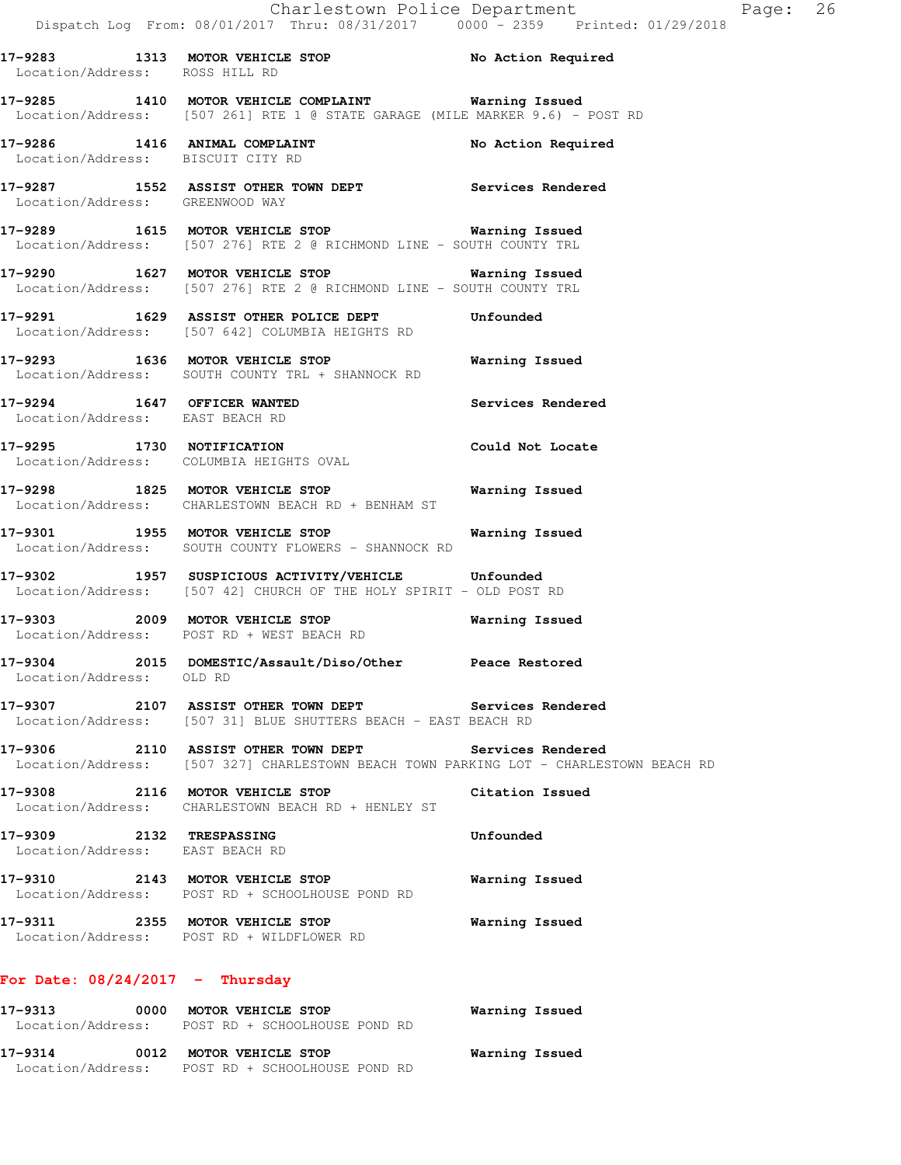Location/Address: ROSS HILL RD **17-9285 1410 MOTOR VEHICLE COMPLAINT Warning Issued**  Location/Address: [507 261] RTE 1 @ STATE GARAGE (MILE MARKER 9.6) - POST RD **17-9286 1416 ANIMAL COMPLAINT No Action Required**  Location/Address: BISCUIT CITY RD **17-9287 1552 ASSIST OTHER TOWN DEPT Services Rendered**  Location/Address: GREENWOOD WAY **17-9289 1615 MOTOR VEHICLE STOP Warning Issued**  Location/Address: [507 276] RTE 2 @ RICHMOND LINE - SOUTH COUNTY TRL **17-9290 1627 MOTOR VEHICLE STOP Warning Issued**  Location/Address: [507 276] RTE 2 @ RICHMOND LINE - SOUTH COUNTY TRL **17-9291 1629 ASSIST OTHER POLICE DEPT Unfounded**  Location/Address: [507 642] COLUMBIA HEIGHTS RD **17-9293 1636 MOTOR VEHICLE STOP Warning Issued**  Location/Address: SOUTH COUNTY TRL + SHANNOCK RD **17-9294 1647 OFFICER WANTED Services Rendered**  Location/Address: EAST BEACH RD **17-9295 1730 NOTIFICATION Could Not Locate**  Location/Address: COLUMBIA HEIGHTS OVAL **17-9298 1825 MOTOR VEHICLE STOP Warning Issued**  Location/Address: CHARLESTOWN BEACH RD + BENHAM ST **17-9301 1955 MOTOR VEHICLE STOP Warning Issued**  Location/Address: SOUTH COUNTY FLOWERS - SHANNOCK RD **17-9302 1957 SUSPICIOUS ACTIVITY/VEHICLE Unfounded**  Location/Address: [507 42] CHURCH OF THE HOLY SPIRIT - OLD POST RD **17-9303 2009 MOTOR VEHICLE STOP Warning Issued**  Location/Address: POST RD + WEST BEACH RD **17-9304 2015 DOMESTIC/Assault/Diso/Other Peace Restored**  Location/Address: OLD RD **17-9307 2107 ASSIST OTHER TOWN DEPT Services Rendered**  Location/Address: [507 31] BLUE SHUTTERS BEACH - EAST BEACH RD **17-9306 2110 ASSIST OTHER TOWN DEPT Services Rendered**  Location/Address: [507 327] CHARLESTOWN BEACH TOWN PARKING LOT - CHARLESTOWN BEACH RD **17-9308 2116 MOTOR VEHICLE STOP Citation Issued**  Location/Address: CHARLESTOWN BEACH RD + HENLEY ST **17-9309 2132 TRESPASSING Unfounded**  Location/Address: EAST BEACH RD **17-9310 2143 MOTOR VEHICLE STOP Warning Issued**  Location/Address: POST RD + SCHOOLHOUSE POND RD **17-9311 2355 MOTOR VEHICLE STOP Warning Issued**  Location/Address: POST RD + WILDFLOWER RD **For Date: 08/24/2017 - Thursday 17-9313 0000 MOTOR VEHICLE STOP Warning Issued** 

| Location/Address: | POST RD + SCHOOLHOUSE POND RD |                |
|-------------------|-------------------------------|----------------|
| 17–9314           | 0012 MOTOR VEHICLE STOP       | Warning Issued |
| Location/Address: | POST RD + SCHOOLHOUSE POND RD |                |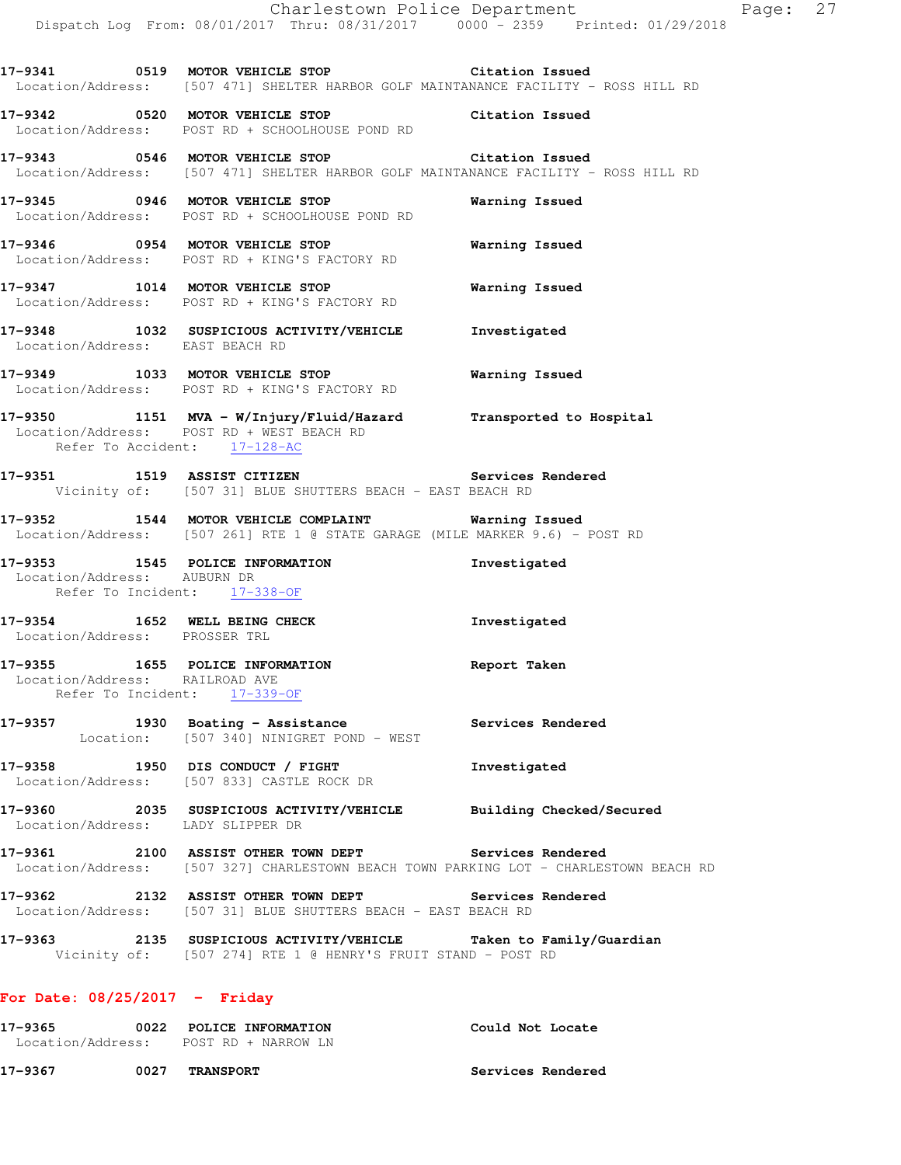**17-9341 0519 MOTOR VEHICLE STOP Citation Issued**  Location/Address: [507 471] SHELTER HARBOR GOLF MAINTANANCE FACILITY - ROSS HILL RD

**17-9342 0520 MOTOR VEHICLE STOP Citation Issued**  Location/Address: POST RD + SCHOOLHOUSE POND RD

**17-9343 0546 MOTOR VEHICLE STOP Citation Issued**  Location/Address: [507 471] SHELTER HARBOR GOLF MAINTANANCE FACILITY - ROSS HILL RD

**17-9345 0946 MOTOR VEHICLE STOP Warning Issued**  Location/Address: POST RD + SCHOOLHOUSE POND RD

**17-9346 0954 MOTOR VEHICLE STOP Warning Issued**  Location/Address: POST RD + KING'S FACTORY RD

**17-9347 1014 MOTOR VEHICLE STOP Warning Issued**  Location/Address: POST RD + KING'S FACTORY RD

**17-9348 1032 SUSPICIOUS ACTIVITY/VEHICLE Investigated**  Location/Address: EAST BEACH RD

**17-9349 1033 MOTOR VEHICLE STOP Warning Issued**  Location/Address: POST RD + KING'S FACTORY RD

**17-9350 1151 MVA - W/Injury/Fluid/Hazard Transported to Hospital**  Location/Address: POST RD + WEST BEACH RD Refer To Accident: 17-128-AC

**17-9351 1519 ASSIST CITIZEN Services Rendered**  Vicinity of: [507 31] BLUE SHUTTERS BEACH - EAST BEACH RD

**17-9352 1544 MOTOR VEHICLE COMPLAINT Warning Issued**  Location/Address: [507 261] RTE 1 @ STATE GARAGE (MILE MARKER 9.6) - POST RD

**17-9353 1545 POLICE INFORMATION Investigated**  Location/Address: AUBURN DR Refer To Incident: 17-338-OF

**17-9354 1652 WELL BEING CHECK Investigated**  Location/Address: PROSSER TRL

**17-9355 1655 POLICE INFORMATION Report Taken**  Location/Address: RAILROAD AVE Refer To Incident: 17-339-OF

17-9357 1930 Boating - Assistance **Services Rendered** Location: [507 340] NINIGRET POND - WEST

**17-9358 1950 DIS CONDUCT / FIGHT Investigated**  Location/Address: [507 833] CASTLE ROCK DR

**17-9360 2035 SUSPICIOUS ACTIVITY/VEHICLE Building Checked/Secured**  Location/Address: LADY SLIPPER DR

**17-9361 2100 ASSIST OTHER TOWN DEPT Services Rendered**  Location/Address: [507 327] CHARLESTOWN BEACH TOWN PARKING LOT - CHARLESTOWN BEACH RD

**17-9362 2132 ASSIST OTHER TOWN DEPT Services Rendered**  Location/Address: [507 31] BLUE SHUTTERS BEACH - EAST BEACH RD

**17-9363 2135 SUSPICIOUS ACTIVITY/VEHICLE Taken to Family/Guardian**  Vicinity of: [507 274] RTE 1 @ HENRY'S FRUIT STAND - POST RD

## **For Date: 08/25/2017 - Friday**

**17-9365 0022 POLICE INFORMATION Could Not Locate**  Location/Address: POST RD + NARROW LN

**17-9367 0027 TRANSPORT Services Rendered**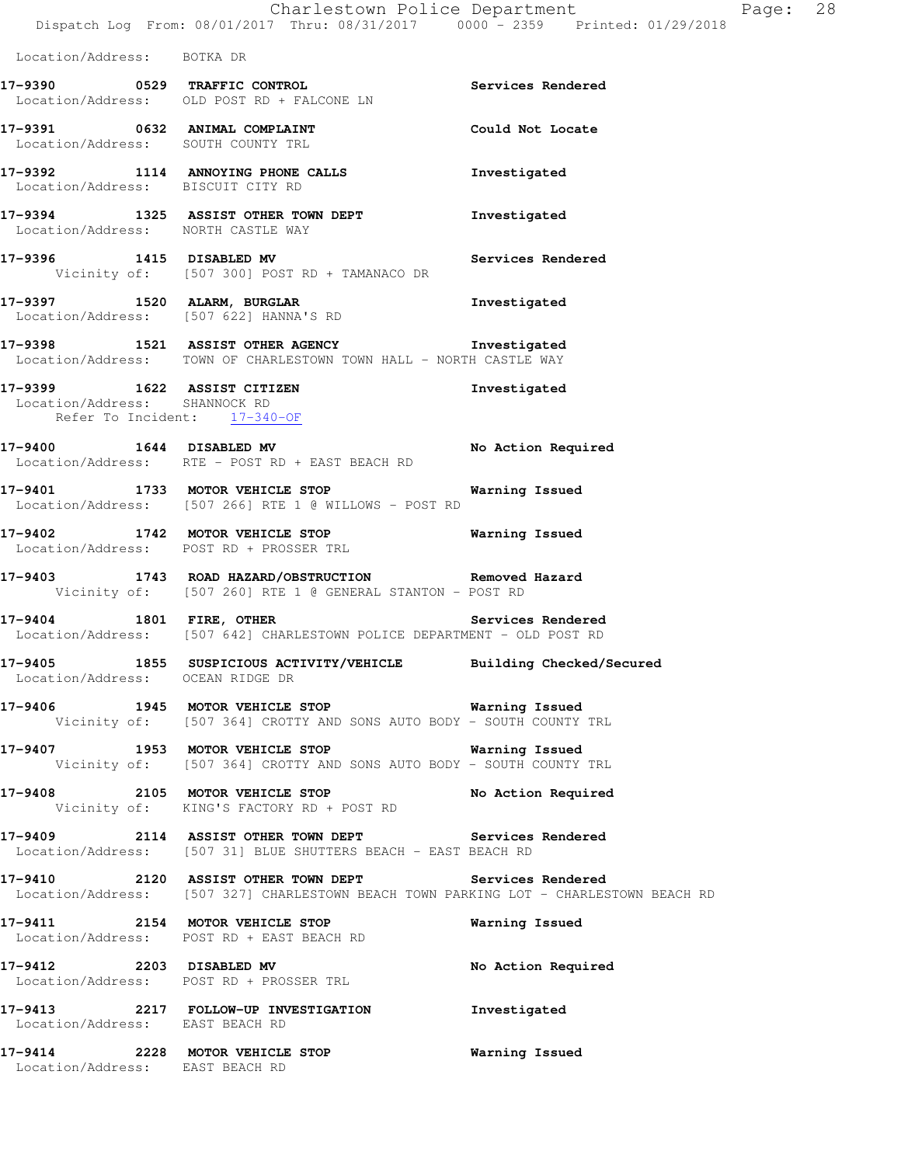Location/Address: BOTKA DR

|                               | 17-9390 0529 TRAFFIC CONTROL<br>Location/Address: OLD POST RD + FALCONE LN                             | Services Rendered  |
|-------------------------------|--------------------------------------------------------------------------------------------------------|--------------------|
|                               | 17-9391 0632 ANIMAL COMPLAINT<br>Location/Address: SOUTH COUNTY TRL                                    | Could Not Locate   |
|                               | 17-9392 1114 ANNOYING PHONE CALLS<br>Location/Address: BISCUIT CITY RD                                 | Investigated       |
|                               | 17-9394 1325 ASSIST OTHER TOWN DEPT<br>Location/Address: NORTH CASTLE WAY                              | Investigated       |
| 17-9396                       | 1415 DISABLED MV<br>Vicinity of: [507 300] POST RD + TAMANACO DR                                       | Services Rendered  |
|                               | 17-9397 1520 ALARM, BURGLAR<br>Location/Address: [507 622] HANNA'S RD                                  | Investigated       |
|                               | 17-9398 1521 ASSIST OTHER AGENCY<br>Location/Address: TOWN OF CHARLESTOWN TOWN HALL - NORTH CASTLE WAY | Investigated       |
| Location/Address: SHANNOCK RD | 17-9399 1622 ASSIST CITIZEN<br>Refer To Incident: 17-340-OF                                            | Investigated       |
| 17-9400 1644 DISABLED MV      | Location/Address: RTE - POST RD + EAST BEACH RD                                                        | No Action Required |

**17-9401 1733 MOTOR VEHICLE STOP Warning Issued**  Location/Address: [507 266] RTE 1 @ WILLOWS - POST RD

**17-9402 1742 MOTOR VEHICLE STOP Warning Issued**  Location/Address: POST RD + PROSSER TRL

**17-9403 1743 ROAD HAZARD/OBSTRUCTION Removed Hazard**  Vicinity of: [507 260] RTE 1 @ GENERAL STANTON - POST RD

**17-9404 1801 FIRE, OTHER Services Rendered**  Location/Address: [507 642] CHARLESTOWN POLICE DEPARTMENT - OLD POST RD

**17-9405 1855 SUSPICIOUS ACTIVITY/VEHICLE Building Checked/Secured**  Location/Address: OCEAN RIDGE DR

**17-9406 1945 MOTOR VEHICLE STOP Warning Issued**  Vicinity of: [507 364] CROTTY AND SONS AUTO BODY - SOUTH COUNTY TRL

**17-9407 1953 MOTOR VEHICLE STOP Warning Issued**  Vicinity of: [507 364] CROTTY AND SONS AUTO BODY - SOUTH COUNTY TRL

**17-9408 2105 MOTOR VEHICLE STOP No Action Required**  Vicinity of: KING'S FACTORY RD + POST RD

**17-9409 2114 ASSIST OTHER TOWN DEPT Services Rendered**  Location/Address: [507 31] BLUE SHUTTERS BEACH - EAST BEACH RD

**17-9410 2120 ASSIST OTHER TOWN DEPT Services Rendered**  Location/Address: [507 327] CHARLESTOWN BEACH TOWN PARKING LOT - CHARLESTOWN BEACH RD

**17-9411 2154 MOTOR VEHICLE STOP Warning Issued**  Location/Address: POST RD + EAST BEACH RD

17-9412 2203 DISABLED MV **No Action Required** Location/Address: POST RD + PROSSER TRL

**17-9413 2217 FOLLOW-UP INVESTIGATION Investigated**  Location/Address: EAST BEACH RD

**17-9414 2228 MOTOR VEHICLE STOP Warning Issued**  Location/Address: EAST BEACH RD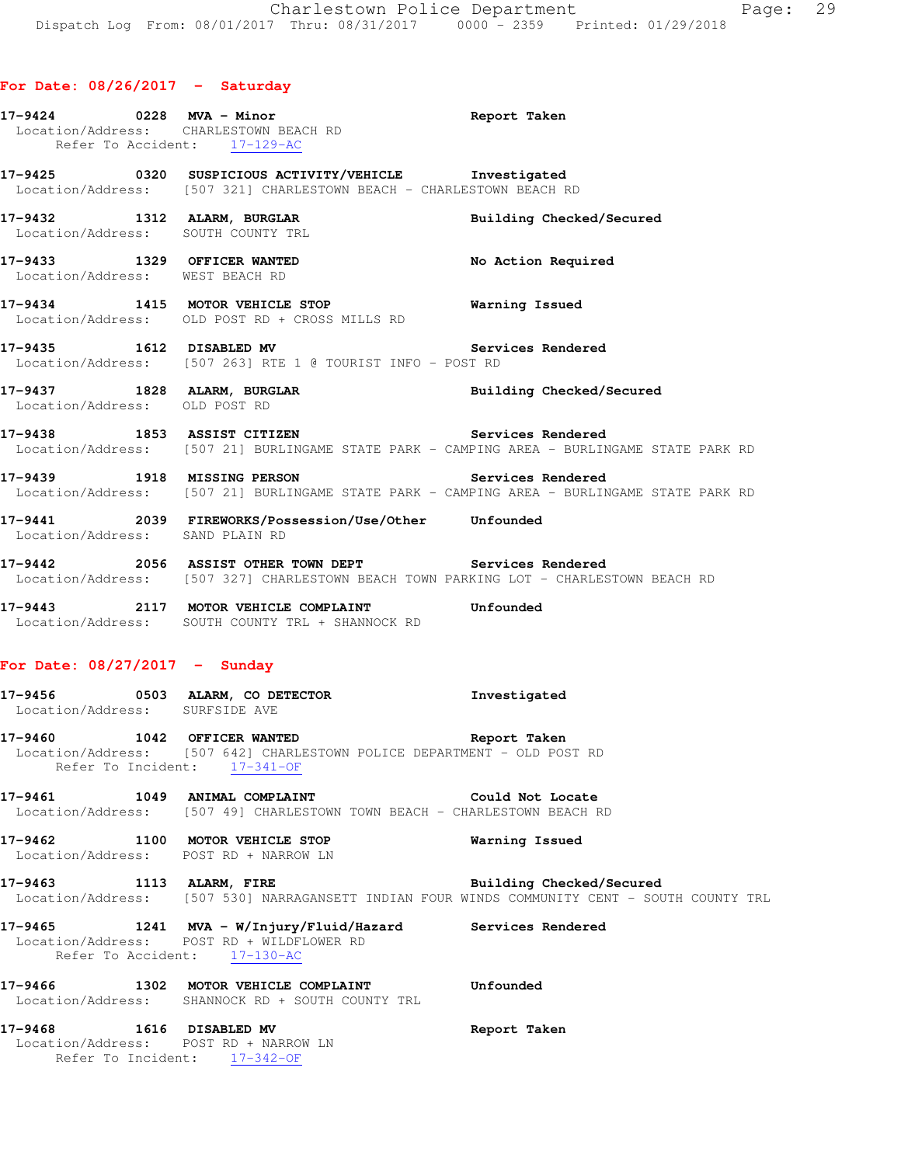|                                 | 17-9424 0228 MVA - Minor<br>Location/Address: CHARLESTOWN BEACH RD<br>Refer To Accident: 17-129-AC                                                  | Report Taken                                                                                                             |
|---------------------------------|-----------------------------------------------------------------------------------------------------------------------------------------------------|--------------------------------------------------------------------------------------------------------------------------|
|                                 | 17-9425 0320 SUSPICIOUS ACTIVITY/VEHICLE Investigated<br>Location/Address: [507 321] CHARLESTOWN BEACH - CHARLESTOWN BEACH RD                       |                                                                                                                          |
|                                 | 17-9432 1312 ALARM, BURGLAR 2001 Building Checked/Secured<br>Location/Address: SOUTH COUNTY TRL                                                     |                                                                                                                          |
|                                 | 17-9433 1329 OFFICER WANTED<br>Location/Address: WEST BEACH RD                                                                                      | No Action Required                                                                                                       |
|                                 | 17-9434 1415 MOTOR VEHICLE STOP <b>Warning Issued</b><br>Location/Address: OLD POST RD + CROSS MILLS RD                                             |                                                                                                                          |
|                                 | 17-9435 1612 DISABLED MV Services Rendered<br>Location/Address: [507 263] RTE 1 @ TOURIST INFO - POST RD                                            |                                                                                                                          |
| Location/Address: OLD POST RD   | 17-9437 1828 ALARM, BURGLAR BURGLAR Building Checked/Secured                                                                                        |                                                                                                                          |
|                                 | 17-9438 1853 ASSIST CITIZEN Services Rendered                                                                                                       | Location/Address: [507 21] BURLINGAME STATE PARK - CAMPING AREA - BURLINGAME STATE PARK RD                               |
|                                 | 17-9439 1918 MISSING PERSON Services Rendered                                                                                                       | Location/Address: [507 21] BURLINGAME STATE PARK - CAMPING AREA - BURLINGAME STATE PARK RD                               |
| Location/Address: SAND PLAIN RD |                                                                                                                                                     |                                                                                                                          |
|                                 | 17-9442 2056 ASSIST OTHER TOWN DEPT Services Rendered<br>Location/Address: [507 327] CHARLESTOWN BEACH TOWN PARKING LOT - CHARLESTOWN BEACH RD      |                                                                                                                          |
|                                 | 17-9443 2117 MOTOR VEHICLE COMPLAINT Unfounded<br>Location/Address: SOUTH COUNTY TRL + SHANNOCK RD                                                  |                                                                                                                          |
| For Date: $08/27/2017 -$ Sunday |                                                                                                                                                     |                                                                                                                          |
| Location/Address: SURFSIDE AVE  | 17-9456 0503 ALARM, CO DETECTOR 1nvestigated                                                                                                        |                                                                                                                          |
|                                 | 17-9460 1042 OFFICER WANTED Report Taken<br>Location/Address: [507 642] CHARLESTOWN POLICE DEPARTMENT - OLD POST RD<br>Refer To Incident: 17-341-OF |                                                                                                                          |
|                                 | 17-9461 1049 ANIMAL COMPLAINT COULD Not Locate<br>Location/Address: [507 49] CHARLESTOWN TOWN BEACH - CHARLESTOWN BEACH RD                          |                                                                                                                          |
|                                 | 17-9462 1100 MOTOR VEHICLE STOP<br>Location/Address: POST RD + NARROW LN                                                                            | Warning Issued                                                                                                           |
| 17-9463 1113 ALARM, FIRE        |                                                                                                                                                     | Building Checked/Secured<br>Location/Address: [507 530] NARRAGANSETT INDIAN FOUR WINDS COMMUNITY CENT - SOUTH COUNTY TRL |
|                                 | 17-9465 1241 MVA - W/Injury/Fluid/Hazard Services Rendered<br>Location/Address: POST RD + WILDFLOWER RD<br>Refer To Accident: 17-130-AC             |                                                                                                                          |
|                                 | 17-9466 1302 MOTOR VEHICLE COMPLAINT<br>Location/Address: SHANNOCK RD + SOUTH COUNTY TRL                                                            | Unfounded                                                                                                                |
| 17-9468 1616 DISABLED MV        | Location/Address: POST RD + NARROW LN<br>Refer To Incident: 17-342-OF                                                                               | Report Taken                                                                                                             |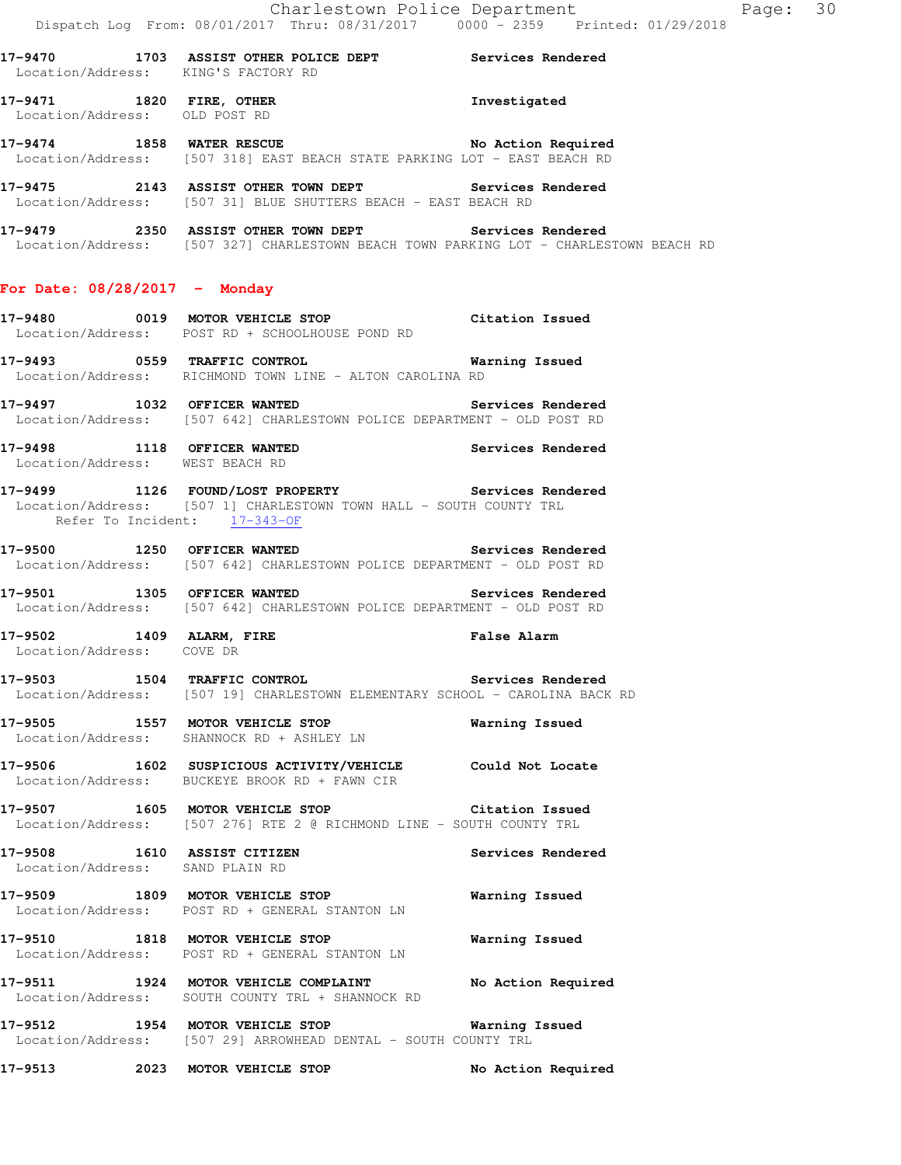**17-9470 1703 ASSIST OTHER POLICE DEPT Services Rendered**  Location/Address: KING'S FACTORY RD **17-9471 1820 FIRE, OTHER Investigated**  Location/Address: OLD POST RD **17-9474 1858 WATER RESCUE No Action Required**  Location/Address: [507 318] EAST BEACH STATE PARKING LOT - EAST BEACH RD **17-9475 2143 ASSIST OTHER TOWN DEPT Services Rendered**  Location/Address: [507 31] BLUE SHUTTERS BEACH - EAST BEACH RD **17-9479 2350 ASSIST OTHER TOWN DEPT Services Rendered**  Location/Address: [507 327] CHARLESTOWN BEACH TOWN PARKING LOT - CHARLESTOWN BEACH RD **For Date: 08/28/2017 - Monday 17-9480 0019 MOTOR VEHICLE STOP Citation Issued**  Location/Address: POST RD + SCHOOLHOUSE POND RD **17-9493 0559 TRAFFIC CONTROL Warning Issued**  Location/Address: RICHMOND TOWN LINE - ALTON CAROLINA RD 17-9497 **1032** OFFICER WANTED **Services Rendered**  Location/Address: [507 642] CHARLESTOWN POLICE DEPARTMENT - OLD POST RD **17-9498 1118 OFFICER WANTED Services Rendered**  Location/Address: WEST BEACH RD **17-9499 1126 FOUND/LOST PROPERTY Services Rendered**  Location/Address: [507 1] CHARLESTOWN TOWN HALL - SOUTH COUNTY TRL Refer To Incident: 17-343-OF **17-9500 1250 OFFICER WANTED Services Rendered**  Location/Address: [507 642] CHARLESTOWN POLICE DEPARTMENT - OLD POST RD **17-9501 1305 OFFICER WANTED Services Rendered**  Location/Address: [507 642] CHARLESTOWN POLICE DEPARTMENT - OLD POST RD **17-9502 1409 ALARM, FIRE False Alarm**  Location/Address: COVE DR **17-9503 1504 TRAFFIC CONTROL Services Rendered**  Location/Address: [507 19] CHARLESTOWN ELEMENTARY SCHOOL - CAROLINA BACK RD **17-9505 1557 MOTOR VEHICLE STOP Warning Issued**  Location/Address: SHANNOCK RD + ASHLEY LN **17-9506 1602 SUSPICIOUS ACTIVITY/VEHICLE Could Not Locate**  Location/Address: BUCKEYE BROOK RD + FAWN CIR **17-9507 1605 MOTOR VEHICLE STOP Citation Issued**  Location/Address: [507 276] RTE 2 @ RICHMOND LINE - SOUTH COUNTY TRL **17-9508 1610 ASSIST CITIZEN Services Rendered**  Location/Address: SAND PLAIN RD **17-9509 1809 MOTOR VEHICLE STOP Warning Issued**  Location/Address: POST RD + GENERAL STANTON LN **17-9510 1818 MOTOR VEHICLE STOP Warning Issued**  Location/Address: POST RD + GENERAL STANTON LN **17-9511 1924 MOTOR VEHICLE COMPLAINT No Action Required**  Location/Address: SOUTH COUNTY TRL + SHANNOCK RD **17-9512 1954 MOTOR VEHICLE STOP Warning Issued**  Location/Address: [507 29] ARROWHEAD DENTAL - SOUTH COUNTY TRL **17-9513 2023 MOTOR VEHICLE STOP No Action Required**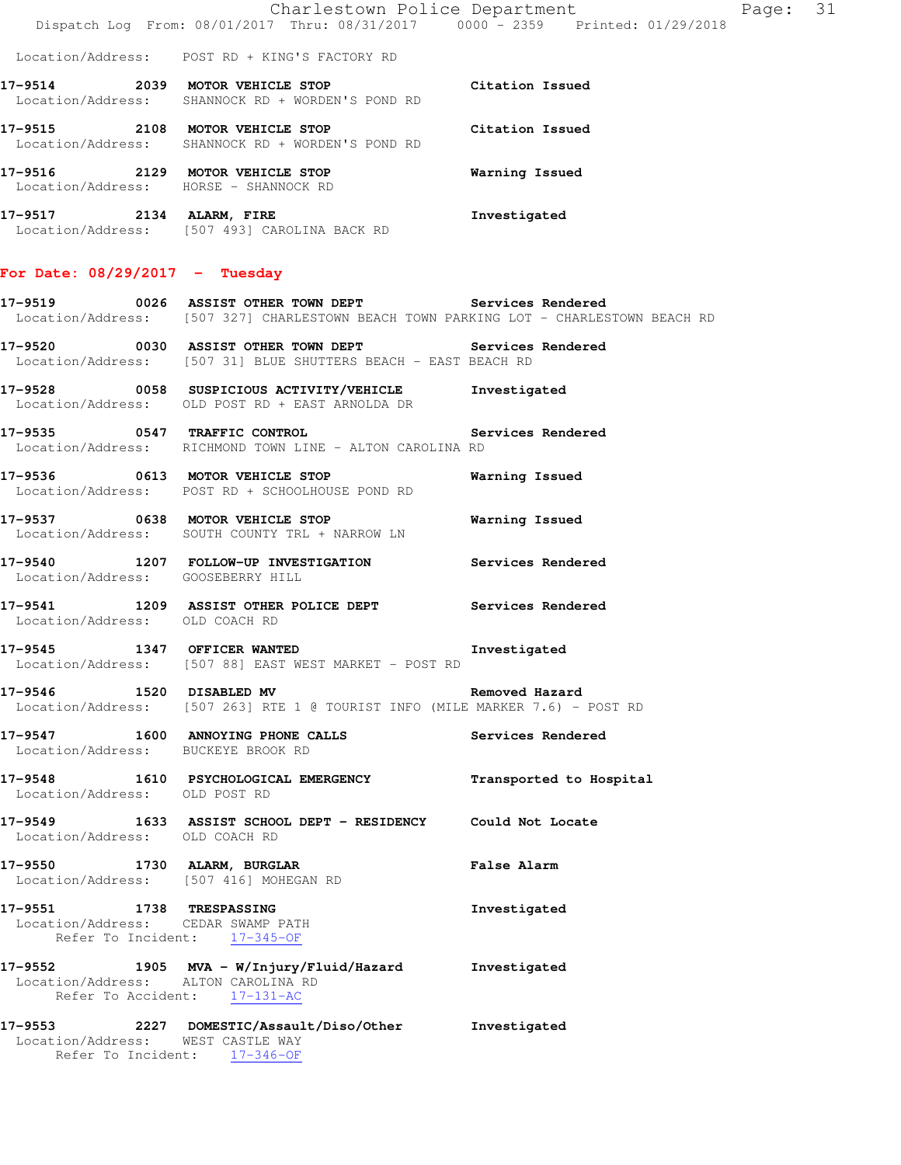| Charlestown Police Department                  |  |  |  |  |                                 | Page: 31 |  |  |  |
|------------------------------------------------|--|--|--|--|---------------------------------|----------|--|--|--|
| Dispatch Log From: 08/01/2017 Thru: 08/31/2017 |  |  |  |  | 0000 - 2359 Printed: 01/29/2018 |          |  |  |  |

Location/Address: POST RD + KING'S FACTORY RD

**17-9514 2039 MOTOR VEHICLE STOP Citation Issued**  Location/Address: SHANNOCK RD + WORDEN'S POND RD **17-9515 2108 MOTOR VEHICLE STOP Citation Issued**  Location/Address: SHANNOCK RD + WORDEN'S POND RD **17-9516 2129 MOTOR VEHICLE STOP Warning Issued**  Location/Address: HORSE - SHANNOCK RD **17-9517 2134 ALARM, FIRE Investigated**  Location/Address: [507 493] CAROLINA BACK RD

# **For Date: 08/29/2017 - Tuesday**

**17-9519 0026 ASSIST OTHER TOWN DEPT Services Rendered**  Location/Address: [507 327] CHARLESTOWN BEACH TOWN PARKING LOT - CHARLESTOWN BEACH RD

**17-9520 0030 ASSIST OTHER TOWN DEPT Services Rendered**  Location/Address: [507 31] BLUE SHUTTERS BEACH - EAST BEACH RD

- **17-9528 0058 SUSPICIOUS ACTIVITY/VEHICLE Investigated**  Location/Address: OLD POST RD + EAST ARNOLDA DR
- **17-9535 0547 TRAFFIC CONTROL Services Rendered**  Location/Address: RICHMOND TOWN LINE - ALTON CAROLINA RD
- **17-9536 0613 MOTOR VEHICLE STOP Warning Issued**  Location/Address: POST RD + SCHOOLHOUSE POND RD
- **17-9537 0638 MOTOR VEHICLE STOP Warning Issued**  Location/Address: SOUTH COUNTY TRL + NARROW LN
- **17-9540 1207 FOLLOW-UP INVESTIGATION Services Rendered**  Location/Address: GOOSEBERRY HILL
- **17-9541 1209 ASSIST OTHER POLICE DEPT Services Rendered**  Location/Address: OLD COACH RD
- **17-9545 1347 OFFICER WANTED Investigated**  Location/Address: [507 88] EAST WEST MARKET - POST RD

**17-9546 1520 DISABLED MV Removed Hazard**  Location/Address: [507 263] RTE 1 @ TOURIST INFO (MILE MARKER 7.6) - POST RD

- **17-9547 1600 ANNOYING PHONE CALLS Services Rendered**  Location/Address: BUCKEYE BROOK RD
- **17-9548 1610 PSYCHOLOGICAL EMERGENCY Transported to Hospital**  Location/Address: OLD POST RD
- **17-9549 1633 ASSIST SCHOOL DEPT RESIDENCY Could Not Locate**  Location/Address: OLD COACH RD
- **17-9550 1730 ALARM, BURGLAR False Alarm**  Location/Address: [507 416] MOHEGAN RD
- **17-9551 1738 TRESPASSING Investigated**  Location/Address: CEDAR SWAMP PATH Refer To Incident: 17-345-OF
- **17-9552 1905 MVA W/Injury/Fluid/Hazard Investigated**  Location/Address: ALTON CAROLINA RD Refer To Accident: 17-131-AC
- **17-9553 2227 DOMESTIC/Assault/Diso/Other Investigated**  Location/Address: WEST CASTLE WAY Refer To Incident: 17-346-OF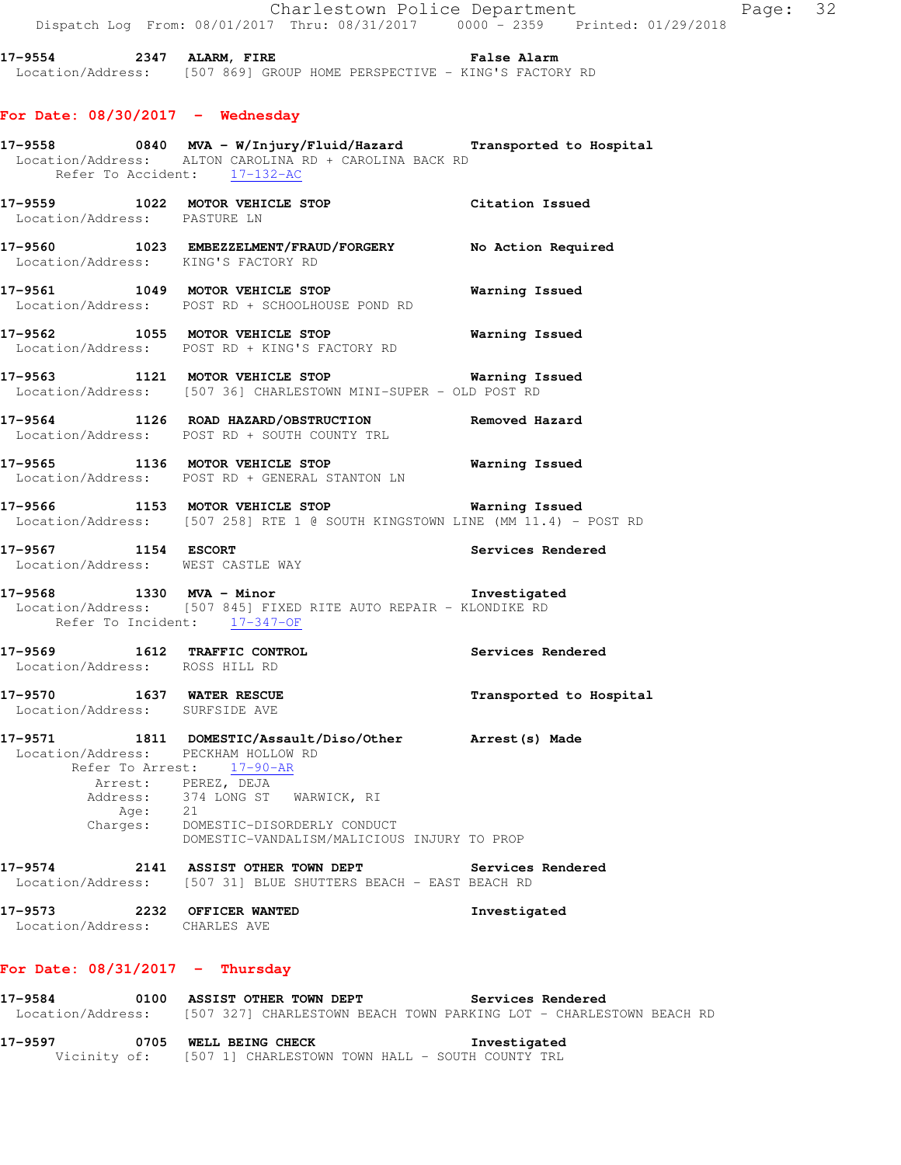**17-9554 2347 ALARM, FIRE False Alarm**  Location/Address: [507 869] GROUP HOME PERSPECTIVE - KING'S FACTORY RD

## **For Date: 08/30/2017 - Wednesday**

|                                                                |                  | 17-9558 0840 MVA - W/Injury/Fluid/Hazard Transported to Hospital<br>Location/Address: ALTON CAROLINA RD + CAROLINA BACK RD<br>Refer To Accident: 17-132-AC                                                         |                          |
|----------------------------------------------------------------|------------------|--------------------------------------------------------------------------------------------------------------------------------------------------------------------------------------------------------------------|--------------------------|
|                                                                |                  | 17-9559 1022 MOTOR VEHICLE STOP<br>Location/Address: PASTURE LN                                                                                                                                                    | Citation Issued          |
|                                                                |                  | 17-9560 1023 EMBEZZELMENT/FRAUD/FORGERY No Action Required<br>Location/Address: KING'S FACTORY RD                                                                                                                  |                          |
|                                                                |                  | 17-9561 1049 MOTOR VEHICLE STOP<br>Location/Address: POST RD + SCHOOLHOUSE POND RD                                                                                                                                 | Warning Issued           |
|                                                                |                  | 17-9562 1055 MOTOR VEHICLE STOP 6 Warning Issued<br>Location/Address: POST RD + KING'S FACTORY RD                                                                                                                  |                          |
|                                                                |                  | 17-9563 1121 MOTOR VEHICLE STOP 6 Warning Issued<br>Location/Address: [507 36] CHARLESTOWN MINI-SUPER - OLD POST RD                                                                                                |                          |
|                                                                |                  | 17-9564 1126 ROAD HAZARD/OBSTRUCTION Removed Hazard<br>Location/Address: POST RD + SOUTH COUNTY TRL                                                                                                                |                          |
|                                                                |                  | 17-9565 1136 MOTOR VEHICLE STOP 6 Warning Issued<br>Location/Address: POST RD + GENERAL STANTON LN                                                                                                                 |                          |
|                                                                |                  | 17-9566 1153 MOTOR VEHICLE STOP <b>Warning Issued</b><br>Location/Address: [507 258] RTE 1 @ SOUTH KINGSTOWN LINE (MM 11.4) - POST RD                                                                              |                          |
| 17-9567 1154 ESCORT                                            |                  | Location/Address: WEST CASTLE WAY                                                                                                                                                                                  | Services Rendered        |
|                                                                |                  | 17-9568 1330 MVA - Minor<br>Location/Address: [507 845] FIXED RITE AUTO REPAIR - KLONDIKE RD<br>Refer To Incident: 17-347-OF                                                                                       |                          |
| 17-9569 1612 TRAFFIC CONTROL<br>Location/Address: ROSS HILL RD |                  |                                                                                                                                                                                                                    | Services Rendered        |
| 17-9570 1637 WATER RESCUE<br>Location/Address: SURFSIDE AVE    |                  |                                                                                                                                                                                                                    | Transported to Hospital  |
| Address:                                                       | Age:<br>Charges: | 17-9571 1811 DOMESTIC/Assault/Diso/Other hrrest(s) Made<br>Location/Address: PECKHAM HOLLOW RD<br>Refer To Arrest: 17-90-AR<br>Arrest: PEREZ, DEJA<br>374 LONG ST WARWICK, RI<br>21<br>DOMESTIC-DISORDERLY CONDUCT |                          |
|                                                                |                  | DOMESTIC-VANDALISM/MALICIOUS INJURY TO PROP                                                                                                                                                                        |                          |
| 17-9574                                                        |                  | 2141 ASSIST OTHER TOWN DEPT<br>Location/Address: [507 31] BLUE SHUTTERS BEACH - EAST BEACH RD                                                                                                                      | <b>Services Rendered</b> |
| 17–9573<br>Location/Address: CHARLES AVE                       |                  | 2232 OFFICER WANTED                                                                                                                                                                                                | Investigated             |

## **For Date: 08/31/2017 - Thursday**

| 17-9584           | 0100         | <b>ASSIST OTHER TOWN DEPT</b>                                       | Services Rendered |  |
|-------------------|--------------|---------------------------------------------------------------------|-------------------|--|
| Location/Address: |              | [507 327] CHARLESTOWN BEACH TOWN PARKING LOT - CHARLESTOWN BEACH RD |                   |  |
| 17–9597           | 0705         | WELL BEING CHECK                                                    | Investigated      |  |
|                   | Vicinity of: | [507 1] CHARLESTOWN TOWN HALL – SOUTH COUNTY TRL                    |                   |  |